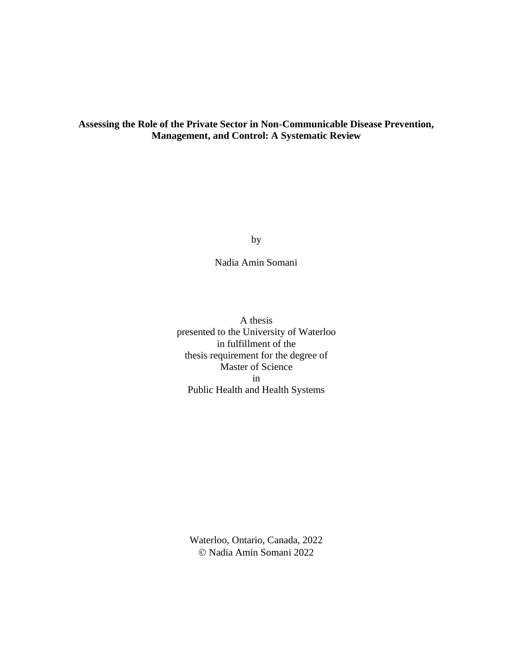# **Assessing the Role of the Private Sector in Non-Communicable Disease Prevention, Management, and Control: A Systematic Review**

by

Nadia Amin Somani

A thesis presented to the University of Waterloo in fulfillment of the thesis requirement for the degree of Master of Science in Public Health and Health Systems

Waterloo, Ontario, Canada, 2022 © Nadia Amin Somani 2022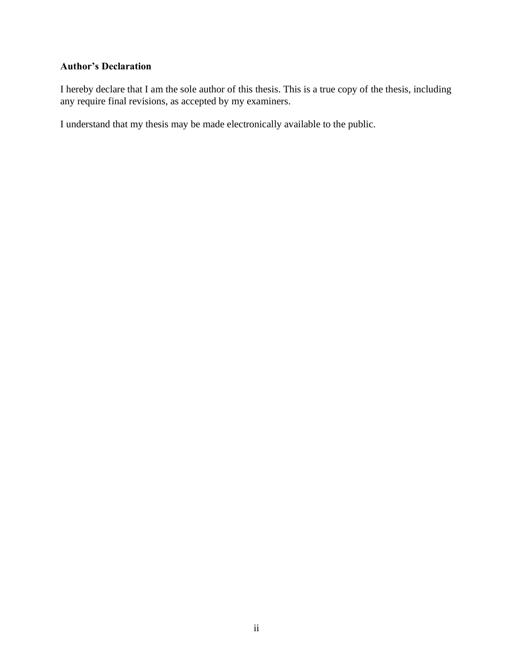# <span id="page-1-0"></span>**Author's Declaration**

I hereby declare that I am the sole author of this thesis. This is a true copy of the thesis, including any require final revisions, as accepted by my examiners.

I understand that my thesis may be made electronically available to the public.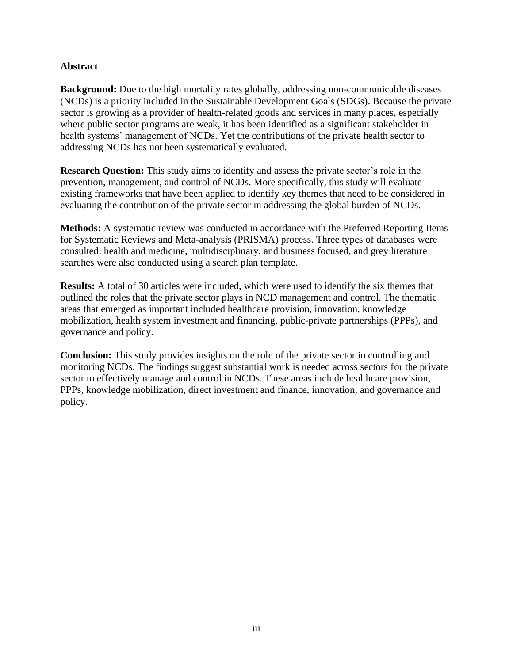# <span id="page-2-0"></span>**Abstract**

**Background:** Due to the high mortality rates globally, addressing non-communicable diseases (NCDs) is a priority included in the Sustainable Development Goals (SDGs). Because the private sector is growing as a provider of health-related goods and services in many places, especially where public sector programs are weak, it has been identified as a significant stakeholder in health systems' management of NCDs. Yet the contributions of the private health sector to addressing NCDs has not been systematically evaluated.

**Research Question:** This study aims to identify and assess the private sector's role in the prevention, management, and control of NCDs. More specifically, this study will evaluate existing frameworks that have been applied to identify key themes that need to be considered in evaluating the contribution of the private sector in addressing the global burden of NCDs.

**Methods:** A systematic review was conducted in accordance with the Preferred Reporting Items for Systematic Reviews and Meta-analysis (PRISMA) process. Three types of databases were consulted: health and medicine, multidisciplinary, and business focused, and grey literature searches were also conducted using a search plan template.

**Results:** A total of 30 articles were included, which were used to identify the six themes that outlined the roles that the private sector plays in NCD management and control. The thematic areas that emerged as important included healthcare provision, innovation, knowledge mobilization, health system investment and financing, public-private partnerships (PPPs), and governance and policy.

**Conclusion:** This study provides insights on the role of the private sector in controlling and monitoring NCDs. The findings suggest substantial work is needed across sectors for the private sector to effectively manage and control in NCDs. These areas include healthcare provision, PPPs, knowledge mobilization, direct investment and finance, innovation, and governance and policy.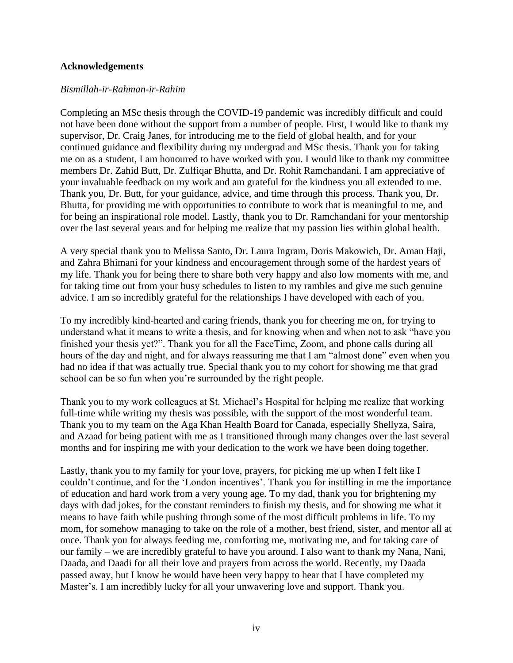# <span id="page-3-0"></span>**Acknowledgements**

# *Bismillah-ir-Rahman-ir-Rahim*

Completing an MSc thesis through the COVID-19 pandemic was incredibly difficult and could not have been done without the support from a number of people. First, I would like to thank my supervisor, Dr. Craig Janes, for introducing me to the field of global health, and for your continued guidance and flexibility during my undergrad and MSc thesis. Thank you for taking me on as a student, I am honoured to have worked with you. I would like to thank my committee members Dr. Zahid Butt, Dr. Zulfiqar Bhutta, and Dr. Rohit Ramchandani. I am appreciative of your invaluable feedback on my work and am grateful for the kindness you all extended to me. Thank you, Dr. Butt, for your guidance, advice, and time through this process. Thank you, Dr. Bhutta, for providing me with opportunities to contribute to work that is meaningful to me, and for being an inspirational role model. Lastly, thank you to Dr. Ramchandani for your mentorship over the last several years and for helping me realize that my passion lies within global health.

A very special thank you to Melissa Santo, Dr. Laura Ingram, Doris Makowich, Dr. Aman Haji, and Zahra Bhimani for your kindness and encouragement through some of the hardest years of my life. Thank you for being there to share both very happy and also low moments with me, and for taking time out from your busy schedules to listen to my rambles and give me such genuine advice. I am so incredibly grateful for the relationships I have developed with each of you.

To my incredibly kind-hearted and caring friends, thank you for cheering me on, for trying to understand what it means to write a thesis, and for knowing when and when not to ask "have you finished your thesis yet?". Thank you for all the FaceTime, Zoom, and phone calls during all hours of the day and night, and for always reassuring me that I am "almost done" even when you had no idea if that was actually true. Special thank you to my cohort for showing me that grad school can be so fun when you're surrounded by the right people.

Thank you to my work colleagues at St. Michael's Hospital for helping me realize that working full-time while writing my thesis was possible, with the support of the most wonderful team. Thank you to my team on the Aga Khan Health Board for Canada, especially Shellyza, Saira, and Azaad for being patient with me as I transitioned through many changes over the last several months and for inspiring me with your dedication to the work we have been doing together.

Lastly, thank you to my family for your love, prayers, for picking me up when I felt like I couldn't continue, and for the 'London incentives'. Thank you for instilling in me the importance of education and hard work from a very young age. To my dad, thank you for brightening my days with dad jokes, for the constant reminders to finish my thesis, and for showing me what it means to have faith while pushing through some of the most difficult problems in life. To my mom, for somehow managing to take on the role of a mother, best friend, sister, and mentor all at once. Thank you for always feeding me, comforting me, motivating me, and for taking care of our family – we are incredibly grateful to have you around. I also want to thank my Nana, Nani, Daada, and Daadi for all their love and prayers from across the world. Recently, my Daada passed away, but I know he would have been very happy to hear that I have completed my Master's. I am incredibly lucky for all your unwavering love and support. Thank you.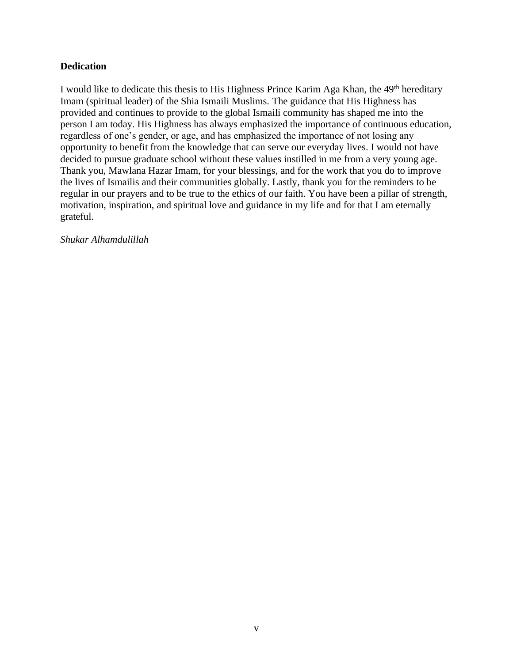# <span id="page-4-0"></span>**Dedication**

I would like to dedicate this thesis to His Highness Prince Karim Aga Khan, the 49<sup>th</sup> hereditary Imam (spiritual leader) of the Shia Ismaili Muslims. The guidance that His Highness has provided and continues to provide to the global Ismaili community has shaped me into the person I am today. His Highness has always emphasized the importance of continuous education, regardless of one's gender, or age, and has emphasized the importance of not losing any opportunity to benefit from the knowledge that can serve our everyday lives. I would not have decided to pursue graduate school without these values instilled in me from a very young age. Thank you, Mawlana Hazar Imam, for your blessings, and for the work that you do to improve the lives of Ismailis and their communities globally. Lastly, thank you for the reminders to be regular in our prayers and to be true to the ethics of our faith. You have been a pillar of strength, motivation, inspiration, and spiritual love and guidance in my life and for that I am eternally grateful.

*Shukar Alhamdulillah*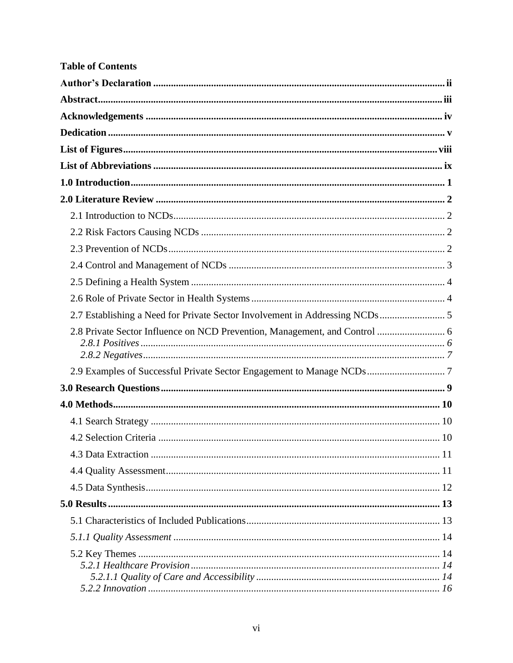| <b>Table of Contents</b> |
|--------------------------|
|                          |
|                          |
|                          |
|                          |
|                          |
|                          |
|                          |
|                          |
|                          |
|                          |
|                          |
|                          |
|                          |
|                          |
|                          |
|                          |
|                          |
|                          |
|                          |
|                          |
|                          |
|                          |
|                          |
|                          |
|                          |
|                          |
|                          |
|                          |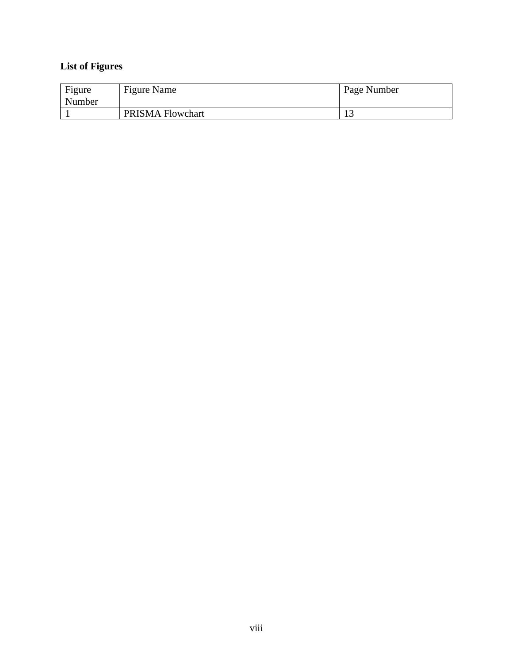# <span id="page-7-0"></span>**List of Figures**

| Figure<br>Number | Figure Name      | Page Number |
|------------------|------------------|-------------|
|                  | PRISMA Flowchart |             |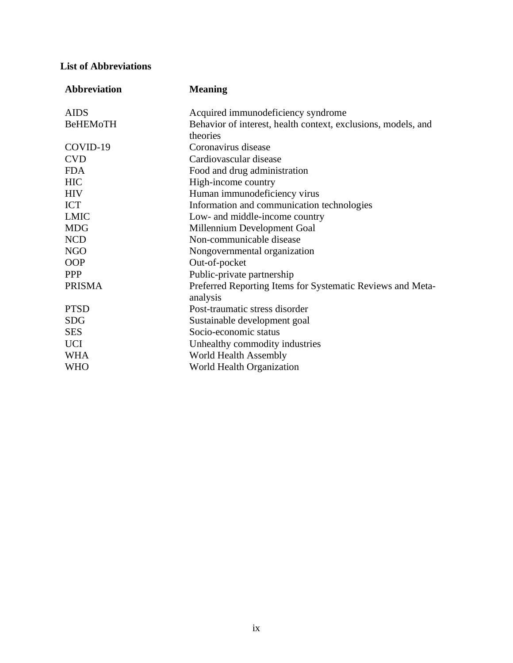# <span id="page-8-0"></span>**List of Abbreviations**

| <b>Abbreviation</b> | <b>Meaning</b>                                                |
|---------------------|---------------------------------------------------------------|
| <b>AIDS</b>         | Acquired immunodeficiency syndrome                            |
| <b>BeHEMoTH</b>     | Behavior of interest, health context, exclusions, models, and |
|                     | theories                                                      |
| COVID-19            | Coronavirus disease                                           |
| <b>CVD</b>          | Cardiovascular disease                                        |
| <b>FDA</b>          | Food and drug administration                                  |
| <b>HIC</b>          | High-income country                                           |
| <b>HIV</b>          | Human immunodeficiency virus                                  |
| <b>ICT</b>          | Information and communication technologies                    |
| <b>LMIC</b>         | Low- and middle-income country                                |
| <b>MDG</b>          | Millennium Development Goal                                   |
| <b>NCD</b>          | Non-communicable disease                                      |
| <b>NGO</b>          | Nongovernmental organization                                  |
| <b>OOP</b>          | Out-of-pocket                                                 |
| <b>PPP</b>          | Public-private partnership                                    |
| <b>PRISMA</b>       | Preferred Reporting Items for Systematic Reviews and Meta-    |
|                     | analysis                                                      |
| <b>PTSD</b>         | Post-traumatic stress disorder                                |
| <b>SDG</b>          | Sustainable development goal                                  |
| <b>SES</b>          | Socio-economic status                                         |
| <b>UCI</b>          | Unhealthy commodity industries                                |
| <b>WHA</b>          | World Health Assembly                                         |
| <b>WHO</b>          | World Health Organization                                     |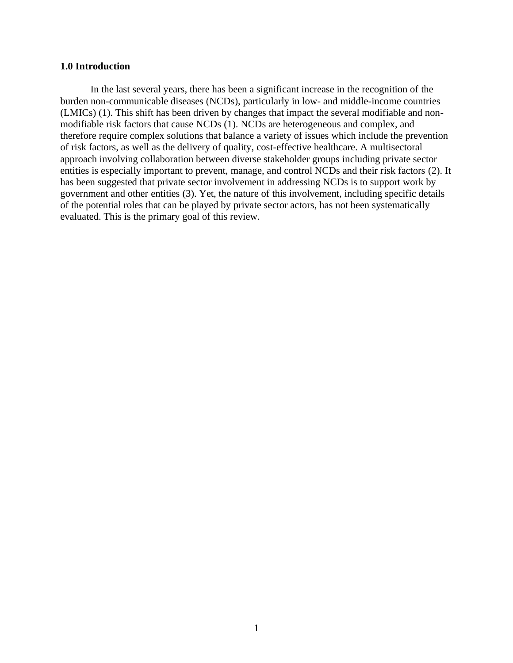### <span id="page-9-0"></span>**1.0 Introduction**

In the last several years, there has been a significant increase in the recognition of the burden non-communicable diseases (NCDs), particularly in low- and middle-income countries (LMICs) (1). This shift has been driven by changes that impact the several modifiable and nonmodifiable risk factors that cause NCDs (1). NCDs are heterogeneous and complex, and therefore require complex solutions that balance a variety of issues which include the prevention of risk factors, as well as the delivery of quality, cost-effective healthcare. A multisectoral approach involving collaboration between diverse stakeholder groups including private sector entities is especially important to prevent, manage, and control NCDs and their risk factors (2). It has been suggested that private sector involvement in addressing NCDs is to support work by government and other entities (3). Yet, the nature of this involvement, including specific details of the potential roles that can be played by private sector actors, has not been systematically evaluated. This is the primary goal of this review.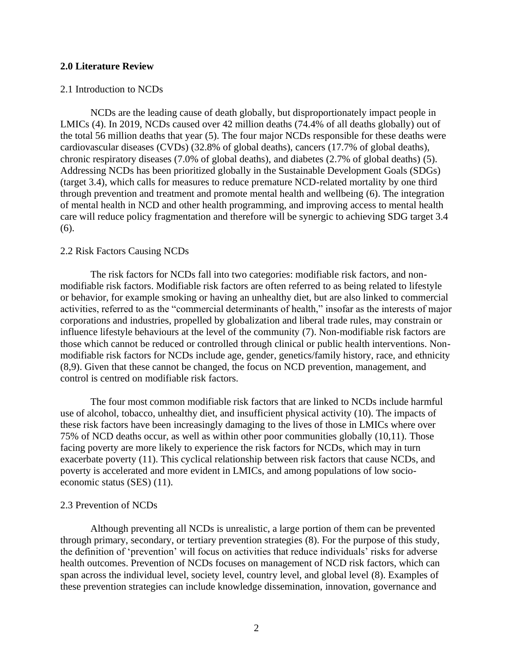### <span id="page-10-0"></span>**2.0 Literature Review**

### <span id="page-10-1"></span>2.1 Introduction to NCDs

NCDs are the leading cause of death globally, but disproportionately impact people in LMICs (4). In 2019, NCDs caused over 42 million deaths (74.4% of all deaths globally) out of the total 56 million deaths that year (5). The four major NCDs responsible for these deaths were cardiovascular diseases (CVDs) (32.8% of global deaths), cancers (17.7% of global deaths), chronic respiratory diseases (7.0% of global deaths), and diabetes (2.7% of global deaths) (5). Addressing NCDs has been prioritized globally in the Sustainable Development Goals (SDGs) (target 3.4), which calls for measures to reduce premature NCD-related mortality by one third through prevention and treatment and promote mental health and wellbeing (6). The integration of mental health in NCD and other health programming, and improving access to mental health care will reduce policy fragmentation and therefore will be synergic to achieving SDG target 3.4 (6).

### <span id="page-10-2"></span>2.2 Risk Factors Causing NCDs

The risk factors for NCDs fall into two categories: modifiable risk factors, and nonmodifiable risk factors. Modifiable risk factors are often referred to as being related to lifestyle or behavior, for example smoking or having an unhealthy diet, but are also linked to commercial activities, referred to as the "commercial determinants of health," insofar as the interests of major corporations and industries, propelled by globalization and liberal trade rules, may constrain or influence lifestyle behaviours at the level of the community (7). Non-modifiable risk factors are those which cannot be reduced or controlled through clinical or public health interventions. Nonmodifiable risk factors for NCDs include age, gender, genetics/family history, race, and ethnicity (8,9). Given that these cannot be changed, the focus on NCD prevention, management, and control is centred on modifiable risk factors.

The four most common modifiable risk factors that are linked to NCDs include harmful use of alcohol, tobacco, unhealthy diet, and insufficient physical activity (10). The impacts of these risk factors have been increasingly damaging to the lives of those in LMICs where over 75% of NCD deaths occur, as well as within other poor communities globally (10,11). Those facing poverty are more likely to experience the risk factors for NCDs, which may in turn exacerbate poverty (11). This cyclical relationship between risk factors that cause NCDs, and poverty is accelerated and more evident in LMICs, and among populations of low socioeconomic status (SES) (11).

#### <span id="page-10-3"></span>2.3 Prevention of NCDs

Although preventing all NCDs is unrealistic, a large portion of them can be prevented through primary, secondary, or tertiary prevention strategies (8). For the purpose of this study, the definition of 'prevention' will focus on activities that reduce individuals' risks for adverse health outcomes. Prevention of NCDs focuses on management of NCD risk factors, which can span across the individual level, society level, country level, and global level (8). Examples of these prevention strategies can include knowledge dissemination, innovation, governance and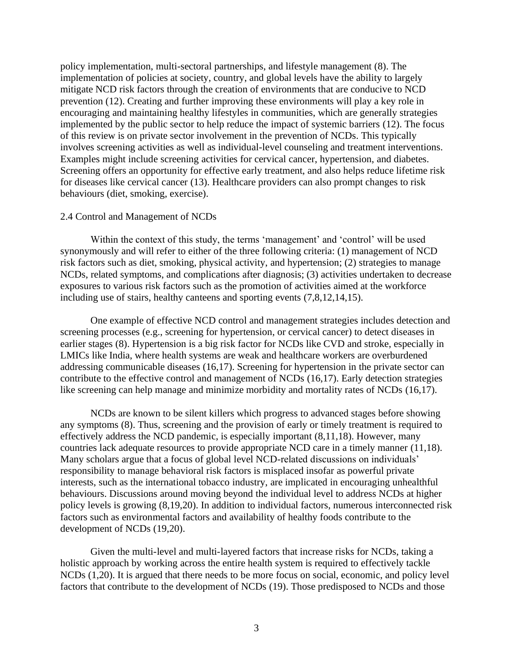policy implementation, multi-sectoral partnerships, and lifestyle management (8). The implementation of policies at society, country, and global levels have the ability to largely mitigate NCD risk factors through the creation of environments that are conducive to NCD prevention (12). Creating and further improving these environments will play a key role in encouraging and maintaining healthy lifestyles in communities, which are generally strategies implemented by the public sector to help reduce the impact of systemic barriers (12). The focus of this review is on private sector involvement in the prevention of NCDs. This typically involves screening activities as well as individual-level counseling and treatment interventions. Examples might include screening activities for cervical cancer, hypertension, and diabetes. Screening offers an opportunity for effective early treatment, and also helps reduce lifetime risk for diseases like cervical cancer (13). Healthcare providers can also prompt changes to risk behaviours (diet, smoking, exercise).

### <span id="page-11-0"></span>2.4 Control and Management of NCDs

Within the context of this study, the terms 'management' and 'control' will be used synonymously and will refer to either of the three following criteria: (1) management of NCD risk factors such as diet, smoking, physical activity, and hypertension; (2) strategies to manage NCDs, related symptoms, and complications after diagnosis; (3) activities undertaken to decrease exposures to various risk factors such as the promotion of activities aimed at the workforce including use of stairs, healthy canteens and sporting events (7,8,12,14,15).

One example of effective NCD control and management strategies includes detection and screening processes (e.g., screening for hypertension, or cervical cancer) to detect diseases in earlier stages (8). Hypertension is a big risk factor for NCDs like CVD and stroke, especially in LMICs like India, where health systems are weak and healthcare workers are overburdened addressing communicable diseases (16,17). Screening for hypertension in the private sector can contribute to the effective control and management of NCDs (16,17). Early detection strategies like screening can help manage and minimize morbidity and mortality rates of NCDs (16,17).

NCDs are known to be silent killers which progress to advanced stages before showing any symptoms (8). Thus, screening and the provision of early or timely treatment is required to effectively address the NCD pandemic, is especially important (8,11,18). However, many countries lack adequate resources to provide appropriate NCD care in a timely manner (11,18). Many scholars argue that a focus of global level NCD-related discussions on individuals' responsibility to manage behavioral risk factors is misplaced insofar as powerful private interests, such as the international tobacco industry, are implicated in encouraging unhealthful behaviours. Discussions around moving beyond the individual level to address NCDs at higher policy levels is growing (8,19,20). In addition to individual factors, numerous interconnected risk factors such as environmental factors and availability of healthy foods contribute to the development of NCDs (19,20).

Given the multi-level and multi-layered factors that increase risks for NCDs, taking a holistic approach by working across the entire health system is required to effectively tackle NCDs (1,20). It is argued that there needs to be more focus on social, economic, and policy level factors that contribute to the development of NCDs (19). Those predisposed to NCDs and those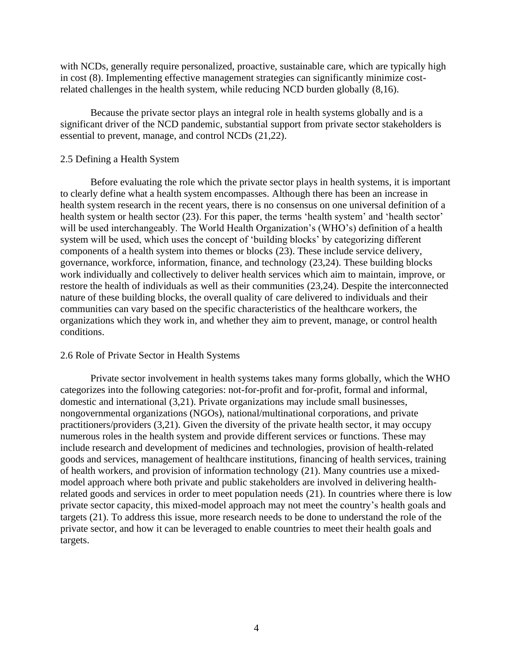with NCDs, generally require personalized, proactive, sustainable care, which are typically high in cost (8). Implementing effective management strategies can significantly minimize costrelated challenges in the health system, while reducing NCD burden globally (8,16).

Because the private sector plays an integral role in health systems globally and is a significant driver of the NCD pandemic, substantial support from private sector stakeholders is essential to prevent, manage, and control NCDs (21,22).

# <span id="page-12-0"></span>2.5 Defining a Health System

Before evaluating the role which the private sector plays in health systems, it is important to clearly define what a health system encompasses. Although there has been an increase in health system research in the recent years, there is no consensus on one universal definition of a health system or health sector (23). For this paper, the terms 'health system' and 'health sector' will be used interchangeably. The World Health Organization's (WHO's) definition of a health system will be used, which uses the concept of 'building blocks' by categorizing different components of a health system into themes or blocks (23). These include service delivery, governance, workforce, information, finance, and technology (23,24). These building blocks work individually and collectively to deliver health services which aim to maintain, improve, or restore the health of individuals as well as their communities (23,24). Despite the interconnected nature of these building blocks, the overall quality of care delivered to individuals and their communities can vary based on the specific characteristics of the healthcare workers, the organizations which they work in, and whether they aim to prevent, manage, or control health conditions.

### <span id="page-12-1"></span>2.6 Role of Private Sector in Health Systems

Private sector involvement in health systems takes many forms globally, which the WHO categorizes into the following categories: not-for-profit and for-profit, formal and informal, domestic and international (3,21). Private organizations may include small businesses, nongovernmental organizations (NGOs), national/multinational corporations, and private practitioners/providers (3,21). Given the diversity of the private health sector, it may occupy numerous roles in the health system and provide different services or functions. These may include research and development of medicines and technologies, provision of health-related goods and services, management of healthcare institutions, financing of health services, training of health workers, and provision of information technology (21). Many countries use a mixedmodel approach where both private and public stakeholders are involved in delivering healthrelated goods and services in order to meet population needs (21). In countries where there is low private sector capacity, this mixed-model approach may not meet the country's health goals and targets (21). To address this issue, more research needs to be done to understand the role of the private sector, and how it can be leveraged to enable countries to meet their health goals and targets.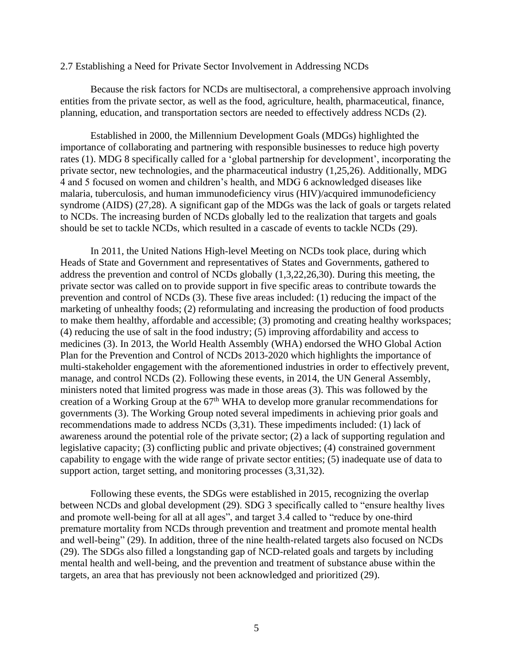### <span id="page-13-0"></span>2.7 Establishing a Need for Private Sector Involvement in Addressing NCDs

Because the risk factors for NCDs are multisectoral, a comprehensive approach involving entities from the private sector, as well as the food, agriculture, health, pharmaceutical, finance, planning, education, and transportation sectors are needed to effectively address NCDs (2).

Established in 2000, the Millennium Development Goals (MDGs) highlighted the importance of collaborating and partnering with responsible businesses to reduce high poverty rates (1). MDG 8 specifically called for a 'global partnership for development', incorporating the private sector, new technologies, and the pharmaceutical industry (1,25,26). Additionally, MDG 4 and 5 focused on women and children's health, and MDG 6 acknowledged diseases like malaria, tuberculosis, and human immunodeficiency virus (HIV)/acquired immunodeficiency syndrome (AIDS) (27,28). A significant gap of the MDGs was the lack of goals or targets related to NCDs. The increasing burden of NCDs globally led to the realization that targets and goals should be set to tackle NCDs, which resulted in a cascade of events to tackle NCDs (29).

In 2011, the United Nations High-level Meeting on NCDs took place, during which Heads of State and Government and representatives of States and Governments, gathered to address the prevention and control of NCDs globally (1,3,22,26,30). During this meeting, the private sector was called on to provide support in five specific areas to contribute towards the prevention and control of NCDs (3). These five areas included: (1) reducing the impact of the marketing of unhealthy foods; (2) reformulating and increasing the production of food products to make them healthy, affordable and accessible; (3) promoting and creating healthy workspaces; (4) reducing the use of salt in the food industry; (5) improving affordability and access to medicines (3). In 2013, the World Health Assembly (WHA) endorsed the WHO Global Action Plan for the Prevention and Control of NCDs 2013-2020 which highlights the importance of multi-stakeholder engagement with the aforementioned industries in order to effectively prevent, manage, and control NCDs (2). Following these events, in 2014, the UN General Assembly, ministers noted that limited progress was made in those areas (3). This was followed by the creation of a Working Group at the 67<sup>th</sup> WHA to develop more granular recommendations for governments (3). The Working Group noted several impediments in achieving prior goals and recommendations made to address NCDs (3,31). These impediments included: (1) lack of awareness around the potential role of the private sector; (2) a lack of supporting regulation and legislative capacity; (3) conflicting public and private objectives; (4) constrained government capability to engage with the wide range of private sector entities; (5) inadequate use of data to support action, target setting, and monitoring processes  $(3,31,32)$ .

Following these events, the SDGs were established in 2015, recognizing the overlap between NCDs and global development (29). SDG 3 specifically called to "ensure healthy lives and promote well-being for all at all ages", and target 3.4 called to "reduce by one-third premature mortality from NCDs through prevention and treatment and promote mental health and well-being" (29). In addition, three of the nine health-related targets also focused on NCDs (29). The SDGs also filled a longstanding gap of NCD-related goals and targets by including mental health and well-being, and the prevention and treatment of substance abuse within the targets, an area that has previously not been acknowledged and prioritized (29).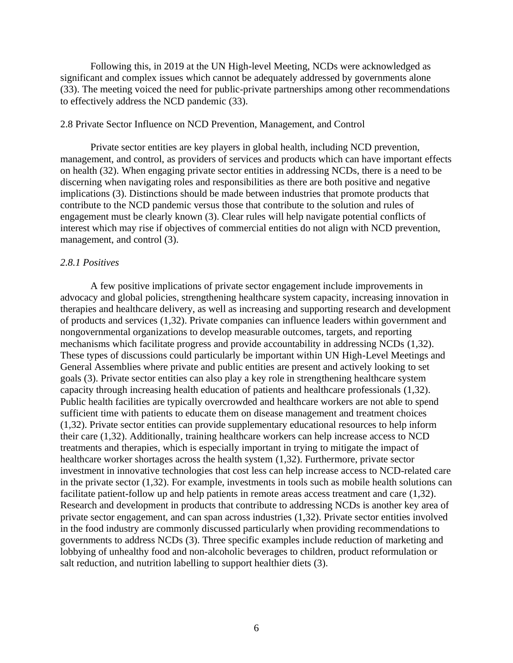Following this, in 2019 at the UN High-level Meeting, NCDs were acknowledged as significant and complex issues which cannot be adequately addressed by governments alone (33). The meeting voiced the need for public-private partnerships among other recommendations to effectively address the NCD pandemic (33).

### <span id="page-14-0"></span>2.8 Private Sector Influence on NCD Prevention, Management, and Control

Private sector entities are key players in global health, including NCD prevention, management, and control, as providers of services and products which can have important effects on health (32). When engaging private sector entities in addressing NCDs, there is a need to be discerning when navigating roles and responsibilities as there are both positive and negative implications (3). Distinctions should be made between industries that promote products that contribute to the NCD pandemic versus those that contribute to the solution and rules of engagement must be clearly known (3). Clear rules will help navigate potential conflicts of interest which may rise if objectives of commercial entities do not align with NCD prevention, management, and control (3).

# <span id="page-14-1"></span>*2.8.1 Positives*

A few positive implications of private sector engagement include improvements in advocacy and global policies, strengthening healthcare system capacity, increasing innovation in therapies and healthcare delivery, as well as increasing and supporting research and development of products and services (1,32). Private companies can influence leaders within government and nongovernmental organizations to develop measurable outcomes, targets, and reporting mechanisms which facilitate progress and provide accountability in addressing NCDs (1,32). These types of discussions could particularly be important within UN High-Level Meetings and General Assemblies where private and public entities are present and actively looking to set goals (3). Private sector entities can also play a key role in strengthening healthcare system capacity through increasing health education of patients and healthcare professionals (1,32). Public health facilities are typically overcrowded and healthcare workers are not able to spend sufficient time with patients to educate them on disease management and treatment choices (1,32). Private sector entities can provide supplementary educational resources to help inform their care (1,32). Additionally, training healthcare workers can help increase access to NCD treatments and therapies, which is especially important in trying to mitigate the impact of healthcare worker shortages across the health system (1,32). Furthermore, private sector investment in innovative technologies that cost less can help increase access to NCD-related care in the private sector (1,32). For example, investments in tools such as mobile health solutions can facilitate patient-follow up and help patients in remote areas access treatment and care (1,32). Research and development in products that contribute to addressing NCDs is another key area of private sector engagement, and can span across industries (1,32). Private sector entities involved in the food industry are commonly discussed particularly when providing recommendations to governments to address NCDs (3). Three specific examples include reduction of marketing and lobbying of unhealthy food and non-alcoholic beverages to children, product reformulation or salt reduction, and nutrition labelling to support healthier diets (3).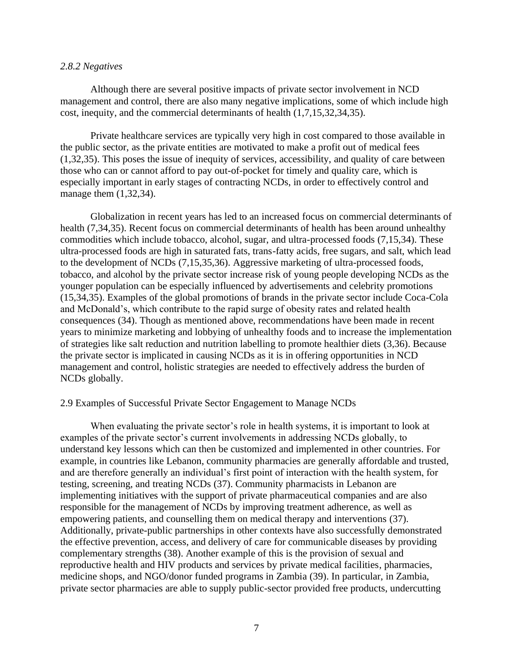### <span id="page-15-0"></span>*2.8.2 Negatives*

Although there are several positive impacts of private sector involvement in NCD management and control, there are also many negative implications, some of which include high cost, inequity, and the commercial determinants of health (1,7,15,32,34,35).

Private healthcare services are typically very high in cost compared to those available in the public sector, as the private entities are motivated to make a profit out of medical fees (1,32,35). This poses the issue of inequity of services, accessibility, and quality of care between those who can or cannot afford to pay out-of-pocket for timely and quality care, which is especially important in early stages of contracting NCDs, in order to effectively control and manage them (1,32,34).

Globalization in recent years has led to an increased focus on commercial determinants of health (7,34,35). Recent focus on commercial determinants of health has been around unhealthy commodities which include tobacco, alcohol, sugar, and ultra-processed foods (7,15,34). These ultra-processed foods are high in saturated fats, trans-fatty acids, free sugars, and salt, which lead to the development of NCDs (7,15,35,36). Aggressive marketing of ultra-processed foods, tobacco, and alcohol by the private sector increase risk of young people developing NCDs as the younger population can be especially influenced by advertisements and celebrity promotions (15,34,35). Examples of the global promotions of brands in the private sector include Coca-Cola and McDonald's, which contribute to the rapid surge of obesity rates and related health consequences (34). Though as mentioned above, recommendations have been made in recent years to minimize marketing and lobbying of unhealthy foods and to increase the implementation of strategies like salt reduction and nutrition labelling to promote healthier diets (3,36). Because the private sector is implicated in causing NCDs as it is in offering opportunities in NCD management and control, holistic strategies are needed to effectively address the burden of NCDs globally.

### <span id="page-15-1"></span>2.9 Examples of Successful Private Sector Engagement to Manage NCDs

When evaluating the private sector's role in health systems, it is important to look at examples of the private sector's current involvements in addressing NCDs globally, to understand key lessons which can then be customized and implemented in other countries. For example, in countries like Lebanon, community pharmacies are generally affordable and trusted, and are therefore generally an individual's first point of interaction with the health system, for testing, screening, and treating NCDs (37). Community pharmacists in Lebanon are implementing initiatives with the support of private pharmaceutical companies and are also responsible for the management of NCDs by improving treatment adherence, as well as empowering patients, and counselling them on medical therapy and interventions (37). Additionally, private-public partnerships in other contexts have also successfully demonstrated the effective prevention, access, and delivery of care for communicable diseases by providing complementary strengths (38). Another example of this is the provision of sexual and reproductive health and HIV products and services by private medical facilities, pharmacies, medicine shops, and NGO/donor funded programs in Zambia (39). In particular, in Zambia, private sector pharmacies are able to supply public-sector provided free products, undercutting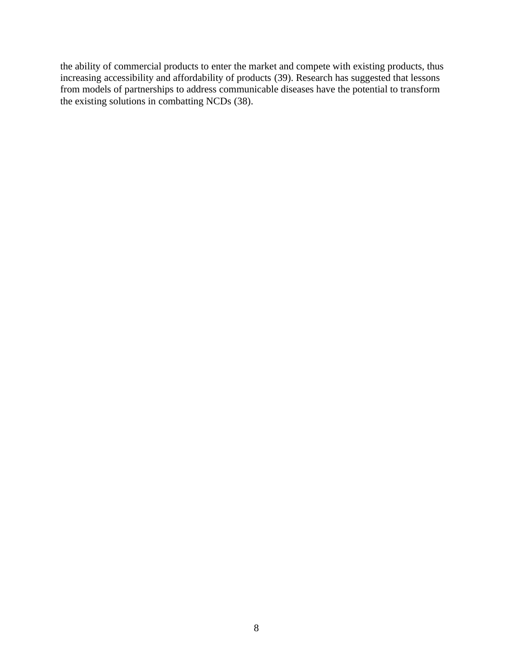the ability of commercial products to enter the market and compete with existing products, thus increasing accessibility and affordability of products (39). Research has suggested that lessons from models of partnerships to address communicable diseases have the potential to transform the existing solutions in combatting NCDs (38).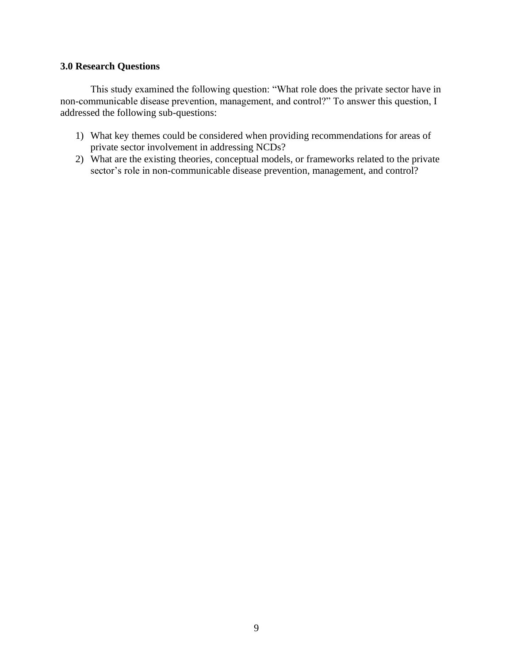# <span id="page-17-0"></span>**3.0 Research Questions**

This study examined the following question: "What role does the private sector have in non-communicable disease prevention, management, and control?" To answer this question, I addressed the following sub-questions:

- 1) What key themes could be considered when providing recommendations for areas of private sector involvement in addressing NCDs?
- 2) What are the existing theories, conceptual models, or frameworks related to the private sector's role in non-communicable disease prevention, management, and control?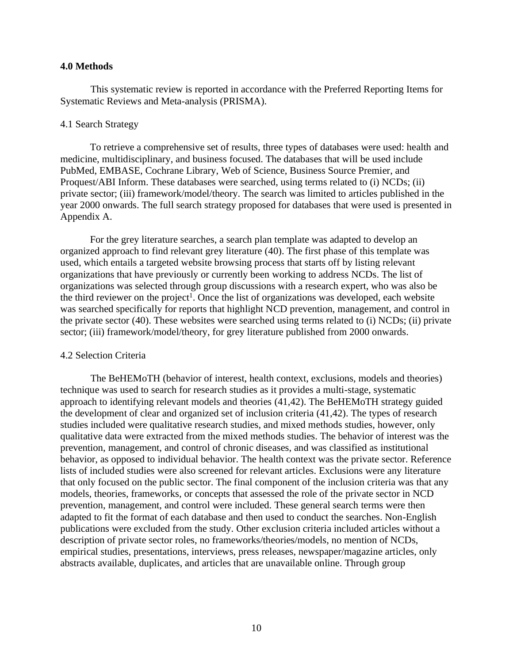# <span id="page-18-0"></span>**4.0 Methods**

This systematic review is reported in accordance with the Preferred Reporting Items for Systematic Reviews and Meta-analysis (PRISMA).

### <span id="page-18-1"></span>4.1 Search Strategy

To retrieve a comprehensive set of results, three types of databases were used: health and medicine, multidisciplinary, and business focused. The databases that will be used include PubMed, EMBASE, Cochrane Library, Web of Science, Business Source Premier, and Proquest/ABI Inform. These databases were searched, using terms related to (i) NCDs; (ii) private sector; (iii) framework/model/theory. The search was limited to articles published in the year 2000 onwards. The full search strategy proposed for databases that were used is presented in Appendix A.

For the grey literature searches, a search plan template was adapted to develop an organized approach to find relevant grey literature (40). The first phase of this template was used, which entails a targeted website browsing process that starts off by listing relevant organizations that have previously or currently been working to address NCDs. The list of organizations was selected through group discussions with a research expert, who was also be the third reviewer on the project<sup>1</sup>. Once the list of organizations was developed, each website was searched specifically for reports that highlight NCD prevention, management, and control in the private sector (40). These websites were searched using terms related to (i) NCDs; (ii) private sector; (iii) framework/model/theory, for grey literature published from 2000 onwards.

#### <span id="page-18-2"></span>4.2 Selection Criteria

The BeHEMoTH (behavior of interest, health context, exclusions, models and theories) technique was used to search for research studies as it provides a multi-stage, systematic approach to identifying relevant models and theories (41,42). The BeHEMoTH strategy guided the development of clear and organized set of inclusion criteria (41,42). The types of research studies included were qualitative research studies, and mixed methods studies, however, only qualitative data were extracted from the mixed methods studies. The behavior of interest was the prevention, management, and control of chronic diseases, and was classified as institutional behavior, as opposed to individual behavior. The health context was the private sector. Reference lists of included studies were also screened for relevant articles. Exclusions were any literature that only focused on the public sector. The final component of the inclusion criteria was that any models, theories, frameworks, or concepts that assessed the role of the private sector in NCD prevention, management, and control were included. These general search terms were then adapted to fit the format of each database and then used to conduct the searches. Non-English publications were excluded from the study. Other exclusion criteria included articles without a description of private sector roles, no frameworks/theories/models, no mention of NCDs, empirical studies, presentations, interviews, press releases, newspaper/magazine articles, only abstracts available, duplicates, and articles that are unavailable online. Through group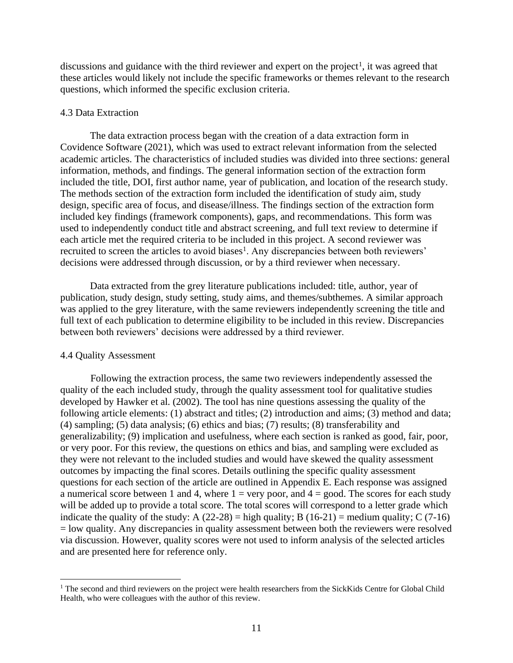discussions and guidance with the third reviewer and expert on the project<sup>1</sup>, it was agreed that these articles would likely not include the specific frameworks or themes relevant to the research questions, which informed the specific exclusion criteria.

### <span id="page-19-0"></span>4.3 Data Extraction

The data extraction process began with the creation of a data extraction form in Covidence Software (2021), which was used to extract relevant information from the selected academic articles. The characteristics of included studies was divided into three sections: general information, methods, and findings. The general information section of the extraction form included the title, DOI, first author name, year of publication, and location of the research study. The methods section of the extraction form included the identification of study aim, study design, specific area of focus, and disease/illness. The findings section of the extraction form included key findings (framework components), gaps, and recommendations. This form was used to independently conduct title and abstract screening, and full text review to determine if each article met the required criteria to be included in this project. A second reviewer was recruited to screen the articles to avoid biases<sup>1</sup>. Any discrepancies between both reviewers' decisions were addressed through discussion, or by a third reviewer when necessary.

Data extracted from the grey literature publications included: title, author, year of publication, study design, study setting, study aims, and themes/subthemes. A similar approach was applied to the grey literature, with the same reviewers independently screening the title and full text of each publication to determine eligibility to be included in this review. Discrepancies between both reviewers' decisions were addressed by a third reviewer.

### <span id="page-19-1"></span>4.4 Quality Assessment

Following the extraction process, the same two reviewers independently assessed the quality of the each included study, through the quality assessment tool for qualitative studies developed by Hawker et al. (2002). The tool has nine questions assessing the quality of the following article elements: (1) abstract and titles; (2) introduction and aims; (3) method and data; (4) sampling; (5) data analysis; (6) ethics and bias; (7) results; (8) transferability and generalizability; (9) implication and usefulness, where each section is ranked as good, fair, poor, or very poor. For this review, the questions on ethics and bias, and sampling were excluded as they were not relevant to the included studies and would have skewed the quality assessment outcomes by impacting the final scores. Details outlining the specific quality assessment questions for each section of the article are outlined in Appendix E. Each response was assigned a numerical score between 1 and 4, where  $1 = \text{very poor}$ , and  $4 = \text{good}$ . The scores for each study will be added up to provide a total score. The total scores will correspond to a letter grade which indicate the quality of the study: A  $(22-28)$  = high quality; B  $(16-21)$  = medium quality; C  $(7-16)$ = low quality. Any discrepancies in quality assessment between both the reviewers were resolved via discussion. However, quality scores were not used to inform analysis of the selected articles and are presented here for reference only.

<sup>&</sup>lt;sup>1</sup> The second and third reviewers on the project were health researchers from the SickKids Centre for Global Child Health, who were colleagues with the author of this review.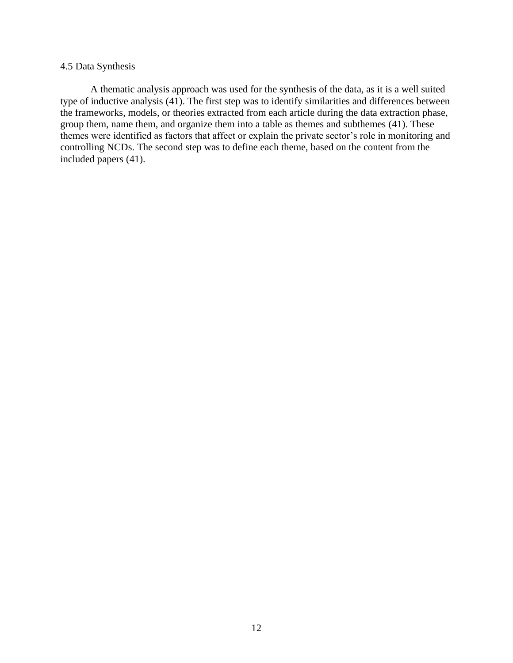# <span id="page-20-0"></span>4.5 Data Synthesis

A thematic analysis approach was used for the synthesis of the data, as it is a well suited type of inductive analysis (41). The first step was to identify similarities and differences between the frameworks, models, or theories extracted from each article during the data extraction phase, group them, name them, and organize them into a table as themes and subthemes (41). These themes were identified as factors that affect or explain the private sector's role in monitoring and controlling NCDs. The second step was to define each theme, based on the content from the included papers (41).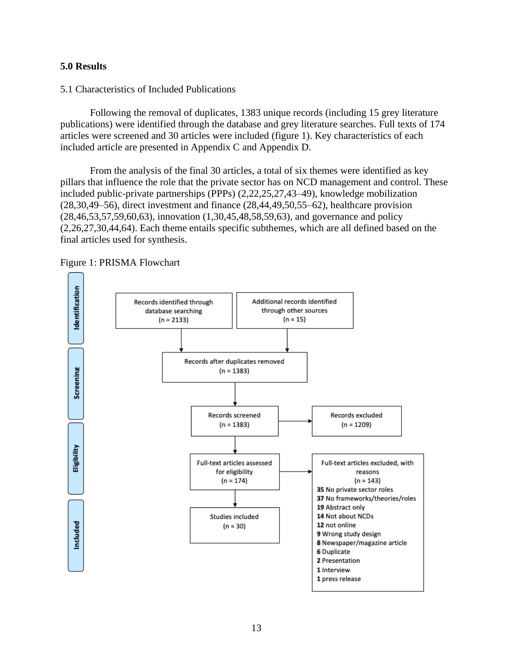# <span id="page-21-0"></span>**5.0 Results**

# <span id="page-21-1"></span>5.1 Characteristics of Included Publications

Following the removal of duplicates, 1383 unique records (including 15 grey literature publications) were identified through the database and grey literature searches. Full texts of 174 articles were screened and 30 articles were included (figure 1). Key characteristics of each included article are presented in Appendix C and Appendix D.

From the analysis of the final 30 articles, a total of six themes were identified as key pillars that influence the role that the private sector has on NCD management and control. These included public-private partnerships (PPPs) (2,22,25,27,43–49), knowledge mobilization (28,30,49–56), direct investment and finance (28,44,49,50,55–62), healthcare provision (28,46,53,57,59,60,63), innovation (1,30,45,48,58,59,63), and governance and policy (2,26,27,30,44,64). Each theme entails specific subthemes, which are all defined based on the final articles used for synthesis.



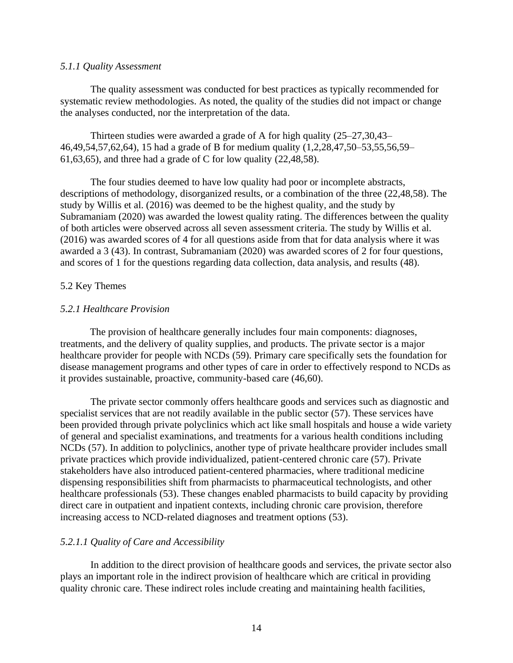### <span id="page-22-0"></span>*5.1.1 Quality Assessment*

The quality assessment was conducted for best practices as typically recommended for systematic review methodologies. As noted, the quality of the studies did not impact or change the analyses conducted, nor the interpretation of the data.

Thirteen studies were awarded a grade of A for high quality (25–27,30,43– 46,49,54,57,62,64), 15 had a grade of B for medium quality (1,2,28,47,50–53,55,56,59– 61,63,65), and three had a grade of C for low quality (22,48,58).

The four studies deemed to have low quality had poor or incomplete abstracts, descriptions of methodology, disorganized results, or a combination of the three (22,48,58). The study by Willis et al. (2016) was deemed to be the highest quality, and the study by Subramaniam (2020) was awarded the lowest quality rating. The differences between the quality of both articles were observed across all seven assessment criteria. The study by Willis et al. (2016) was awarded scores of 4 for all questions aside from that for data analysis where it was awarded a 3 (43). In contrast, Subramaniam (2020) was awarded scores of 2 for four questions, and scores of 1 for the questions regarding data collection, data analysis, and results (48).

### <span id="page-22-1"></span>5.2 Key Themes

# <span id="page-22-2"></span>*5.2.1 Healthcare Provision*

The provision of healthcare generally includes four main components: diagnoses, treatments, and the delivery of quality supplies, and products. The private sector is a major healthcare provider for people with NCDs (59). Primary care specifically sets the foundation for disease management programs and other types of care in order to effectively respond to NCDs as it provides sustainable, proactive, community-based care (46,60).

The private sector commonly offers healthcare goods and services such as diagnostic and specialist services that are not readily available in the public sector (57). These services have been provided through private polyclinics which act like small hospitals and house a wide variety of general and specialist examinations, and treatments for a various health conditions including NCDs (57). In addition to polyclinics, another type of private healthcare provider includes small private practices which provide individualized, patient-centered chronic care (57). Private stakeholders have also introduced patient-centered pharmacies, where traditional medicine dispensing responsibilities shift from pharmacists to pharmaceutical technologists, and other healthcare professionals (53). These changes enabled pharmacists to build capacity by providing direct care in outpatient and inpatient contexts, including chronic care provision, therefore increasing access to NCD-related diagnoses and treatment options (53).

#### <span id="page-22-3"></span>*5.2.1.1 Quality of Care and Accessibility*

In addition to the direct provision of healthcare goods and services, the private sector also plays an important role in the indirect provision of healthcare which are critical in providing quality chronic care. These indirect roles include creating and maintaining health facilities,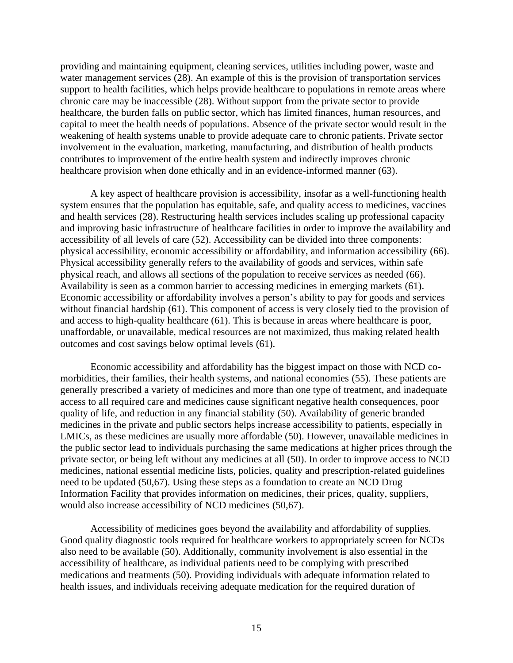providing and maintaining equipment, cleaning services, utilities including power, waste and water management services (28). An example of this is the provision of transportation services support to health facilities, which helps provide healthcare to populations in remote areas where chronic care may be inaccessible (28). Without support from the private sector to provide healthcare, the burden falls on public sector, which has limited finances, human resources, and capital to meet the health needs of populations. Absence of the private sector would result in the weakening of health systems unable to provide adequate care to chronic patients. Private sector involvement in the evaluation, marketing, manufacturing, and distribution of health products contributes to improvement of the entire health system and indirectly improves chronic healthcare provision when done ethically and in an evidence-informed manner (63).

A key aspect of healthcare provision is accessibility, insofar as a well-functioning health system ensures that the population has equitable, safe, and quality access to medicines, vaccines and health services (28). Restructuring health services includes scaling up professional capacity and improving basic infrastructure of healthcare facilities in order to improve the availability and accessibility of all levels of care (52). Accessibility can be divided into three components: physical accessibility, economic accessibility or affordability, and information accessibility (66). Physical accessibility generally refers to the availability of goods and services, within safe physical reach, and allows all sections of the population to receive services as needed (66). Availability is seen as a common barrier to accessing medicines in emerging markets (61). Economic accessibility or affordability involves a person's ability to pay for goods and services without financial hardship (61). This component of access is very closely tied to the provision of and access to high-quality healthcare (61). This is because in areas where healthcare is poor, unaffordable, or unavailable, medical resources are not maximized, thus making related health outcomes and cost savings below optimal levels (61).

Economic accessibility and affordability has the biggest impact on those with NCD comorbidities, their families, their health systems, and national economies (55). These patients are generally prescribed a variety of medicines and more than one type of treatment, and inadequate access to all required care and medicines cause significant negative health consequences, poor quality of life, and reduction in any financial stability (50). Availability of generic branded medicines in the private and public sectors helps increase accessibility to patients, especially in LMICs, as these medicines are usually more affordable (50). However, unavailable medicines in the public sector lead to individuals purchasing the same medications at higher prices through the private sector, or being left without any medicines at all (50). In order to improve access to NCD medicines, national essential medicine lists, policies, quality and prescription-related guidelines need to be updated (50,67). Using these steps as a foundation to create an NCD Drug Information Facility that provides information on medicines, their prices, quality, suppliers, would also increase accessibility of NCD medicines (50,67).

Accessibility of medicines goes beyond the availability and affordability of supplies. Good quality diagnostic tools required for healthcare workers to appropriately screen for NCDs also need to be available (50). Additionally, community involvement is also essential in the accessibility of healthcare, as individual patients need to be complying with prescribed medications and treatments (50). Providing individuals with adequate information related to health issues, and individuals receiving adequate medication for the required duration of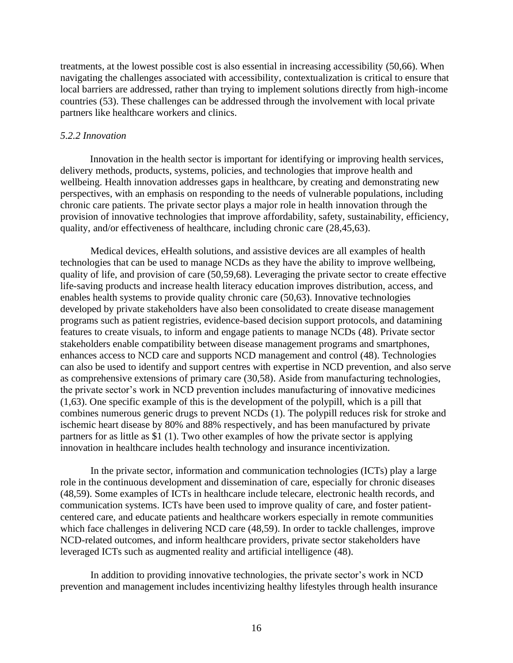treatments, at the lowest possible cost is also essential in increasing accessibility (50,66). When navigating the challenges associated with accessibility, contextualization is critical to ensure that local barriers are addressed, rather than trying to implement solutions directly from high-income countries (53). These challenges can be addressed through the involvement with local private partners like healthcare workers and clinics.

### <span id="page-24-0"></span>*5.2.2 Innovation*

Innovation in the health sector is important for identifying or improving health services, delivery methods, products, systems, policies, and technologies that improve health and wellbeing. Health innovation addresses gaps in healthcare, by creating and demonstrating new perspectives, with an emphasis on responding to the needs of vulnerable populations, including chronic care patients. The private sector plays a major role in health innovation through the provision of innovative technologies that improve affordability, safety, sustainability, efficiency, quality, and/or effectiveness of healthcare, including chronic care (28,45,63).

Medical devices, eHealth solutions, and assistive devices are all examples of health technologies that can be used to manage NCDs as they have the ability to improve wellbeing, quality of life, and provision of care (50,59,68). Leveraging the private sector to create effective life-saving products and increase health literacy education improves distribution, access, and enables health systems to provide quality chronic care (50,63). Innovative technologies developed by private stakeholders have also been consolidated to create disease management programs such as patient registries, evidence-based decision support protocols, and datamining features to create visuals, to inform and engage patients to manage NCDs (48). Private sector stakeholders enable compatibility between disease management programs and smartphones, enhances access to NCD care and supports NCD management and control (48). Technologies can also be used to identify and support centres with expertise in NCD prevention, and also serve as comprehensive extensions of primary care (30,58). Aside from manufacturing technologies, the private sector's work in NCD prevention includes manufacturing of innovative medicines (1,63). One specific example of this is the development of the polypill, which is a pill that combines numerous generic drugs to prevent NCDs (1). The polypill reduces risk for stroke and ischemic heart disease by 80% and 88% respectively, and has been manufactured by private partners for as little as \$1 (1). Two other examples of how the private sector is applying innovation in healthcare includes health technology and insurance incentivization.

In the private sector, information and communication technologies (ICTs) play a large role in the continuous development and dissemination of care, especially for chronic diseases (48,59). Some examples of ICTs in healthcare include telecare, electronic health records, and communication systems. ICTs have been used to improve quality of care, and foster patientcentered care, and educate patients and healthcare workers especially in remote communities which face challenges in delivering NCD care (48,59). In order to tackle challenges, improve NCD-related outcomes, and inform healthcare providers, private sector stakeholders have leveraged ICTs such as augmented reality and artificial intelligence (48).

In addition to providing innovative technologies, the private sector's work in NCD prevention and management includes incentivizing healthy lifestyles through health insurance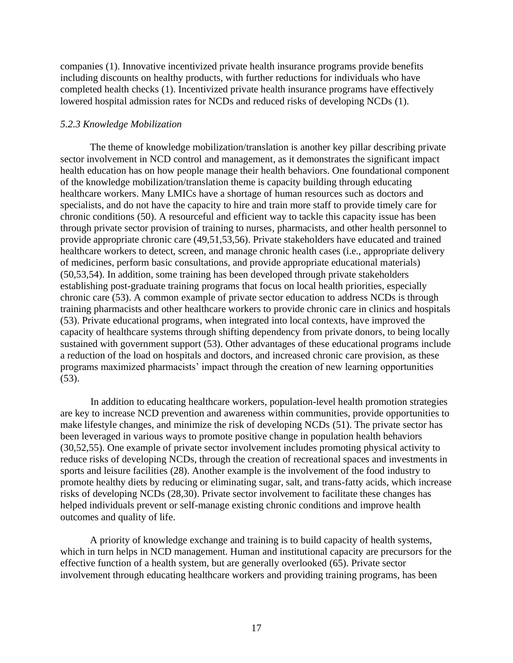companies (1). Innovative incentivized private health insurance programs provide benefits including discounts on healthy products, with further reductions for individuals who have completed health checks (1). Incentivized private health insurance programs have effectively lowered hospital admission rates for NCDs and reduced risks of developing NCDs (1).

# <span id="page-25-0"></span>*5.2.3 Knowledge Mobilization*

The theme of knowledge mobilization/translation is another key pillar describing private sector involvement in NCD control and management, as it demonstrates the significant impact health education has on how people manage their health behaviors. One foundational component of the knowledge mobilization/translation theme is capacity building through educating healthcare workers. Many LMICs have a shortage of human resources such as doctors and specialists, and do not have the capacity to hire and train more staff to provide timely care for chronic conditions (50). A resourceful and efficient way to tackle this capacity issue has been through private sector provision of training to nurses, pharmacists, and other health personnel to provide appropriate chronic care (49,51,53,56). Private stakeholders have educated and trained healthcare workers to detect, screen, and manage chronic health cases (i.e., appropriate delivery of medicines, perform basic consultations, and provide appropriate educational materials) (50,53,54). In addition, some training has been developed through private stakeholders establishing post-graduate training programs that focus on local health priorities, especially chronic care (53). A common example of private sector education to address NCDs is through training pharmacists and other healthcare workers to provide chronic care in clinics and hospitals (53). Private educational programs, when integrated into local contexts, have improved the capacity of healthcare systems through shifting dependency from private donors, to being locally sustained with government support (53). Other advantages of these educational programs include a reduction of the load on hospitals and doctors, and increased chronic care provision, as these programs maximized pharmacists' impact through the creation of new learning opportunities (53).

In addition to educating healthcare workers, population-level health promotion strategies are key to increase NCD prevention and awareness within communities, provide opportunities to make lifestyle changes, and minimize the risk of developing NCDs (51). The private sector has been leveraged in various ways to promote positive change in population health behaviors (30,52,55). One example of private sector involvement includes promoting physical activity to reduce risks of developing NCDs, through the creation of recreational spaces and investments in sports and leisure facilities (28). Another example is the involvement of the food industry to promote healthy diets by reducing or eliminating sugar, salt, and trans-fatty acids, which increase risks of developing NCDs (28,30). Private sector involvement to facilitate these changes has helped individuals prevent or self-manage existing chronic conditions and improve health outcomes and quality of life.

A priority of knowledge exchange and training is to build capacity of health systems, which in turn helps in NCD management. Human and institutional capacity are precursors for the effective function of a health system, but are generally overlooked (65). Private sector involvement through educating healthcare workers and providing training programs, has been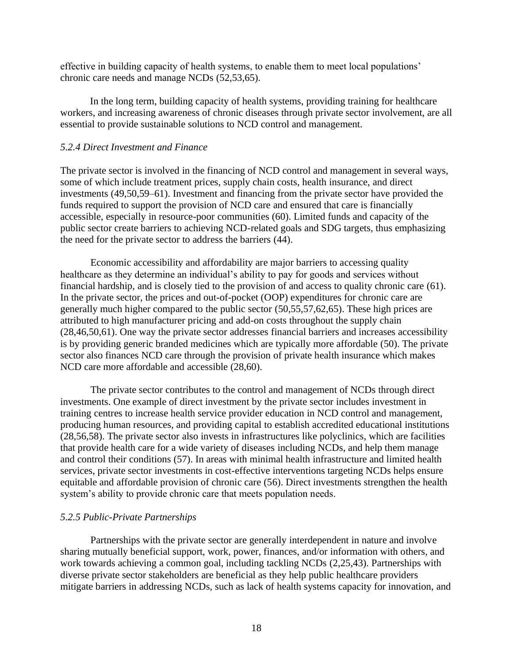effective in building capacity of health systems, to enable them to meet local populations' chronic care needs and manage NCDs (52,53,65).

In the long term, building capacity of health systems, providing training for healthcare workers, and increasing awareness of chronic diseases through private sector involvement, are all essential to provide sustainable solutions to NCD control and management.

### <span id="page-26-0"></span>*5.2.4 Direct Investment and Finance*

The private sector is involved in the financing of NCD control and management in several ways, some of which include treatment prices, supply chain costs, health insurance, and direct investments (49,50,59–61). Investment and financing from the private sector have provided the funds required to support the provision of NCD care and ensured that care is financially accessible, especially in resource-poor communities (60). Limited funds and capacity of the public sector create barriers to achieving NCD-related goals and SDG targets, thus emphasizing the need for the private sector to address the barriers (44).

Economic accessibility and affordability are major barriers to accessing quality healthcare as they determine an individual's ability to pay for goods and services without financial hardship, and is closely tied to the provision of and access to quality chronic care (61). In the private sector, the prices and out-of-pocket (OOP) expenditures for chronic care are generally much higher compared to the public sector (50,55,57,62,65). These high prices are attributed to high manufacturer pricing and add-on costs throughout the supply chain (28,46,50,61). One way the private sector addresses financial barriers and increases accessibility is by providing generic branded medicines which are typically more affordable (50). The private sector also finances NCD care through the provision of private health insurance which makes NCD care more affordable and accessible (28,60).

The private sector contributes to the control and management of NCDs through direct investments. One example of direct investment by the private sector includes investment in training centres to increase health service provider education in NCD control and management, producing human resources, and providing capital to establish accredited educational institutions (28,56,58). The private sector also invests in infrastructures like polyclinics, which are facilities that provide health care for a wide variety of diseases including NCDs, and help them manage and control their conditions (57). In areas with minimal health infrastructure and limited health services, private sector investments in cost-effective interventions targeting NCDs helps ensure equitable and affordable provision of chronic care (56). Direct investments strengthen the health system's ability to provide chronic care that meets population needs.

#### <span id="page-26-1"></span>*5.2.5 Public-Private Partnerships*

Partnerships with the private sector are generally interdependent in nature and involve sharing mutually beneficial support, work, power, finances, and/or information with others, and work towards achieving a common goal, including tackling NCDs (2,25,43). Partnerships with diverse private sector stakeholders are beneficial as they help public healthcare providers mitigate barriers in addressing NCDs, such as lack of health systems capacity for innovation, and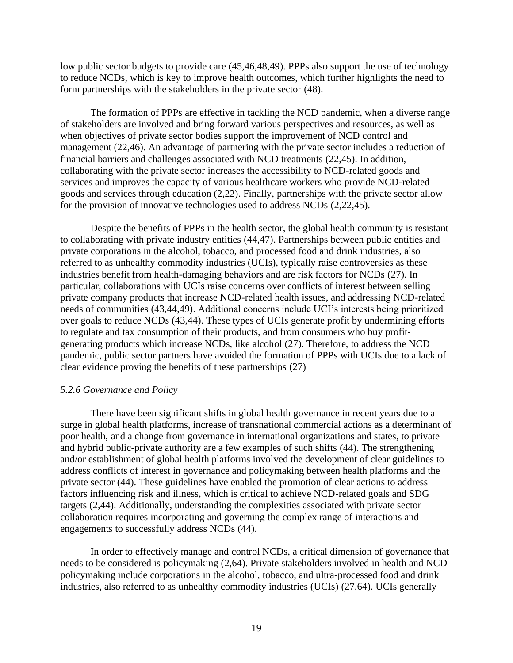low public sector budgets to provide care (45,46,48,49). PPPs also support the use of technology to reduce NCDs, which is key to improve health outcomes, which further highlights the need to form partnerships with the stakeholders in the private sector (48).

The formation of PPPs are effective in tackling the NCD pandemic, when a diverse range of stakeholders are involved and bring forward various perspectives and resources, as well as when objectives of private sector bodies support the improvement of NCD control and management (22,46). An advantage of partnering with the private sector includes a reduction of financial barriers and challenges associated with NCD treatments (22,45). In addition, collaborating with the private sector increases the accessibility to NCD-related goods and services and improves the capacity of various healthcare workers who provide NCD-related goods and services through education (2,22). Finally, partnerships with the private sector allow for the provision of innovative technologies used to address NCDs (2,22,45).

Despite the benefits of PPPs in the health sector, the global health community is resistant to collaborating with private industry entities (44,47). Partnerships between public entities and private corporations in the alcohol, tobacco, and processed food and drink industries, also referred to as unhealthy commodity industries (UCIs), typically raise controversies as these industries benefit from health-damaging behaviors and are risk factors for NCDs (27). In particular, collaborations with UCIs raise concerns over conflicts of interest between selling private company products that increase NCD-related health issues, and addressing NCD-related needs of communities (43,44,49). Additional concerns include UCI's interests being prioritized over goals to reduce NCDs (43,44). These types of UCIs generate profit by undermining efforts to regulate and tax consumption of their products, and from consumers who buy profitgenerating products which increase NCDs, like alcohol (27). Therefore, to address the NCD pandemic, public sector partners have avoided the formation of PPPs with UCIs due to a lack of clear evidence proving the benefits of these partnerships (27)

# <span id="page-27-0"></span>*5.2.6 Governance and Policy*

There have been significant shifts in global health governance in recent years due to a surge in global health platforms, increase of transnational commercial actions as a determinant of poor health, and a change from governance in international organizations and states, to private and hybrid public-private authority are a few examples of such shifts (44). The strengthening and/or establishment of global health platforms involved the development of clear guidelines to address conflicts of interest in governance and policymaking between health platforms and the private sector (44). These guidelines have enabled the promotion of clear actions to address factors influencing risk and illness, which is critical to achieve NCD-related goals and SDG targets (2,44). Additionally, understanding the complexities associated with private sector collaboration requires incorporating and governing the complex range of interactions and engagements to successfully address NCDs (44).

In order to effectively manage and control NCDs, a critical dimension of governance that needs to be considered is policymaking (2,64). Private stakeholders involved in health and NCD policymaking include corporations in the alcohol, tobacco, and ultra-processed food and drink industries, also referred to as unhealthy commodity industries (UCIs) (27,64). UCIs generally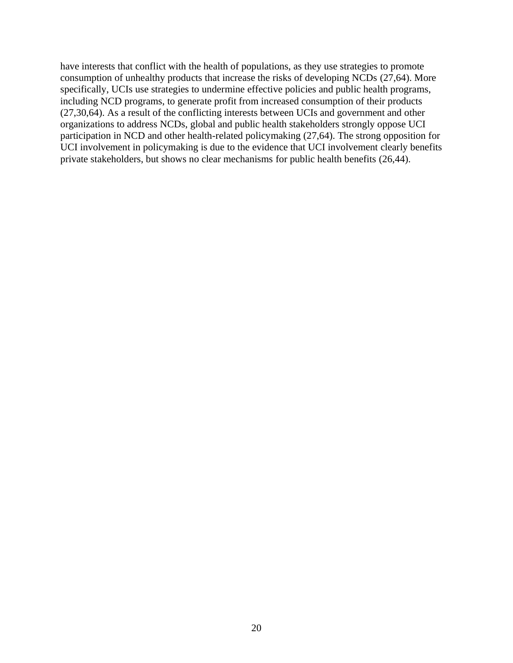have interests that conflict with the health of populations, as they use strategies to promote consumption of unhealthy products that increase the risks of developing NCDs (27,64). More specifically, UCIs use strategies to undermine effective policies and public health programs, including NCD programs, to generate profit from increased consumption of their products (27,30,64). As a result of the conflicting interests between UCIs and government and other organizations to address NCDs, global and public health stakeholders strongly oppose UCI participation in NCD and other health-related policymaking (27,64). The strong opposition for UCI involvement in policymaking is due to the evidence that UCI involvement clearly benefits private stakeholders, but shows no clear mechanisms for public health benefits (26,44).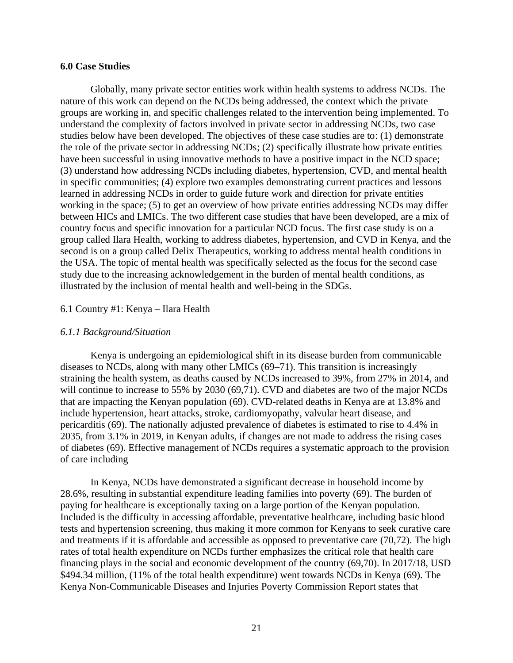## <span id="page-29-0"></span>**6.0 Case Studies**

Globally, many private sector entities work within health systems to address NCDs. The nature of this work can depend on the NCDs being addressed, the context which the private groups are working in, and specific challenges related to the intervention being implemented. To understand the complexity of factors involved in private sector in addressing NCDs, two case studies below have been developed. The objectives of these case studies are to: (1) demonstrate the role of the private sector in addressing NCDs; (2) specifically illustrate how private entities have been successful in using innovative methods to have a positive impact in the NCD space; (3) understand how addressing NCDs including diabetes, hypertension, CVD, and mental health in specific communities; (4) explore two examples demonstrating current practices and lessons learned in addressing NCDs in order to guide future work and direction for private entities working in the space; (5) to get an overview of how private entities addressing NCDs may differ between HICs and LMICs. The two different case studies that have been developed, are a mix of country focus and specific innovation for a particular NCD focus. The first case study is on a group called Ilara Health, working to address diabetes, hypertension, and CVD in Kenya, and the second is on a group called Delix Therapeutics, working to address mental health conditions in the USA. The topic of mental health was specifically selected as the focus for the second case study due to the increasing acknowledgement in the burden of mental health conditions, as illustrated by the inclusion of mental health and well-being in the SDGs.

### <span id="page-29-1"></span>6.1 Country #1: Kenya – Ilara Health

### <span id="page-29-2"></span>*6.1.1 Background/Situation*

Kenya is undergoing an epidemiological shift in its disease burden from communicable diseases to NCDs, along with many other LMICs (69–71). This transition is increasingly straining the health system, as deaths caused by NCDs increased to 39%, from 27% in 2014, and will continue to increase to 55% by 2030 (69,71). CVD and diabetes are two of the major NCDs that are impacting the Kenyan population (69). CVD-related deaths in Kenya are at 13.8% and include hypertension, heart attacks, stroke, cardiomyopathy, valvular heart disease, and pericarditis (69). The nationally adjusted prevalence of diabetes is estimated to rise to 4.4% in 2035, from 3.1% in 2019, in Kenyan adults, if changes are not made to address the rising cases of diabetes (69). Effective management of NCDs requires a systematic approach to the provision of care including

In Kenya, NCDs have demonstrated a significant decrease in household income by 28.6%, resulting in substantial expenditure leading families into poverty (69). The burden of paying for healthcare is exceptionally taxing on a large portion of the Kenyan population. Included is the difficulty in accessing affordable, preventative healthcare, including basic blood tests and hypertension screening, thus making it more common for Kenyans to seek curative care and treatments if it is affordable and accessible as opposed to preventative care (70,72). The high rates of total health expenditure on NCDs further emphasizes the critical role that health care financing plays in the social and economic development of the country (69,70). In 2017/18, USD \$494.34 million, (11% of the total health expenditure) went towards NCDs in Kenya (69). The Kenya Non-Communicable Diseases and Injuries Poverty Commission Report states that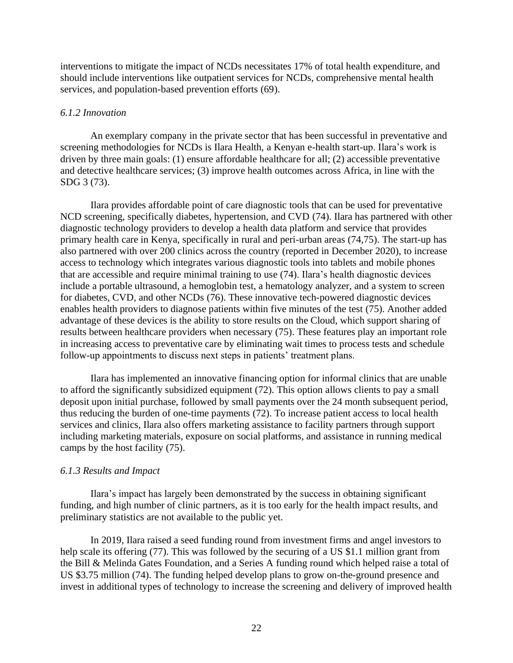interventions to mitigate the impact of NCDs necessitates 17% of total health expenditure, and should include interventions like outpatient services for NCDs, comprehensive mental health services, and population-based prevention efforts (69).

### <span id="page-30-0"></span>*6.1.2 Innovation*

An exemplary company in the private sector that has been successful in preventative and screening methodologies for NCDs is Ilara Health, a Kenyan e-health start-up. Ilara's work is driven by three main goals: (1) ensure affordable healthcare for all; (2) accessible preventative and detective healthcare services; (3) improve health outcomes across Africa, in line with the SDG 3 (73).

Ilara provides affordable point of care diagnostic tools that can be used for preventative NCD screening, specifically diabetes, hypertension, and CVD (74). Ilara has partnered with other diagnostic technology providers to develop a health data platform and service that provides primary health care in Kenya, specifically in rural and peri-urban areas (74,75). The start-up has also partnered with over 200 clinics across the country (reported in December 2020), to increase access to technology which integrates various diagnostic tools into tablets and mobile phones that are accessible and require minimal training to use (74). Ilara's health diagnostic devices include a portable ultrasound, a hemoglobin test, a hematology analyzer, and a system to screen for diabetes, CVD, and other NCDs (76). These innovative tech-powered diagnostic devices enables health providers to diagnose patients within five minutes of the test (75). Another added advantage of these devices is the ability to store results on the Cloud, which support sharing of results between healthcare providers when necessary (75). These features play an important role in increasing access to preventative care by eliminating wait times to process tests and schedule follow-up appointments to discuss next steps in patients' treatment plans.

Ilara has implemented an innovative financing option for informal clinics that are unable to afford the significantly subsidized equipment (72). This option allows clients to pay a small deposit upon initial purchase, followed by small payments over the 24 month subsequent period, thus reducing the burden of one-time payments (72). To increase patient access to local health services and clinics, Ilara also offers marketing assistance to facility partners through support including marketing materials, exposure on social platforms, and assistance in running medical camps by the host facility (75).

### <span id="page-30-1"></span>*6.1.3 Results and Impact*

Ilara's impact has largely been demonstrated by the success in obtaining significant funding, and high number of clinic partners, as it is too early for the health impact results, and preliminary statistics are not available to the public yet.

In 2019, Ilara raised a seed funding round from investment firms and angel investors to help scale its offering (77). This was followed by the securing of a US \$1.1 million grant from the Bill & Melinda Gates Foundation, and a Series A funding round which helped raise a total of US \$3.75 million (74). The funding helped develop plans to grow on-the-ground presence and invest in additional types of technology to increase the screening and delivery of improved health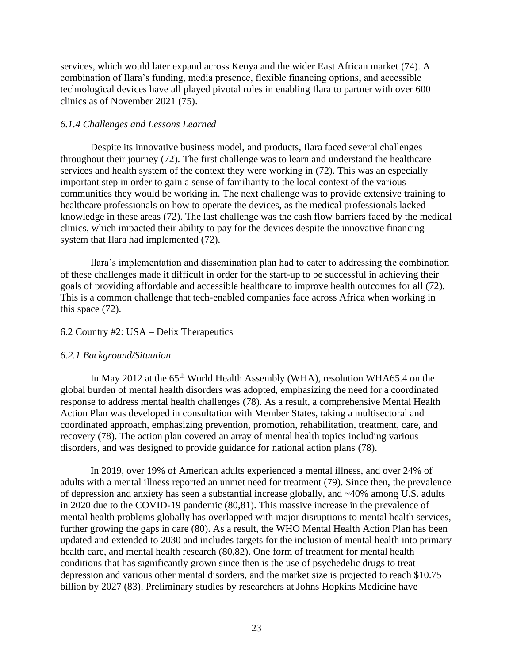services, which would later expand across Kenya and the wider East African market (74). A combination of Ilara's funding, media presence, flexible financing options, and accessible technological devices have all played pivotal roles in enabling Ilara to partner with over 600 clinics as of November 2021 (75).

# <span id="page-31-0"></span>*6.1.4 Challenges and Lessons Learned*

Despite its innovative business model, and products, Ilara faced several challenges throughout their journey (72). The first challenge was to learn and understand the healthcare services and health system of the context they were working in (72). This was an especially important step in order to gain a sense of familiarity to the local context of the various communities they would be working in. The next challenge was to provide extensive training to healthcare professionals on how to operate the devices, as the medical professionals lacked knowledge in these areas (72). The last challenge was the cash flow barriers faced by the medical clinics, which impacted their ability to pay for the devices despite the innovative financing system that Ilara had implemented (72).

Ilara's implementation and dissemination plan had to cater to addressing the combination of these challenges made it difficult in order for the start-up to be successful in achieving their goals of providing affordable and accessible healthcare to improve health outcomes for all (72). This is a common challenge that tech-enabled companies face across Africa when working in this space (72).

### <span id="page-31-1"></span>6.2 Country #2: USA – Delix Therapeutics

#### <span id="page-31-2"></span>*6.2.1 Background/Situation*

In May 2012 at the 65<sup>th</sup> World Health Assembly (WHA), resolution WHA65.4 on the global burden of mental health disorders was adopted, emphasizing the need for a coordinated response to address mental health challenges (78). As a result, a comprehensive Mental Health Action Plan was developed in consultation with Member States, taking a multisectoral and coordinated approach, emphasizing prevention, promotion, rehabilitation, treatment, care, and recovery (78). The action plan covered an array of mental health topics including various disorders, and was designed to provide guidance for national action plans (78).

In 2019, over 19% of American adults experienced a mental illness, and over 24% of adults with a mental illness reported an unmet need for treatment (79). Since then, the prevalence of depression and anxiety has seen a substantial increase globally, and ~40% among U.S. adults in 2020 due to the COVID-19 pandemic (80,81). This massive increase in the prevalence of mental health problems globally has overlapped with major disruptions to mental health services, further growing the gaps in care (80). As a result, the WHO Mental Health Action Plan has been updated and extended to 2030 and includes targets for the inclusion of mental health into primary health care, and mental health research (80,82). One form of treatment for mental health conditions that has significantly grown since then is the use of psychedelic drugs to treat depression and various other mental disorders, and the market size is projected to reach \$10.75 billion by 2027 (83). Preliminary studies by researchers at Johns Hopkins Medicine have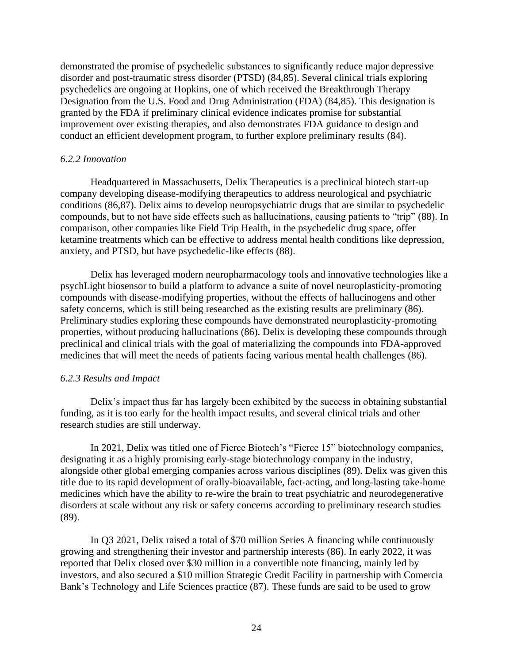demonstrated the promise of psychedelic substances to significantly reduce major depressive disorder and post-traumatic stress disorder (PTSD) (84,85). Several clinical trials exploring psychedelics are ongoing at Hopkins, one of which received the Breakthrough Therapy Designation from the U.S. Food and Drug Administration (FDA) (84,85). This designation is granted by the FDA if preliminary clinical evidence indicates promise for substantial improvement over existing therapies, and also demonstrates FDA guidance to design and conduct an efficient development program, to further explore preliminary results (84).

# <span id="page-32-0"></span>*6.2.2 Innovation*

Headquartered in Massachusetts, Delix Therapeutics is a preclinical biotech start-up company developing disease-modifying therapeutics to address neurological and psychiatric conditions (86,87). Delix aims to develop neuropsychiatric drugs that are similar to psychedelic compounds, but to not have side effects such as hallucinations, causing patients to "trip" (88). In comparison, other companies like Field Trip Health, in the psychedelic drug space, offer ketamine treatments which can be effective to address mental health conditions like depression, anxiety, and PTSD, but have psychedelic-like effects (88).

Delix has leveraged modern neuropharmacology tools and innovative technologies like a psychLight biosensor to build a platform to advance a suite of novel neuroplasticity-promoting compounds with disease-modifying properties, without the effects of hallucinogens and other safety concerns, which is still being researched as the existing results are preliminary (86). Preliminary studies exploring these compounds have demonstrated neuroplasticity-promoting properties, without producing hallucinations (86). Delix is developing these compounds through preclinical and clinical trials with the goal of materializing the compounds into FDA-approved medicines that will meet the needs of patients facing various mental health challenges (86).

#### <span id="page-32-1"></span>*6.2.3 Results and Impact*

Delix's impact thus far has largely been exhibited by the success in obtaining substantial funding, as it is too early for the health impact results, and several clinical trials and other research studies are still underway.

In 2021, Delix was titled one of Fierce Biotech's "Fierce 15" biotechnology companies, designating it as a highly promising early-stage biotechnology company in the industry, alongside other global emerging companies across various disciplines (89). Delix was given this title due to its rapid development of orally-bioavailable, fact-acting, and long-lasting take-home medicines which have the ability to re-wire the brain to treat psychiatric and neurodegenerative disorders at scale without any risk or safety concerns according to preliminary research studies (89).

In Q3 2021, Delix raised a total of \$70 million Series A financing while continuously growing and strengthening their investor and partnership interests (86). In early 2022, it was reported that Delix closed over \$30 million in a convertible note financing, mainly led by investors, and also secured a \$10 million Strategic Credit Facility in partnership with Comercia Bank's Technology and Life Sciences practice (87). These funds are said to be used to grow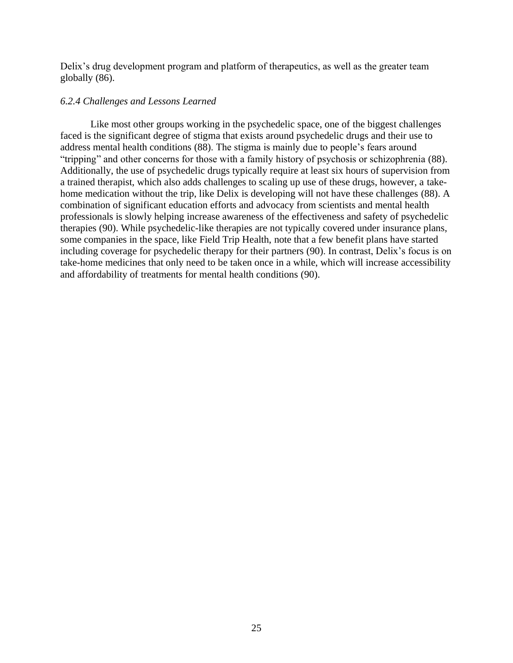Delix's drug development program and platform of therapeutics, as well as the greater team globally (86).

### <span id="page-33-0"></span>*6.2.4 Challenges and Lessons Learned*

Like most other groups working in the psychedelic space, one of the biggest challenges faced is the significant degree of stigma that exists around psychedelic drugs and their use to address mental health conditions (88). The stigma is mainly due to people's fears around "tripping" and other concerns for those with a family history of psychosis or schizophrenia (88). Additionally, the use of psychedelic drugs typically require at least six hours of supervision from a trained therapist, which also adds challenges to scaling up use of these drugs, however, a takehome medication without the trip, like Delix is developing will not have these challenges (88). A combination of significant education efforts and advocacy from scientists and mental health professionals is slowly helping increase awareness of the effectiveness and safety of psychedelic therapies (90). While psychedelic-like therapies are not typically covered under insurance plans, some companies in the space, like Field Trip Health, note that a few benefit plans have started including coverage for psychedelic therapy for their partners (90). In contrast, Delix's focus is on take-home medicines that only need to be taken once in a while, which will increase accessibility and affordability of treatments for mental health conditions (90).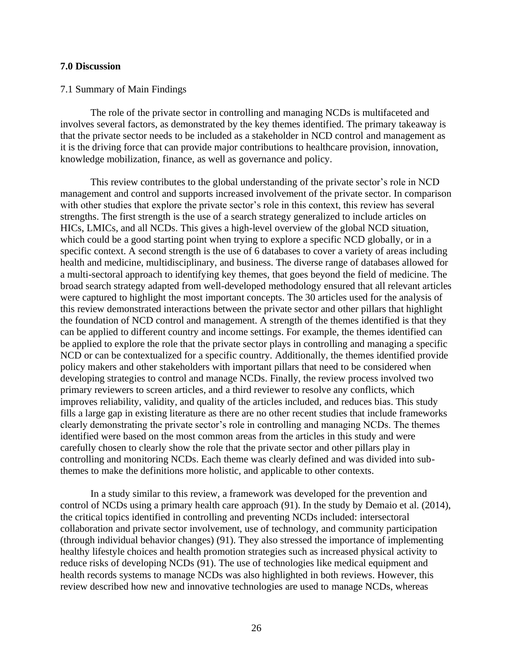# <span id="page-34-0"></span>**7.0 Discussion**

### <span id="page-34-1"></span>7.1 Summary of Main Findings

The role of the private sector in controlling and managing NCDs is multifaceted and involves several factors, as demonstrated by the key themes identified. The primary takeaway is that the private sector needs to be included as a stakeholder in NCD control and management as it is the driving force that can provide major contributions to healthcare provision, innovation, knowledge mobilization, finance, as well as governance and policy.

This review contributes to the global understanding of the private sector's role in NCD management and control and supports increased involvement of the private sector. In comparison with other studies that explore the private sector's role in this context, this review has several strengths. The first strength is the use of a search strategy generalized to include articles on HICs, LMICs, and all NCDs. This gives a high-level overview of the global NCD situation, which could be a good starting point when trying to explore a specific NCD globally, or in a specific context. A second strength is the use of 6 databases to cover a variety of areas including health and medicine, multidisciplinary, and business. The diverse range of databases allowed for a multi-sectoral approach to identifying key themes, that goes beyond the field of medicine. The broad search strategy adapted from well-developed methodology ensured that all relevant articles were captured to highlight the most important concepts. The 30 articles used for the analysis of this review demonstrated interactions between the private sector and other pillars that highlight the foundation of NCD control and management. A strength of the themes identified is that they can be applied to different country and income settings. For example, the themes identified can be applied to explore the role that the private sector plays in controlling and managing a specific NCD or can be contextualized for a specific country. Additionally, the themes identified provide policy makers and other stakeholders with important pillars that need to be considered when developing strategies to control and manage NCDs. Finally, the review process involved two primary reviewers to screen articles, and a third reviewer to resolve any conflicts, which improves reliability, validity, and quality of the articles included, and reduces bias. This study fills a large gap in existing literature as there are no other recent studies that include frameworks clearly demonstrating the private sector's role in controlling and managing NCDs. The themes identified were based on the most common areas from the articles in this study and were carefully chosen to clearly show the role that the private sector and other pillars play in controlling and monitoring NCDs. Each theme was clearly defined and was divided into subthemes to make the definitions more holistic, and applicable to other contexts.

In a study similar to this review, a framework was developed for the prevention and control of NCDs using a primary health care approach (91). In the study by Demaio et al. (2014), the critical topics identified in controlling and preventing NCDs included: intersectoral collaboration and private sector involvement, use of technology, and community participation (through individual behavior changes) (91). They also stressed the importance of implementing healthy lifestyle choices and health promotion strategies such as increased physical activity to reduce risks of developing NCDs (91). The use of technologies like medical equipment and health records systems to manage NCDs was also highlighted in both reviews. However, this review described how new and innovative technologies are used to manage NCDs, whereas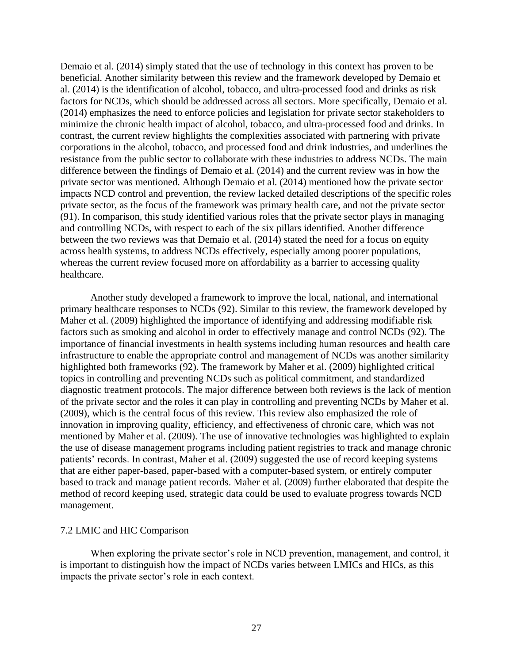Demaio et al. (2014) simply stated that the use of technology in this context has proven to be beneficial. Another similarity between this review and the framework developed by Demaio et al. (2014) is the identification of alcohol, tobacco, and ultra-processed food and drinks as risk factors for NCDs, which should be addressed across all sectors. More specifically, Demaio et al. (2014) emphasizes the need to enforce policies and legislation for private sector stakeholders to minimize the chronic health impact of alcohol, tobacco, and ultra-processed food and drinks. In contrast, the current review highlights the complexities associated with partnering with private corporations in the alcohol, tobacco, and processed food and drink industries, and underlines the resistance from the public sector to collaborate with these industries to address NCDs. The main difference between the findings of Demaio et al. (2014) and the current review was in how the private sector was mentioned. Although Demaio et al. (2014) mentioned how the private sector impacts NCD control and prevention, the review lacked detailed descriptions of the specific roles private sector, as the focus of the framework was primary health care, and not the private sector (91). In comparison, this study identified various roles that the private sector plays in managing and controlling NCDs, with respect to each of the six pillars identified. Another difference between the two reviews was that Demaio et al. (2014) stated the need for a focus on equity across health systems, to address NCDs effectively, especially among poorer populations, whereas the current review focused more on affordability as a barrier to accessing quality healthcare.

Another study developed a framework to improve the local, national, and international primary healthcare responses to NCDs (92). Similar to this review, the framework developed by Maher et al. (2009) highlighted the importance of identifying and addressing modifiable risk factors such as smoking and alcohol in order to effectively manage and control NCDs (92). The importance of financial investments in health systems including human resources and health care infrastructure to enable the appropriate control and management of NCDs was another similarity highlighted both frameworks (92). The framework by Maher et al. (2009) highlighted critical topics in controlling and preventing NCDs such as political commitment, and standardized diagnostic treatment protocols. The major difference between both reviews is the lack of mention of the private sector and the roles it can play in controlling and preventing NCDs by Maher et al. (2009), which is the central focus of this review. This review also emphasized the role of innovation in improving quality, efficiency, and effectiveness of chronic care, which was not mentioned by Maher et al. (2009). The use of innovative technologies was highlighted to explain the use of disease management programs including patient registries to track and manage chronic patients' records. In contrast, Maher et al. (2009) suggested the use of record keeping systems that are either paper-based, paper-based with a computer-based system, or entirely computer based to track and manage patient records. Maher et al. (2009) further elaborated that despite the method of record keeping used, strategic data could be used to evaluate progress towards NCD management.

# <span id="page-35-0"></span>7.2 LMIC and HIC Comparison

When exploring the private sector's role in NCD prevention, management, and control, it is important to distinguish how the impact of NCDs varies between LMICs and HICs, as this impacts the private sector's role in each context.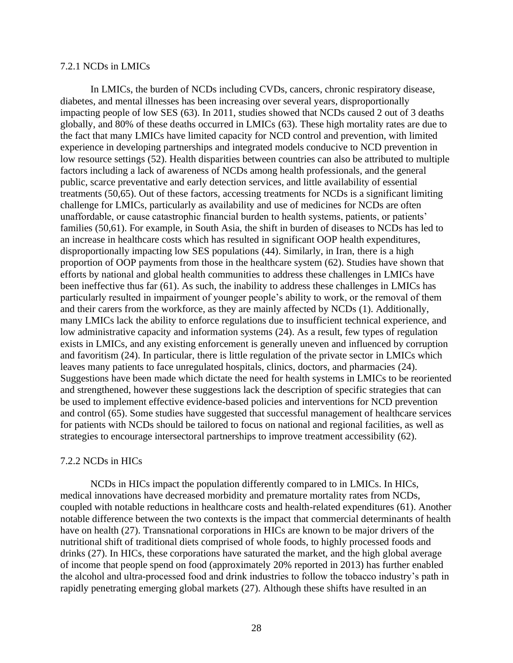#### 7.2.1 NCDs in LMICs

In LMICs, the burden of NCDs including CVDs, cancers, chronic respiratory disease, diabetes, and mental illnesses has been increasing over several years, disproportionally impacting people of low SES (63). In 2011, studies showed that NCDs caused 2 out of 3 deaths globally, and 80% of these deaths occurred in LMICs (63). These high mortality rates are due to the fact that many LMICs have limited capacity for NCD control and prevention, with limited experience in developing partnerships and integrated models conducive to NCD prevention in low resource settings (52). Health disparities between countries can also be attributed to multiple factors including a lack of awareness of NCDs among health professionals, and the general public, scarce preventative and early detection services, and little availability of essential treatments (50,65). Out of these factors, accessing treatments for NCDs is a significant limiting challenge for LMICs, particularly as availability and use of medicines for NCDs are often unaffordable, or cause catastrophic financial burden to health systems, patients, or patients' families (50,61). For example, in South Asia, the shift in burden of diseases to NCDs has led to an increase in healthcare costs which has resulted in significant OOP health expenditures, disproportionally impacting low SES populations (44). Similarly, in Iran, there is a high proportion of OOP payments from those in the healthcare system (62). Studies have shown that efforts by national and global health communities to address these challenges in LMICs have been ineffective thus far (61). As such, the inability to address these challenges in LMICs has particularly resulted in impairment of younger people's ability to work, or the removal of them and their carers from the workforce, as they are mainly affected by NCDs (1). Additionally, many LMICs lack the ability to enforce regulations due to insufficient technical experience, and low administrative capacity and information systems (24). As a result, few types of regulation exists in LMICs, and any existing enforcement is generally uneven and influenced by corruption and favoritism (24). In particular, there is little regulation of the private sector in LMICs which leaves many patients to face unregulated hospitals, clinics, doctors, and pharmacies (24). Suggestions have been made which dictate the need for health systems in LMICs to be reoriented and strengthened, however these suggestions lack the description of specific strategies that can be used to implement effective evidence-based policies and interventions for NCD prevention and control (65). Some studies have suggested that successful management of healthcare services for patients with NCDs should be tailored to focus on national and regional facilities, as well as strategies to encourage intersectoral partnerships to improve treatment accessibility (62).

#### 7.2.2 NCDs in HICs

NCDs in HICs impact the population differently compared to in LMICs. In HICs, medical innovations have decreased morbidity and premature mortality rates from NCDs, coupled with notable reductions in healthcare costs and health-related expenditures (61). Another notable difference between the two contexts is the impact that commercial determinants of health have on health (27). Transnational corporations in HICs are known to be major drivers of the nutritional shift of traditional diets comprised of whole foods, to highly processed foods and drinks (27). In HICs, these corporations have saturated the market, and the high global average of income that people spend on food (approximately 20% reported in 2013) has further enabled the alcohol and ultra-processed food and drink industries to follow the tobacco industry's path in rapidly penetrating emerging global markets (27). Although these shifts have resulted in an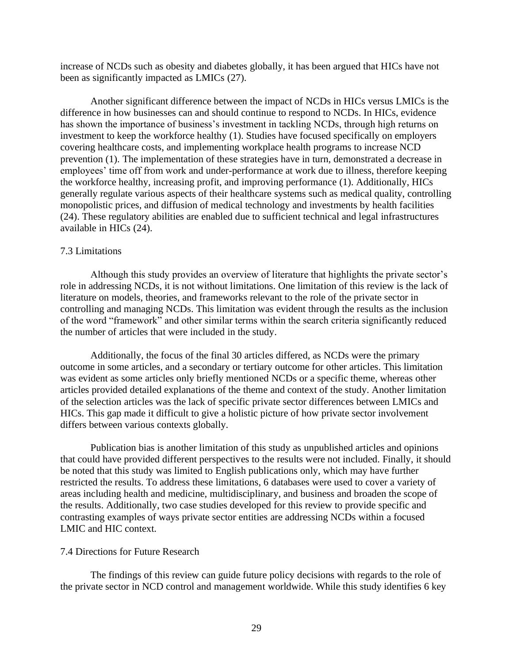increase of NCDs such as obesity and diabetes globally, it has been argued that HICs have not been as significantly impacted as LMICs (27).

Another significant difference between the impact of NCDs in HICs versus LMICs is the difference in how businesses can and should continue to respond to NCDs. In HICs, evidence has shown the importance of business's investment in tackling NCDs, through high returns on investment to keep the workforce healthy (1). Studies have focused specifically on employers covering healthcare costs, and implementing workplace health programs to increase NCD prevention (1). The implementation of these strategies have in turn, demonstrated a decrease in employees' time off from work and under-performance at work due to illness, therefore keeping the workforce healthy, increasing profit, and improving performance (1). Additionally, HICs generally regulate various aspects of their healthcare systems such as medical quality, controlling monopolistic prices, and diffusion of medical technology and investments by health facilities (24). These regulatory abilities are enabled due to sufficient technical and legal infrastructures available in HICs (24).

#### 7.3 Limitations

Although this study provides an overview of literature that highlights the private sector's role in addressing NCDs, it is not without limitations. One limitation of this review is the lack of literature on models, theories, and frameworks relevant to the role of the private sector in controlling and managing NCDs. This limitation was evident through the results as the inclusion of the word "framework" and other similar terms within the search criteria significantly reduced the number of articles that were included in the study.

Additionally, the focus of the final 30 articles differed, as NCDs were the primary outcome in some articles, and a secondary or tertiary outcome for other articles. This limitation was evident as some articles only briefly mentioned NCDs or a specific theme, whereas other articles provided detailed explanations of the theme and context of the study. Another limitation of the selection articles was the lack of specific private sector differences between LMICs and HICs. This gap made it difficult to give a holistic picture of how private sector involvement differs between various contexts globally.

Publication bias is another limitation of this study as unpublished articles and opinions that could have provided different perspectives to the results were not included. Finally, it should be noted that this study was limited to English publications only, which may have further restricted the results. To address these limitations, 6 databases were used to cover a variety of areas including health and medicine, multidisciplinary, and business and broaden the scope of the results. Additionally, two case studies developed for this review to provide specific and contrasting examples of ways private sector entities are addressing NCDs within a focused LMIC and HIC context.

#### 7.4 Directions for Future Research

The findings of this review can guide future policy decisions with regards to the role of the private sector in NCD control and management worldwide. While this study identifies 6 key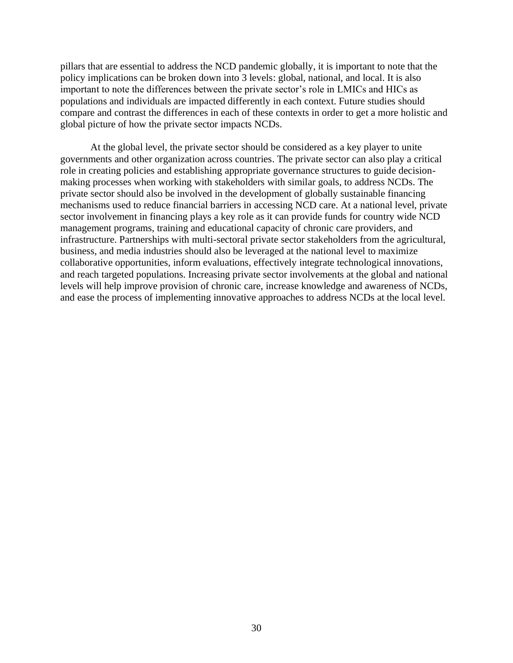pillars that are essential to address the NCD pandemic globally, it is important to note that the policy implications can be broken down into 3 levels: global, national, and local. It is also important to note the differences between the private sector's role in LMICs and HICs as populations and individuals are impacted differently in each context. Future studies should compare and contrast the differences in each of these contexts in order to get a more holistic and global picture of how the private sector impacts NCDs.

At the global level, the private sector should be considered as a key player to unite governments and other organization across countries. The private sector can also play a critical role in creating policies and establishing appropriate governance structures to guide decisionmaking processes when working with stakeholders with similar goals, to address NCDs. The private sector should also be involved in the development of globally sustainable financing mechanisms used to reduce financial barriers in accessing NCD care. At a national level, private sector involvement in financing plays a key role as it can provide funds for country wide NCD management programs, training and educational capacity of chronic care providers, and infrastructure. Partnerships with multi-sectoral private sector stakeholders from the agricultural, business, and media industries should also be leveraged at the national level to maximize collaborative opportunities, inform evaluations, effectively integrate technological innovations, and reach targeted populations. Increasing private sector involvements at the global and national levels will help improve provision of chronic care, increase knowledge and awareness of NCDs, and ease the process of implementing innovative approaches to address NCDs at the local level.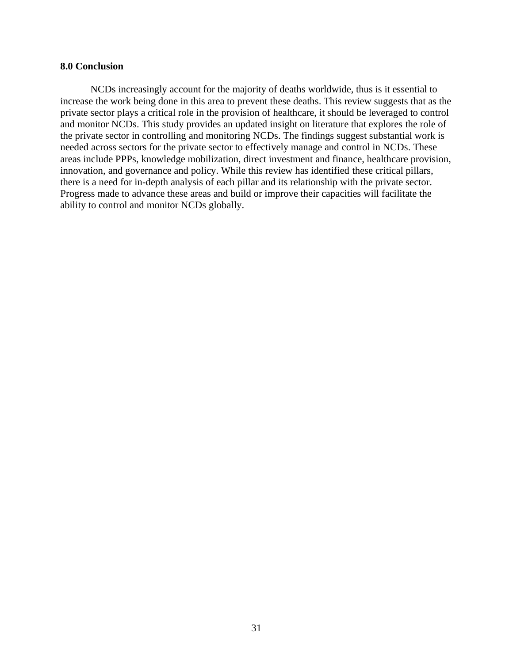#### **8.0 Conclusion**

NCDs increasingly account for the majority of deaths worldwide, thus is it essential to increase the work being done in this area to prevent these deaths. This review suggests that as the private sector plays a critical role in the provision of healthcare, it should be leveraged to control and monitor NCDs. This study provides an updated insight on literature that explores the role of the private sector in controlling and monitoring NCDs. The findings suggest substantial work is needed across sectors for the private sector to effectively manage and control in NCDs. These areas include PPPs, knowledge mobilization, direct investment and finance, healthcare provision, innovation, and governance and policy. While this review has identified these critical pillars, there is a need for in-depth analysis of each pillar and its relationship with the private sector. Progress made to advance these areas and build or improve their capacities will facilitate the ability to control and monitor NCDs globally.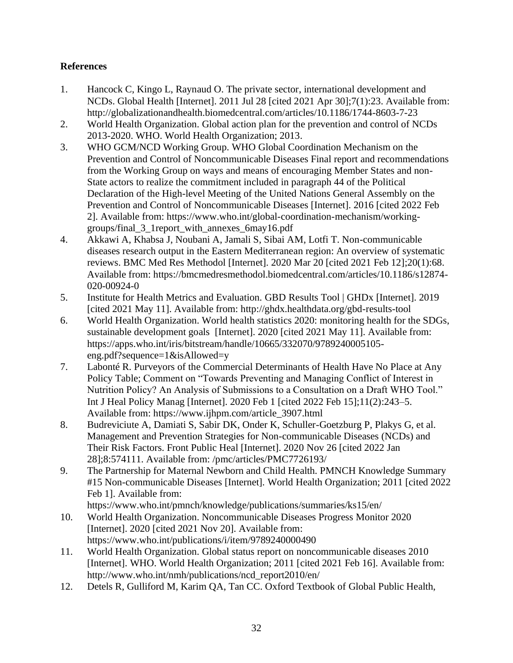## **References**

- 1. Hancock C, Kingo L, Raynaud O. The private sector, international development and NCDs. Global Health [Internet]. 2011 Jul 28 [cited 2021 Apr 30];7(1):23. Available from: http://globalizationandhealth.biomedcentral.com/articles/10.1186/1744-8603-7-23
- 2. World Health Organization. Global action plan for the prevention and control of NCDs 2013-2020. WHO. World Health Organization; 2013.
- 3. WHO GCM/NCD Working Group. WHO Global Coordination Mechanism on the Prevention and Control of Noncommunicable Diseases Final report and recommendations from the Working Group on ways and means of encouraging Member States and non-State actors to realize the commitment included in paragraph 44 of the Political Declaration of the High-level Meeting of the United Nations General Assembly on the Prevention and Control of Noncommunicable Diseases [Internet]. 2016 [cited 2022 Feb 2]. Available from: https://www.who.int/global-coordination-mechanism/workinggroups/final\_3\_1report\_with\_annexes\_6may16.pdf
- 4. Akkawi A, Khabsa J, Noubani A, Jamali S, Sibai AM, Lotfi T. Non-communicable diseases research output in the Eastern Mediterranean region: An overview of systematic reviews. BMC Med Res Methodol [Internet]. 2020 Mar 20 [cited 2021 Feb 12];20(1):68. Available from: https://bmcmedresmethodol.biomedcentral.com/articles/10.1186/s12874- 020-00924-0
- 5. Institute for Health Metrics and Evaluation. GBD Results Tool | GHDx [Internet]. 2019 [cited 2021 May 11]. Available from: http://ghdx.healthdata.org/gbd-results-tool
- 6. World Health Organization. World health statistics 2020: monitoring health for the SDGs, sustainable development goals [Internet]. 2020 [cited 2021 May 11]. Available from: https://apps.who.int/iris/bitstream/handle/10665/332070/9789240005105 eng.pdf?sequence=1&isAllowed=y
- 7. Labonté R. Purveyors of the Commercial Determinants of Health Have No Place at Any Policy Table; Comment on "Towards Preventing and Managing Conflict of Interest in Nutrition Policy? An Analysis of Submissions to a Consultation on a Draft WHO Tool." Int J Heal Policy Manag [Internet]. 2020 Feb 1 [cited 2022 Feb 15];11(2):243–5. Available from: https://www.ijhpm.com/article\_3907.html
- 8. Budreviciute A, Damiati S, Sabir DK, Onder K, Schuller-Goetzburg P, Plakys G, et al. Management and Prevention Strategies for Non-communicable Diseases (NCDs) and Their Risk Factors. Front Public Heal [Internet]. 2020 Nov 26 [cited 2022 Jan 28];8:574111. Available from: /pmc/articles/PMC7726193/
- 9. The Partnership for Maternal Newborn and Child Health. PMNCH Knowledge Summary #15 Non-communicable Diseases [Internet]. World Health Organization; 2011 [cited 2022 Feb 1]. Available from:

https://www.who.int/pmnch/knowledge/publications/summaries/ks15/en/

- 10. World Health Organization. Noncommunicable Diseases Progress Monitor 2020 [Internet]. 2020 [cited 2021 Nov 20]. Available from: https://www.who.int/publications/i/item/9789240000490
- 11. World Health Organization. Global status report on noncommunicable diseases 2010 [Internet]. WHO. World Health Organization; 2011 [cited 2021 Feb 16]. Available from: http://www.who.int/nmh/publications/ncd\_report2010/en/
- 12. Detels R, Gulliford M, Karim QA, Tan CC. Oxford Textbook of Global Public Health,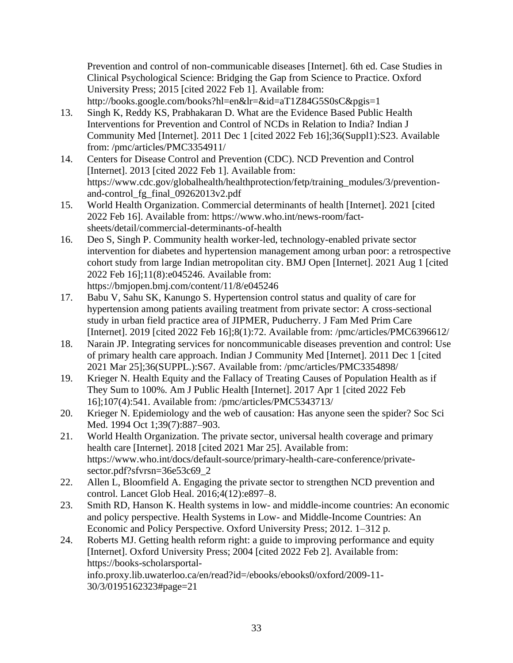Prevention and control of non-communicable diseases [Internet]. 6th ed. Case Studies in Clinical Psychological Science: Bridging the Gap from Science to Practice. Oxford University Press; 2015 [cited 2022 Feb 1]. Available from:

http://books.google.com/books?hl=en&lr=&id=aT1Z84G5S0sC&pgis=1

- 13. Singh K, Reddy KS, Prabhakaran D. What are the Evidence Based Public Health Interventions for Prevention and Control of NCDs in Relation to India? Indian J Community Med [Internet]. 2011 Dec 1 [cited 2022 Feb 16];36(Suppl1):S23. Available from: /pmc/articles/PMC3354911/
- 14. Centers for Disease Control and Prevention (CDC). NCD Prevention and Control [Internet]. 2013 [cited 2022 Feb 1]. Available from: https://www.cdc.gov/globalhealth/healthprotection/fetp/training\_modules/3/preventionand-control\_fg\_final\_09262013v2.pdf
- 15. World Health Organization. Commercial determinants of health [Internet]. 2021 [cited 2022 Feb 16]. Available from: https://www.who.int/news-room/factsheets/detail/commercial-determinants-of-health
- 16. Deo S, Singh P. Community health worker-led, technology-enabled private sector intervention for diabetes and hypertension management among urban poor: a retrospective cohort study from large Indian metropolitan city. BMJ Open [Internet]. 2021 Aug 1 [cited 2022 Feb 16];11(8):e045246. Available from: https://bmjopen.bmj.com/content/11/8/e045246
- 17. Babu V, Sahu SK, Kanungo S. Hypertension control status and quality of care for hypertension among patients availing treatment from private sector: A cross-sectional study in urban field practice area of JIPMER, Puducherry. J Fam Med Prim Care [Internet]. 2019 [cited 2022 Feb 16];8(1):72. Available from: /pmc/articles/PMC6396612/
- 18. Narain JP. Integrating services for noncommunicable diseases prevention and control: Use of primary health care approach. Indian J Community Med [Internet]. 2011 Dec 1 [cited 2021 Mar 25];36(SUPPL.):S67. Available from: /pmc/articles/PMC3354898/
- 19. Krieger N. Health Equity and the Fallacy of Treating Causes of Population Health as if They Sum to 100%. Am J Public Health [Internet]. 2017 Apr 1 [cited 2022 Feb 16];107(4):541. Available from: /pmc/articles/PMC5343713/
- 20. Krieger N. Epidemiology and the web of causation: Has anyone seen the spider? Soc Sci Med. 1994 Oct 1;39(7):887–903.
- 21. World Health Organization. The private sector, universal health coverage and primary health care [Internet]. 2018 [cited 2021 Mar 25]. Available from: https://www.who.int/docs/default-source/primary-health-care-conference/privatesector.pdf?sfvrsn=36e53c69\_2
- 22. Allen L, Bloomfield A. Engaging the private sector to strengthen NCD prevention and control. Lancet Glob Heal. 2016;4(12):e897–8.
- 23. Smith RD, Hanson K. Health systems in low- and middle-income countries: An economic and policy perspective. Health Systems in Low- and Middle-Income Countries: An Economic and Policy Perspective. Oxford University Press; 2012. 1–312 p.
- 24. Roberts MJ. Getting health reform right: a guide to improving performance and equity [Internet]. Oxford University Press; 2004 [cited 2022 Feb 2]. Available from: https://books-scholarsportalinfo.proxy.lib.uwaterloo.ca/en/read?id=/ebooks/ebooks0/oxford/2009-11-

30/3/0195162323#page=21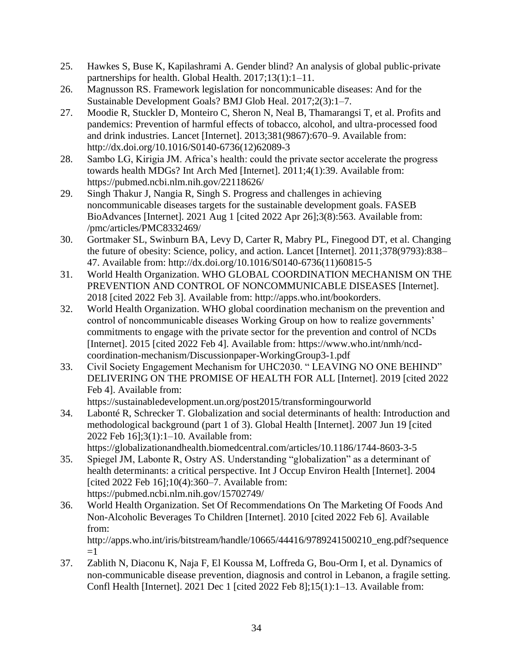- 25. Hawkes S, Buse K, Kapilashrami A. Gender blind? An analysis of global public-private partnerships for health. Global Health. 2017;13(1):1–11.
- 26. Magnusson RS. Framework legislation for noncommunicable diseases: And for the Sustainable Development Goals? BMJ Glob Heal. 2017;2(3):1–7.
- 27. Moodie R, Stuckler D, Monteiro C, Sheron N, Neal B, Thamarangsi T, et al. Profits and pandemics: Prevention of harmful effects of tobacco, alcohol, and ultra-processed food and drink industries. Lancet [Internet]. 2013;381(9867):670–9. Available from: http://dx.doi.org/10.1016/S0140-6736(12)62089-3
- 28. Sambo LG, Kirigia JM. Africa's health: could the private sector accelerate the progress towards health MDGs? Int Arch Med [Internet]. 2011;4(1):39. Available from: https://pubmed.ncbi.nlm.nih.gov/22118626/
- 29. Singh Thakur J, Nangia R, Singh S. Progress and challenges in achieving noncommunicable diseases targets for the sustainable development goals. FASEB BioAdvances [Internet]. 2021 Aug 1 [cited 2022 Apr 26];3(8):563. Available from: /pmc/articles/PMC8332469/
- 30. Gortmaker SL, Swinburn BA, Levy D, Carter R, Mabry PL, Finegood DT, et al. Changing the future of obesity: Science, policy, and action. Lancet [Internet]. 2011;378(9793):838– 47. Available from: http://dx.doi.org/10.1016/S0140-6736(11)60815-5
- 31. World Health Organization. WHO GLOBAL COORDINATION MECHANISM ON THE PREVENTION AND CONTROL OF NONCOMMUNICABLE DISEASES [Internet]. 2018 [cited 2022 Feb 3]. Available from: http://apps.who.int/bookorders.
- 32. World Health Organization. WHO global coordination mechanism on the prevention and control of noncommunicable diseases Working Group on how to realize governments' commitments to engage with the private sector for the prevention and control of NCDs [Internet]. 2015 [cited 2022 Feb 4]. Available from: https://www.who.int/nmh/ncdcoordination-mechanism/Discussionpaper-WorkingGroup3-1.pdf
- 33. Civil Society Engagement Mechanism for UHC2030. " LEAVING NO ONE BEHIND" DELIVERING ON THE PROMISE OF HEALTH FOR ALL [Internet]. 2019 [cited 2022 Feb 4]. Available from:

https://sustainabledevelopment.un.org/post2015/transformingourworld

34. Labonté R, Schrecker T. Globalization and social determinants of health: Introduction and methodological background (part 1 of 3). Global Health [Internet]. 2007 Jun 19 [cited 2022 Feb 16];3(1):1–10. Available from:

https://globalizationandhealth.biomedcentral.com/articles/10.1186/1744-8603-3-5

- 35. Spiegel JM, Labonte R, Ostry AS. Understanding "globalization" as a determinant of health determinants: a critical perspective. Int J Occup Environ Health [Internet]. 2004 [cited 2022 Feb 16];10(4):360–7. Available from: https://pubmed.ncbi.nlm.nih.gov/15702749/
- 36. World Health Organization. Set Of Recommendations On The Marketing Of Foods And Non-Alcoholic Beverages To Children [Internet]. 2010 [cited 2022 Feb 6]. Available from:

http://apps.who.int/iris/bitstream/handle/10665/44416/9789241500210\_eng.pdf?sequence  $=1$ 

37. Zablith N, Diaconu K, Naja F, El Koussa M, Loffreda G, Bou-Orm I, et al. Dynamics of non-communicable disease prevention, diagnosis and control in Lebanon, a fragile setting. Confl Health [Internet]. 2021 Dec 1 [cited 2022 Feb 8];15(1):1–13. Available from: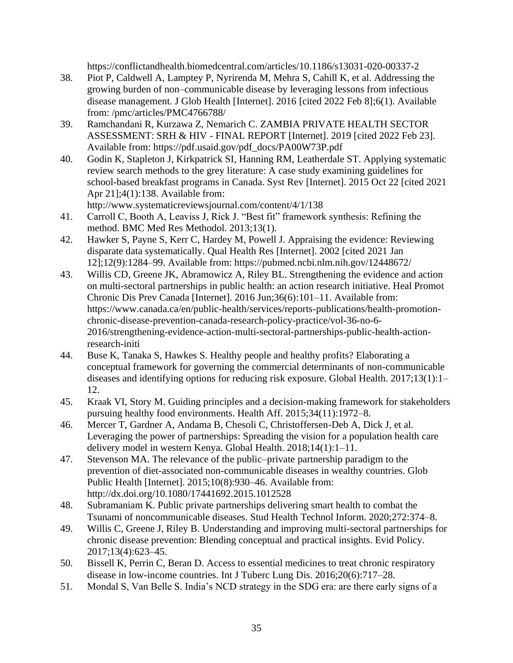https://conflictandhealth.biomedcentral.com/articles/10.1186/s13031-020-00337-2

- 38. Piot P, Caldwell A, Lamptey P, Nyrirenda M, Mehra S, Cahill K, et al. Addressing the growing burden of non–communicable disease by leveraging lessons from infectious disease management. J Glob Health [Internet]. 2016 [cited 2022 Feb 8];6(1). Available from: /pmc/articles/PMC4766788/
- 39. Ramchandani R, Kurzawa Z, Nemarich C. ZAMBIA PRIVATE HEALTH SECTOR ASSESSMENT: SRH & HIV - FINAL REPORT [Internet]. 2019 [cited 2022 Feb 23]. Available from: https://pdf.usaid.gov/pdf\_docs/PA00W73P.pdf
- 40. Godin K, Stapleton J, Kirkpatrick SI, Hanning RM, Leatherdale ST. Applying systematic review search methods to the grey literature: A case study examining guidelines for school-based breakfast programs in Canada. Syst Rev [Internet]. 2015 Oct 22 [cited 2021 Apr 21];4(1):138. Available from:
- http://www.systematicreviewsjournal.com/content/4/1/138 41. Carroll C, Booth A, Leaviss J, Rick J. "Best fit" framework synthesis: Refining the
- method. BMC Med Res Methodol. 2013;13(1).
- 42. Hawker S, Payne S, Kerr C, Hardey M, Powell J. Appraising the evidence: Reviewing disparate data systematically. Qual Health Res [Internet]. 2002 [cited 2021 Jan 12];12(9):1284–99. Available from: https://pubmed.ncbi.nlm.nih.gov/12448672/
- 43. Willis CD, Greene JK, Abramowicz A, Riley BL. Strengthening the evidence and action on multi-sectoral partnerships in public health: an action research initiative. Heal Promot Chronic Dis Prev Canada [Internet]. 2016 Jun;36(6):101–11. Available from: https://www.canada.ca/en/public-health/services/reports-publications/health-promotionchronic-disease-prevention-canada-research-policy-practice/vol-36-no-6- 2016/strengthening-evidence-action-multi-sectoral-partnerships-public-health-actionresearch-initi
- 44. Buse K, Tanaka S, Hawkes S. Healthy people and healthy profits? Elaborating a conceptual framework for governing the commercial determinants of non-communicable diseases and identifying options for reducing risk exposure. Global Health. 2017;13(1):1– 12.
- 45. Kraak VI, Story M. Guiding principles and a decision-making framework for stakeholders pursuing healthy food environments. Health Aff. 2015;34(11):1972–8.
- 46. Mercer T, Gardner A, Andama B, Chesoli C, Christoffersen-Deb A, Dick J, et al. Leveraging the power of partnerships: Spreading the vision for a population health care delivery model in western Kenya. Global Health. 2018;14(1):1–11.
- 47. Stevenson MA. The relevance of the public–private partnership paradigm to the prevention of diet-associated non-communicable diseases in wealthy countries. Glob Public Health [Internet]. 2015;10(8):930–46. Available from: http://dx.doi.org/10.1080/17441692.2015.1012528
- 48. Subramaniam K. Public private partnerships delivering smart health to combat the Tsunami of noncommunicable diseases. Stud Health Technol Inform. 2020;272:374–8.
- 49. Willis C, Greene J, Riley B. Understanding and improving multi-sectoral partnerships for chronic disease prevention: Blending conceptual and practical insights. Evid Policy. 2017;13(4):623–45.
- 50. Bissell K, Perrin C, Beran D. Access to essential medicines to treat chronic respiratory disease in low-income countries. Int J Tuberc Lung Dis. 2016;20(6):717–28.
- 51. Mondal S, Van Belle S. India's NCD strategy in the SDG era: are there early signs of a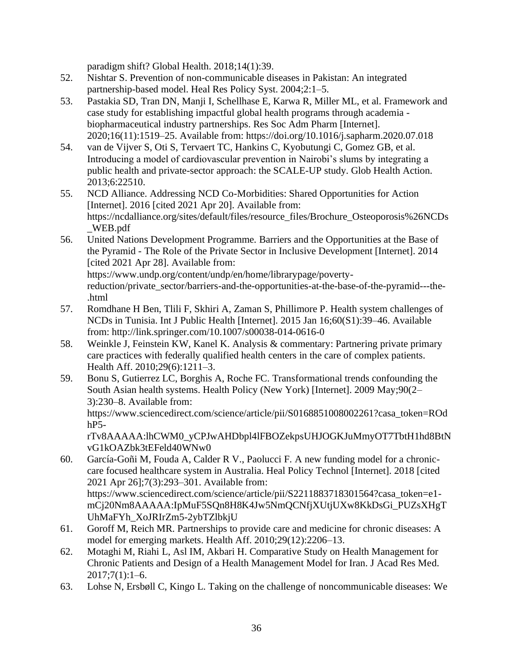paradigm shift? Global Health. 2018;14(1):39.

- 52. Nishtar S. Prevention of non-communicable diseases in Pakistan: An integrated partnership-based model. Heal Res Policy Syst. 2004;2:1–5.
- 53. Pastakia SD, Tran DN, Manji I, Schellhase E, Karwa R, Miller ML, et al. Framework and case study for establishing impactful global health programs through academia biopharmaceutical industry partnerships. Res Soc Adm Pharm [Internet]. 2020;16(11):1519–25. Available from: https://doi.org/10.1016/j.sapharm.2020.07.018
- 54. van de Vijver S, Oti S, Tervaert TC, Hankins C, Kyobutungi C, Gomez GB, et al. Introducing a model of cardiovascular prevention in Nairobi's slums by integrating a public health and private-sector approach: the SCALE-UP study. Glob Health Action. 2013;6:22510.
- 55. NCD Alliance. Addressing NCD Co-Morbidities: Shared Opportunities for Action [Internet]. 2016 [cited 2021 Apr 20]. Available from: https://ncdalliance.org/sites/default/files/resource\_files/Brochure\_Osteoporosis%26NCDs \_WEB.pdf
- 56. United Nations Development Programme. Barriers and the Opportunities at the Base of the Pyramid - The Role of the Private Sector in Inclusive Development [Internet]. 2014 [cited 2021 Apr 28]. Available from:

https://www.undp.org/content/undp/en/home/librarypage/povertyreduction/private\_sector/barriers-and-the-opportunities-at-the-base-of-the-pyramid---the-.html

- 57. Romdhane H Ben, Tlili F, Skhiri A, Zaman S, Phillimore P. Health system challenges of NCDs in Tunisia. Int J Public Health [Internet]. 2015 Jan 16;60(S1):39–46. Available from: http://link.springer.com/10.1007/s00038-014-0616-0
- 58. Weinkle J, Feinstein KW, Kanel K. Analysis & commentary: Partnering private primary care practices with federally qualified health centers in the care of complex patients. Health Aff. 2010;29(6):1211–3.
- 59. Bonu S, Gutierrez LC, Borghis A, Roche FC. Transformational trends confounding the South Asian health systems. Health Policy (New York) [Internet]. 2009 May;90(2– 3):230–8. Available from: https://www.sciencedirect.com/science/article/pii/S0168851008002261?casa\_token=ROd hP5 rTv8AAAAA:lhCWM0\_yCPJwAHDbpl4lFBOZekpsUHJOGKJuMmyOT7TbtH1hd8BtN

vG1kOAZbk3tEFeld40WNw0 60. García-Goñi M, Fouda A, Calder R V., Paolucci F. A new funding model for a chronic-

- care focused healthcare system in Australia. Heal Policy Technol [Internet]. 2018 [cited 2021 Apr 26];7(3):293–301. Available from: https://www.sciencedirect.com/science/article/pii/S2211883718301564?casa\_token=e1mCj20Nm8AAAAA:IpMuF5SQn8H8K4Jw5NmQCNfjXUtjUXw8KkDsGi\_PUZsXHgT UhMaFYh\_XoJRIrZm5-2ybTZlbkjU
- 61. Goroff M, Reich MR. Partnerships to provide care and medicine for chronic diseases: A model for emerging markets. Health Aff. 2010;29(12):2206–13.
- 62. Motaghi M, Riahi L, Asl IM, Akbari H. Comparative Study on Health Management for Chronic Patients and Design of a Health Management Model for Iran. J Acad Res Med.  $2017;7(1):1-6.$
- 63. Lohse N, Ersbøll C, Kingo L. Taking on the challenge of noncommunicable diseases: We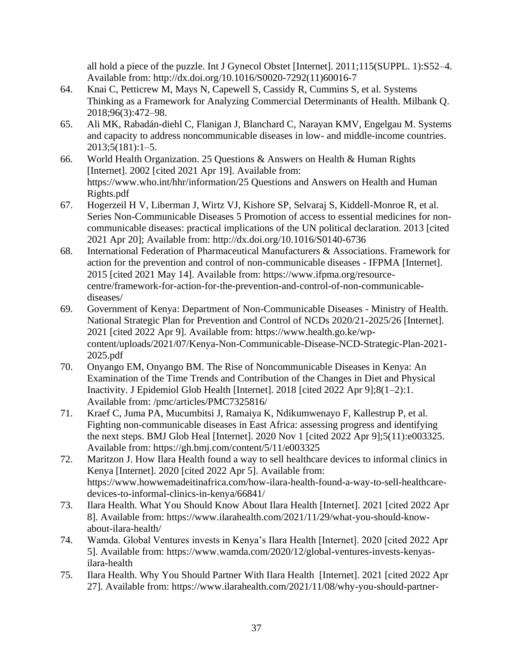all hold a piece of the puzzle. Int J Gynecol Obstet [Internet]. 2011;115(SUPPL. 1):S52–4. Available from: http://dx.doi.org/10.1016/S0020-7292(11)60016-7

- 64. Knai C, Petticrew M, Mays N, Capewell S, Cassidy R, Cummins S, et al. Systems Thinking as a Framework for Analyzing Commercial Determinants of Health. Milbank Q. 2018;96(3):472–98.
- 65. Ali MK, Rabadán-diehl C, Flanigan J, Blanchard C, Narayan KMV, Engelgau M. Systems and capacity to address noncommunicable diseases in low- and middle-income countries. 2013;5(181):1–5.
- 66. World Health Organization. 25 Questions & Answers on Health & Human Rights [Internet]. 2002 [cited 2021 Apr 19]. Available from: https://www.who.int/hhr/information/25 Questions and Answers on Health and Human Rights.pdf
- 67. Hogerzeil H V, Liberman J, Wirtz VJ, Kishore SP, Selvaraj S, Kiddell-Monroe R, et al. Series Non-Communicable Diseases 5 Promotion of access to essential medicines for noncommunicable diseases: practical implications of the UN political declaration. 2013 [cited 2021 Apr 20]; Available from: http://dx.doi.org/10.1016/S0140-6736
- 68. International Federation of Pharmaceutical Manufacturers & Associations. Framework for action for the prevention and control of non-communicable diseases - IFPMA [Internet]. 2015 [cited 2021 May 14]. Available from: https://www.ifpma.org/resourcecentre/framework-for-action-for-the-prevention-and-control-of-non-communicablediseases/
- 69. Government of Kenya: Department of Non-Communicable Diseases Ministry of Health. National Strategic Plan for Prevention and Control of NCDs 2020/21-2025/26 [Internet]. 2021 [cited 2022 Apr 9]. Available from: https://www.health.go.ke/wpcontent/uploads/2021/07/Kenya-Non-Communicable-Disease-NCD-Strategic-Plan-2021- 2025.pdf
- 70. Onyango EM, Onyango BM. The Rise of Noncommunicable Diseases in Kenya: An Examination of the Time Trends and Contribution of the Changes in Diet and Physical Inactivity. J Epidemiol Glob Health [Internet]. 2018 [cited 2022 Apr 9];8(1–2):1. Available from: /pmc/articles/PMC7325816/
- 71. Kraef C, Juma PA, Mucumbitsi J, Ramaiya K, Ndikumwenayo F, Kallestrup P, et al. Fighting non-communicable diseases in East Africa: assessing progress and identifying the next steps. BMJ Glob Heal [Internet]. 2020 Nov 1 [cited 2022 Apr 9];5(11):e003325. Available from: https://gh.bmj.com/content/5/11/e003325
- 72. Maritzon J. How Ilara Health found a way to sell healthcare devices to informal clinics in Kenya [Internet]. 2020 [cited 2022 Apr 5]. Available from: https://www.howwemadeitinafrica.com/how-ilara-health-found-a-way-to-sell-healthcaredevices-to-informal-clinics-in-kenya/66841/
- 73. Ilara Health. What You Should Know About Ilara Health [Internet]. 2021 [cited 2022 Apr 8]. Available from: https://www.ilarahealth.com/2021/11/29/what-you-should-knowabout-ilara-health/
- 74. Wamda. Global Ventures invests in Kenya's Ilara Health [Internet]. 2020 [cited 2022 Apr 5]. Available from: https://www.wamda.com/2020/12/global-ventures-invests-kenyasilara-health
- 75. Ilara Health. Why You Should Partner With Ilara Health [Internet]. 2021 [cited 2022 Apr 27]. Available from: https://www.ilarahealth.com/2021/11/08/why-you-should-partner-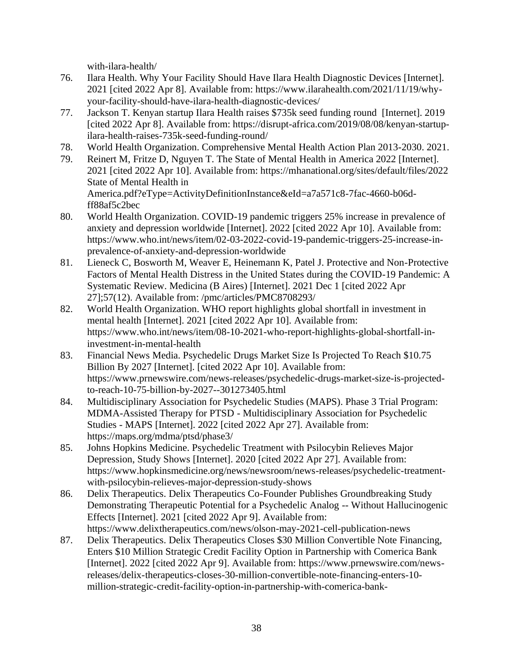with-ilara-health/

- 76. Ilara Health. Why Your Facility Should Have Ilara Health Diagnostic Devices [Internet]. 2021 [cited 2022 Apr 8]. Available from: https://www.ilarahealth.com/2021/11/19/whyyour-facility-should-have-ilara-health-diagnostic-devices/
- 77. Jackson T. Kenyan startup Ilara Health raises \$735k seed funding round [Internet]. 2019 [cited 2022 Apr 8]. Available from: https://disrupt-africa.com/2019/08/08/kenyan-startupilara-health-raises-735k-seed-funding-round/
- 78. World Health Organization. Comprehensive Mental Health Action Plan 2013-2030. 2021.
- 79. Reinert M, Fritze D, Nguyen T. The State of Mental Health in America 2022 [Internet]. 2021 [cited 2022 Apr 10]. Available from: https://mhanational.org/sites/default/files/2022 State of Mental Health in America.pdf?eType=ActivityDefinitionInstance&eId=a7a571c8-7fac-4660-b06dff88af5c2bec
- 80. World Health Organization. COVID-19 pandemic triggers 25% increase in prevalence of anxiety and depression worldwide [Internet]. 2022 [cited 2022 Apr 10]. Available from: https://www.who.int/news/item/02-03-2022-covid-19-pandemic-triggers-25-increase-inprevalence-of-anxiety-and-depression-worldwide
- 81. Lieneck C, Bosworth M, Weaver E, Heinemann K, Patel J. Protective and Non-Protective Factors of Mental Health Distress in the United States during the COVID-19 Pandemic: A Systematic Review. Medicina (B Aires) [Internet]. 2021 Dec 1 [cited 2022 Apr 27];57(12). Available from: /pmc/articles/PMC8708293/
- 82. World Health Organization. WHO report highlights global shortfall in investment in mental health [Internet]. 2021 [cited 2022 Apr 10]. Available from: https://www.who.int/news/item/08-10-2021-who-report-highlights-global-shortfall-ininvestment-in-mental-health
- 83. Financial News Media. Psychedelic Drugs Market Size Is Projected To Reach \$10.75 Billion By 2027 [Internet]. [cited 2022 Apr 10]. Available from: https://www.prnewswire.com/news-releases/psychedelic-drugs-market-size-is-projectedto-reach-10-75-billion-by-2027--301273405.html
- 84. Multidisciplinary Association for Psychedelic Studies (MAPS). Phase 3 Trial Program: MDMA-Assisted Therapy for PTSD - Multidisciplinary Association for Psychedelic Studies - MAPS [Internet]. 2022 [cited 2022 Apr 27]. Available from: https://maps.org/mdma/ptsd/phase3/
- 85. Johns Hopkins Medicine. Psychedelic Treatment with Psilocybin Relieves Major Depression, Study Shows [Internet]. 2020 [cited 2022 Apr 27]. Available from: https://www.hopkinsmedicine.org/news/newsroom/news-releases/psychedelic-treatmentwith-psilocybin-relieves-major-depression-study-shows
- 86. Delix Therapeutics. Delix Therapeutics Co-Founder Publishes Groundbreaking Study Demonstrating Therapeutic Potential for a Psychedelic Analog -- Without Hallucinogenic Effects [Internet]. 2021 [cited 2022 Apr 9]. Available from: https://www.delixtherapeutics.com/news/olson-may-2021-cell-publication-news
- 87. Delix Therapeutics. Delix Therapeutics Closes \$30 Million Convertible Note Financing, Enters \$10 Million Strategic Credit Facility Option in Partnership with Comerica Bank [Internet]. 2022 [cited 2022 Apr 9]. Available from: https://www.prnewswire.com/newsreleases/delix-therapeutics-closes-30-million-convertible-note-financing-enters-10 million-strategic-credit-facility-option-in-partnership-with-comerica-bank-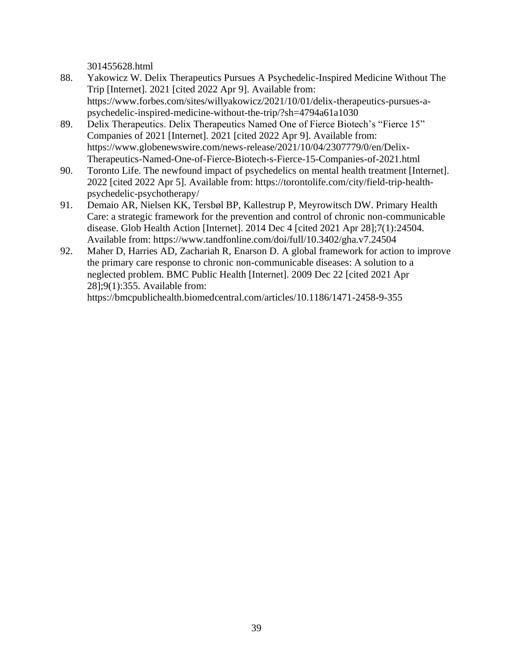301455628.html

- 88. Yakowicz W. Delix Therapeutics Pursues A Psychedelic-Inspired Medicine Without The Trip [Internet]. 2021 [cited 2022 Apr 9]. Available from: https://www.forbes.com/sites/willyakowicz/2021/10/01/delix-therapeutics-pursues-apsychedelic-inspired-medicine-without-the-trip/?sh=4794a61a1030
- 89. Delix Therapeutics. Delix Therapeutics Named One of Fierce Biotech's "Fierce 15" Companies of 2021 [Internet]. 2021 [cited 2022 Apr 9]. Available from: https://www.globenewswire.com/news-release/2021/10/04/2307779/0/en/Delix-Therapeutics-Named-One-of-Fierce-Biotech-s-Fierce-15-Companies-of-2021.html
- 90. Toronto Life. The newfound impact of psychedelics on mental health treatment [Internet]. 2022 [cited 2022 Apr 5]. Available from: https://torontolife.com/city/field-trip-healthpsychedelic-psychotherapy/
- 91. Demaio AR, Nielsen KK, Tersbøl BP, Kallestrup P, Meyrowitsch DW. Primary Health Care: a strategic framework for the prevention and control of chronic non-communicable disease. Glob Health Action [Internet]. 2014 Dec 4 [cited 2021 Apr 28];7(1):24504. Available from: https://www.tandfonline.com/doi/full/10.3402/gha.v7.24504
- 92. Maher D, Harries AD, Zachariah R, Enarson D. A global framework for action to improve the primary care response to chronic non-communicable diseases: A solution to a neglected problem. BMC Public Health [Internet]. 2009 Dec 22 [cited 2021 Apr 28];9(1):355. Available from:

https://bmcpublichealth.biomedcentral.com/articles/10.1186/1471-2458-9-355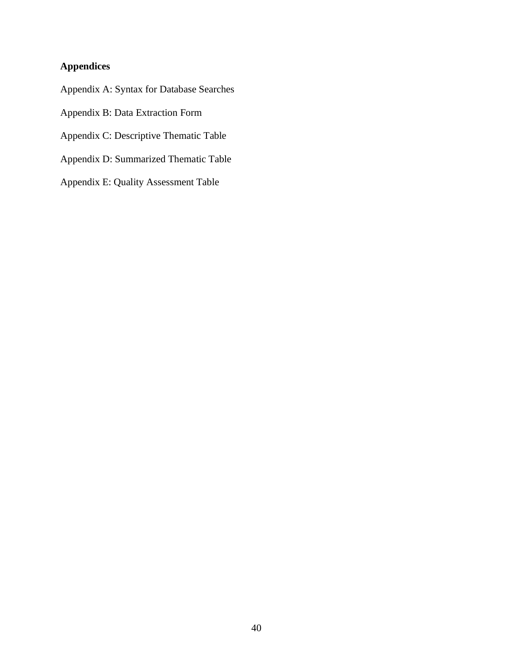## **Appendices**

Appendix A: Syntax for Database Searches

Appendix B: Data Extraction Form

Appendix C: Descriptive Thematic Table

Appendix D: Summarized Thematic Table

Appendix E: Quality Assessment Table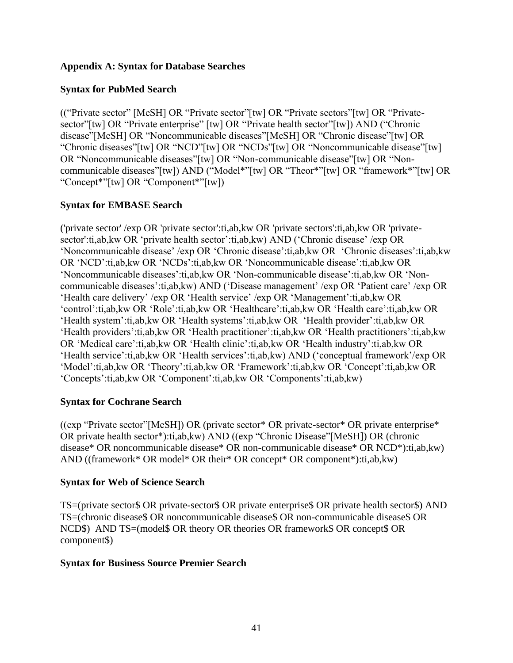#### **Appendix A: Syntax for Database Searches**

## **Syntax for PubMed Search**

(("Private sector" [MeSH] OR "Private sector"[tw] OR "Private sectors"[tw] OR "Privatesector"[tw] OR "Private enterprise" [tw] OR "Private health sector"[tw]) AND ("Chronic disease"[MeSH] OR "Noncommunicable diseases"[MeSH] OR "Chronic disease"[tw] OR "Chronic diseases"[tw] OR "NCD"[tw] OR "NCDs"[tw] OR "Noncommunicable disease"[tw] OR "Noncommunicable diseases"[tw] OR "Non-communicable disease"[tw] OR "Noncommunicable diseases"[tw]) AND ("Model\*"[tw] OR "Theor\*"[tw] OR "framework\*"[tw] OR "Concept\*"[tw] OR "Component\*"[tw])

## **Syntax for EMBASE Search**

('private sector' /exp OR 'private sector':ti,ab,kw OR 'private sectors':ti,ab,kw OR 'privatesector':ti,ab,kw OR 'private health sector':ti,ab,kw) AND ('Chronic disease' /exp OR 'Noncommunicable disease' /exp OR 'Chronic disease':ti,ab,kw OR 'Chronic diseases':ti,ab,kw OR 'NCD':ti,ab,kw OR 'NCDs':ti,ab,kw OR 'Noncommunicable disease':ti,ab,kw OR 'Noncommunicable diseases':ti,ab,kw OR 'Non-communicable disease':ti,ab,kw OR 'Noncommunicable diseases':ti,ab,kw) AND ('Disease management' /exp OR 'Patient care' /exp OR 'Health care delivery' /exp OR 'Health service' /exp OR 'Management':ti,ab,kw OR 'control':ti,ab,kw OR 'Role':ti,ab,kw OR 'Healthcare':ti,ab,kw OR 'Health care':ti,ab,kw OR 'Health system':ti,ab,kw OR 'Health systems':ti,ab,kw OR 'Health provider':ti,ab,kw OR 'Health providers':ti,ab,kw OR 'Health practitioner':ti,ab,kw OR 'Health practitioners':ti,ab,kw OR 'Medical care':ti,ab,kw OR 'Health clinic':ti,ab,kw OR 'Health industry':ti,ab,kw OR 'Health service':ti,ab,kw OR 'Health services':ti,ab,kw) AND ('conceptual framework'/exp OR 'Model':ti,ab,kw OR 'Theory':ti,ab,kw OR 'Framework':ti,ab,kw OR 'Concept':ti,ab,kw OR 'Concepts':ti,ab,kw OR 'Component':ti,ab,kw OR 'Components':ti,ab,kw)

## **Syntax for Cochrane Search**

((exp "Private sector"[MeSH]) OR (private sector\* OR private-sector\* OR private enterprise\* OR private health sector\*):ti,ab,kw) AND ((exp "Chronic Disease"[MeSH]) OR (chronic disease\* OR noncommunicable disease\* OR non-communicable disease\* OR NCD\*):ti,ab,kw) AND ((framework\* OR model\* OR their\* OR concept\* OR component\*):ti,ab,kw)

## **Syntax for Web of Science Search**

TS=(private sector\$ OR private-sector\$ OR private enterprise\$ OR private health sector\$) AND TS=(chronic disease\$ OR noncommunicable disease\$ OR non-communicable disease\$ OR NCD\$) AND TS=(model\$ OR theory OR theories OR framework\$ OR concept\$ OR component\$)

#### **Syntax for Business Source Premier Search**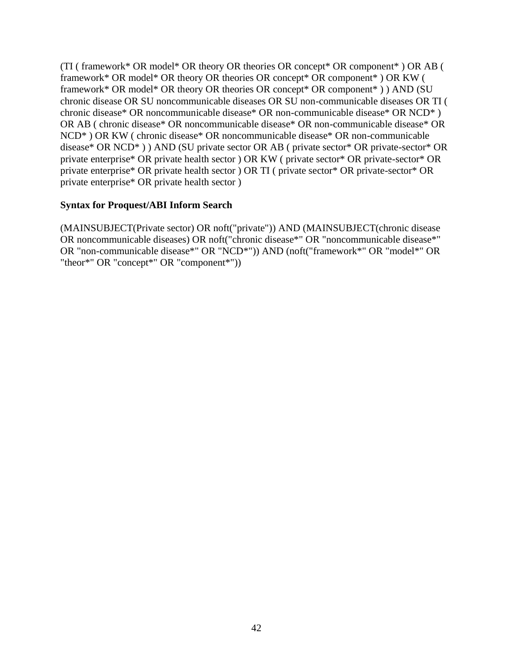(TI ( framework\* OR model\* OR theory OR theories OR concept\* OR component\* ) OR AB ( framework\* OR model\* OR theory OR theories OR concept\* OR component\* ) OR KW ( framework\* OR model\* OR theory OR theories OR concept\* OR component\* ) ) AND (SU chronic disease OR SU noncommunicable diseases OR SU non-communicable diseases OR TI ( chronic disease\* OR noncommunicable disease\* OR non-communicable disease\* OR NCD\* ) OR AB ( chronic disease\* OR noncommunicable disease\* OR non-communicable disease\* OR NCD\* ) OR KW ( chronic disease\* OR noncommunicable disease\* OR non-communicable disease\* OR NCD\* ) ) AND (SU private sector OR AB ( private sector\* OR private-sector\* OR private enterprise\* OR private health sector ) OR KW ( private sector\* OR private-sector\* OR private enterprise\* OR private health sector ) OR TI ( private sector\* OR private-sector\* OR private enterprise\* OR private health sector )

#### **Syntax for Proquest/ABI Inform Search**

(MAINSUBJECT(Private sector) OR noft("private")) AND (MAINSUBJECT(chronic disease OR noncommunicable diseases) OR noft("chronic disease\*" OR "noncommunicable disease\*" OR "non-communicable disease\*" OR "NCD\*")) AND (noft("framework\*" OR "model\*" OR "theor\*" OR "concept\*" OR "component\*"))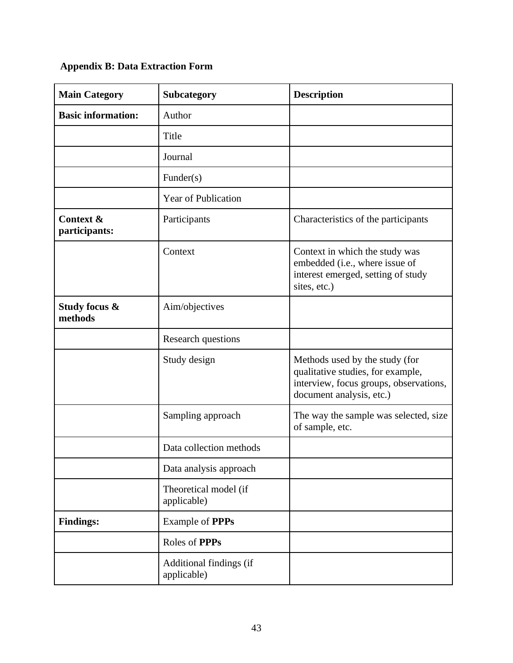## **Appendix B: Data Extraction Form**

| <b>Main Category</b>       | Subcategory                            | <b>Description</b>                                                                                                                        |  |  |
|----------------------------|----------------------------------------|-------------------------------------------------------------------------------------------------------------------------------------------|--|--|
| <b>Basic information:</b>  | Author                                 |                                                                                                                                           |  |  |
|                            | Title                                  |                                                                                                                                           |  |  |
|                            | Journal                                |                                                                                                                                           |  |  |
|                            | Funder(s)                              |                                                                                                                                           |  |  |
|                            | <b>Year of Publication</b>             |                                                                                                                                           |  |  |
| Context &<br>participants: | Participants                           | Characteristics of the participants                                                                                                       |  |  |
|                            | Context                                | Context in which the study was<br>embedded (i.e., where issue of<br>interest emerged, setting of study<br>sites, etc.)                    |  |  |
| Study focus &<br>methods   | Aim/objectives                         |                                                                                                                                           |  |  |
|                            | Research questions                     |                                                                                                                                           |  |  |
|                            | Study design                           | Methods used by the study (for<br>qualitative studies, for example,<br>interview, focus groups, observations,<br>document analysis, etc.) |  |  |
|                            | Sampling approach                      | The way the sample was selected, size<br>of sample, etc.                                                                                  |  |  |
|                            | Data collection methods                |                                                                                                                                           |  |  |
|                            | Data analysis approach                 |                                                                                                                                           |  |  |
|                            | Theoretical model (if<br>applicable)   |                                                                                                                                           |  |  |
| <b>Findings:</b>           | Example of PPPs                        |                                                                                                                                           |  |  |
|                            | Roles of PPPs                          |                                                                                                                                           |  |  |
|                            | Additional findings (if<br>applicable) |                                                                                                                                           |  |  |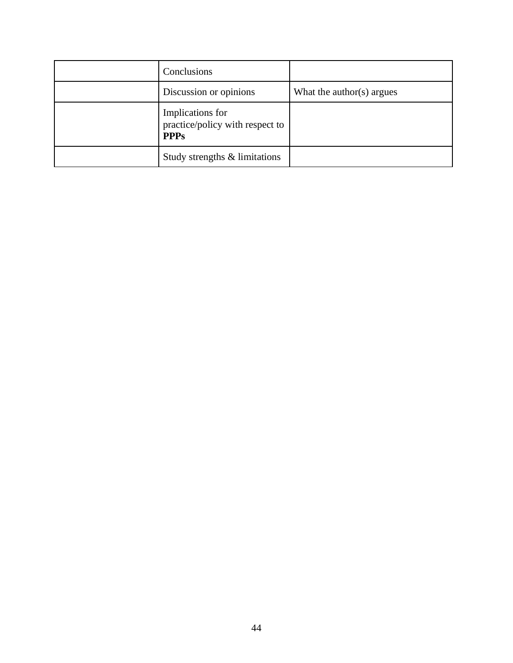| Conclusions                                                        |                               |
|--------------------------------------------------------------------|-------------------------------|
| Discussion or opinions                                             | What the author( $s$ ) argues |
| Implications for<br>practice/policy with respect to<br><b>PPPs</b> |                               |
| Study strengths & limitations                                      |                               |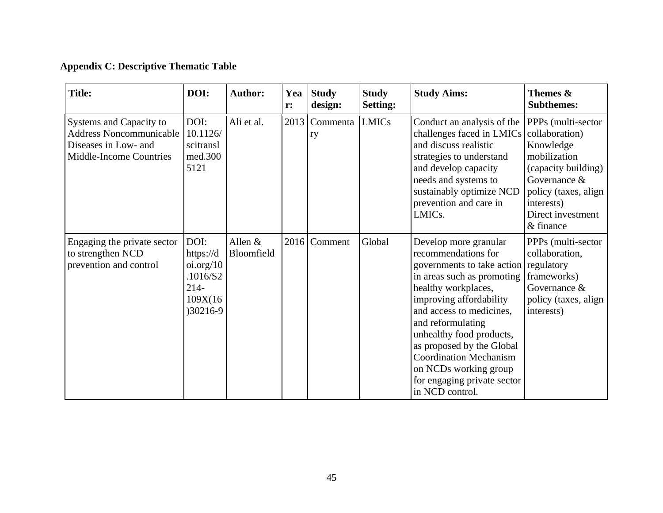# **Appendix C: Descriptive Thematic Table**

| <b>Title:</b>                                                                                                | DOI:                                                                              | <b>Author:</b>          | Yea<br>r: | <b>Study</b><br>design:   | <b>Study</b><br><b>Setting:</b> | <b>Study Aims:</b>                                                                                                                                                                                                                                                                                                                                                                          | Themes &<br><b>Subthemes:</b>                                                                                                                                                      |
|--------------------------------------------------------------------------------------------------------------|-----------------------------------------------------------------------------------|-------------------------|-----------|---------------------------|---------------------------------|---------------------------------------------------------------------------------------------------------------------------------------------------------------------------------------------------------------------------------------------------------------------------------------------------------------------------------------------------------------------------------------------|------------------------------------------------------------------------------------------------------------------------------------------------------------------------------------|
| Systems and Capacity to<br><b>Address Noncommunicable</b><br>Diseases in Low- and<br>Middle-Income Countries | DOI:<br>10.1126/<br>scitransl<br>med.300<br>5121                                  | Ali et al.              |           | 2013 Commenta LMICs<br>ry |                                 | Conduct an analysis of the<br>challenges faced in LMICs<br>and discuss realistic<br>strategies to understand<br>and develop capacity<br>needs and systems to<br>sustainably optimize NCD<br>prevention and care in<br>LMICs.                                                                                                                                                                | PPPs (multi-sector<br>collaboration)<br>Knowledge<br>mobilization<br>(capacity building)<br>Governance $&$<br>policy (taxes, align<br>interests)<br>Direct investment<br>& finance |
| Engaging the private sector<br>to strengthen NCD<br>prevention and control                                   | DOI:<br>https:// $d$<br>oi.org/10<br>.1016/S2<br>$214-$<br>109X(16)<br>$)30216-9$ | Allen $&$<br>Bloomfield |           | 2016 Comment              | Global                          | Develop more granular<br>recommendations for<br>governments to take action regulatory<br>in areas such as promoting<br>healthy workplaces,<br>improving affordability<br>and access to medicines,<br>and reformulating<br>unhealthy food products,<br>as proposed by the Global<br><b>Coordination Mechanism</b><br>on NCDs working group<br>for engaging private sector<br>in NCD control. | PPPs (multi-sector<br>collaboration,<br>frameworks)<br>Governance &<br>policy (taxes, align<br>interests)                                                                          |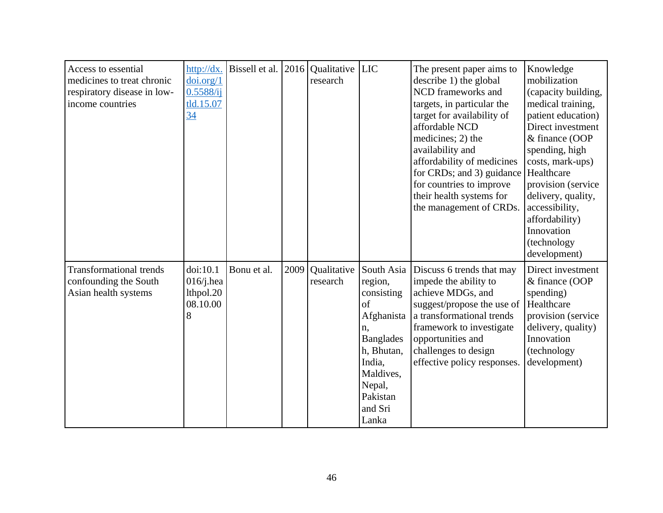| Access to essential<br>medicines to treat chronic<br>respiratory disease in low-<br>income countries | http://dx.<br>doi.org/1<br>0.5588/i<br>tld.15.07<br>$\overline{34}$ | Bissell et al. 2016 Qualitative |      | research                | <b>LIC</b>                                                                                                                                         | The present paper aims to<br>describe 1) the global<br>NCD frameworks and<br>targets, in particular the<br>target for availability of<br>affordable NCD<br>medicines; 2) the<br>availability and<br>affordability of medicines<br>for CRDs; and 3) guidance<br>for countries to improve<br>their health systems for<br>the management of CRDs. | Knowledge<br>mobilization<br>(capacity building,<br>medical training,<br>patient education)<br>Direct investment<br>& finance (OOP<br>spending, high<br>costs, mark-ups)<br>Healthcare<br>provision (service<br>delivery, quality,<br>accessibility,<br>affordability)<br>Innovation<br>(technology<br>development) |
|------------------------------------------------------------------------------------------------------|---------------------------------------------------------------------|---------------------------------|------|-------------------------|----------------------------------------------------------------------------------------------------------------------------------------------------|------------------------------------------------------------------------------------------------------------------------------------------------------------------------------------------------------------------------------------------------------------------------------------------------------------------------------------------------|---------------------------------------------------------------------------------------------------------------------------------------------------------------------------------------------------------------------------------------------------------------------------------------------------------------------|
| <b>Transformational trends</b><br>confounding the South<br>Asian health systems                      | doi:10.1<br>$016$ /j.hea<br>lthpol.20<br>08.10.00<br>8              | Bonu et al.                     | 2009 | Qualitative<br>research | region,<br>consisting<br>of<br>Afghanista<br>n.<br><b>Banglades</b><br>h, Bhutan,<br>India,<br>Maldives,<br>Nepal,<br>Pakistan<br>and Sri<br>Lanka | South Asia Discuss 6 trends that may<br>impede the ability to<br>achieve MDGs, and<br>suggest/propose the use of<br>a transformational trends<br>framework to investigate<br>opportunities and<br>challenges to design<br>effective policy responses.                                                                                          | Direct investment<br>& finance (OOP<br>spending)<br>Healthcare<br>provision (service<br>delivery, quality)<br>Innovation<br>(technology<br>development)                                                                                                                                                             |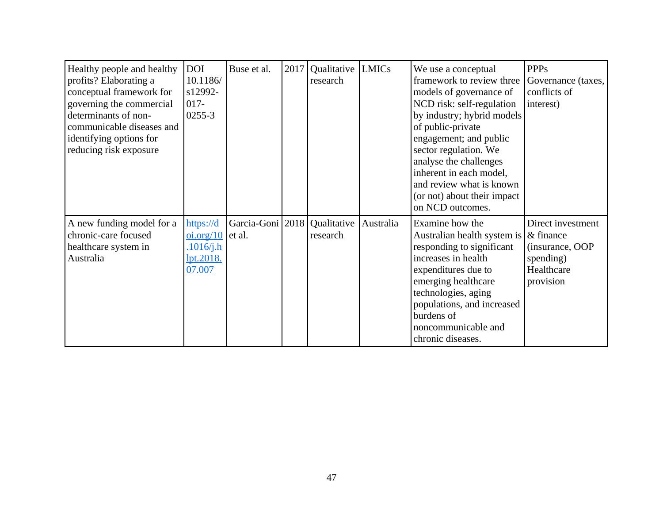| Healthy people and healthy<br>profits? Elaborating a<br>conceptual framework for<br>governing the commercial<br>determinants of non-<br>communicable diseases and<br>identifying options for<br>reducing risk exposure | <b>DOI</b><br>10.1186/<br>s12992-<br>$017 -$<br>$0255 - 3$           | Buse et al.                                | 2017 | Qualitative<br>research | <b>LMICs</b> | We use a conceptual<br>framework to review three<br>models of governance of<br>NCD risk: self-regulation<br>by industry; hybrid models<br>of public-private<br>engagement; and public<br>sector regulation. We<br>analyse the challenges<br>inherent in each model,<br>and review what is known<br>(or not) about their impact<br>on NCD outcomes. | <b>PPPs</b><br>Governance (taxes,<br>conflicts of<br>interest)               |
|------------------------------------------------------------------------------------------------------------------------------------------------------------------------------------------------------------------------|----------------------------------------------------------------------|--------------------------------------------|------|-------------------------|--------------|----------------------------------------------------------------------------------------------------------------------------------------------------------------------------------------------------------------------------------------------------------------------------------------------------------------------------------------------------|------------------------------------------------------------------------------|
| A new funding model for a<br>chronic-care focused<br>healthcare system in<br>Australia                                                                                                                                 | $\frac{https://d}{$<br>oi.org/10<br>.1016/j.h<br>lpt.2018.<br>07.007 | Garcia-Goni   2018   Qualitative<br>et al. |      | research                | Australia    | Examine how the<br>Australian health system is $\&$ finance<br>responding to significant<br>increases in health<br>expenditures due to<br>emerging healthcare<br>technologies, aging<br>populations, and increased<br>burdens of<br>noncommunicable and<br>chronic diseases.                                                                       | Direct investment<br>(insurance, OOP<br>spending)<br>Healthcare<br>provision |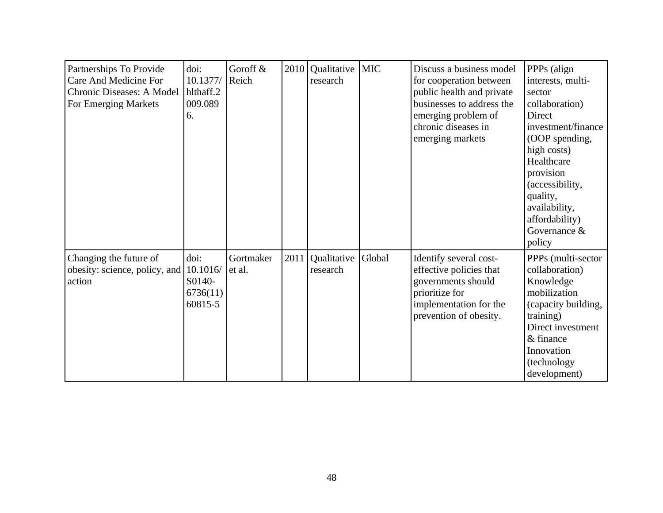| Partnerships To Provide<br>Care And Medicine For<br>Chronic Diseases: A Model<br>For Emerging Markets | doi:<br>10.1377/<br>hlthaff.2<br>009.089<br>6.    | Goroff &<br>Reich   |      | $2010$ Qualitative<br>research | <b>MIC</b> | Discuss a business model<br>for cooperation between<br>public health and private<br>businesses to address the<br>emerging problem of<br>chronic diseases in<br>emerging markets | PPPs (align<br>interests, multi-<br>sector<br>collaboration)<br>Direct<br>investment/finance<br>(OOP spending,<br>high costs)<br>Healthcare<br>provision<br>(accessibility,<br>quality,<br>availability,<br>affordability)<br>Governance &<br>policy |
|-------------------------------------------------------------------------------------------------------|---------------------------------------------------|---------------------|------|--------------------------------|------------|---------------------------------------------------------------------------------------------------------------------------------------------------------------------------------|------------------------------------------------------------------------------------------------------------------------------------------------------------------------------------------------------------------------------------------------------|
| Changing the future of<br>obesity: science, policy, and<br>action                                     | doi:<br>10.1016/<br>S0140-<br>6736(11)<br>60815-5 | Gortmaker<br>et al. | 2011 | Qualitative<br>research        | Global     | Identify several cost-<br>effective policies that<br>governments should<br>prioritize for<br>implementation for the<br>prevention of obesity.                                   | PPPs (multi-sector<br>collaboration)<br>Knowledge<br>mobilization<br>(capacity building,<br>training)<br>Direct investment<br>& finance<br>Innovation<br>(technology<br>development)                                                                 |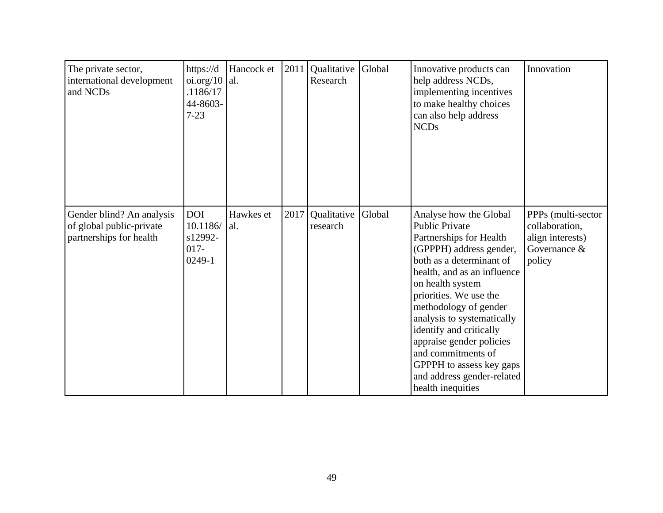| The private sector,<br>international development<br>and NCDs                     | https:// $d$<br>oi.org/10   al.<br>.1186/17<br>44-8603-<br>$7 - 23$ | Hancock et       | 2011 | Qualitative<br>Research | Global | Innovative products can<br>help address NCDs,<br>implementing incentives<br>to make healthy choices<br>can also help address<br><b>NCDs</b>                                                                                                                                                                                                                                                                                       | Innovation                                                                         |
|----------------------------------------------------------------------------------|---------------------------------------------------------------------|------------------|------|-------------------------|--------|-----------------------------------------------------------------------------------------------------------------------------------------------------------------------------------------------------------------------------------------------------------------------------------------------------------------------------------------------------------------------------------------------------------------------------------|------------------------------------------------------------------------------------|
| Gender blind? An analysis<br>of global public-private<br>partnerships for health | <b>DOI</b><br>10.1186/<br>s12992-<br>$017 -$<br>$0249-1$            | Hawkes et<br>al. | 2017 | Qualitative<br>research | Global | Analyse how the Global<br><b>Public Private</b><br>Partnerships for Health<br>(GPPPH) address gender,<br>both as a determinant of<br>health, and as an influence<br>on health system<br>priorities. We use the<br>methodology of gender<br>analysis to systematically<br>identify and critically<br>appraise gender policies<br>and commitments of<br>GPPPH to assess key gaps<br>and address gender-related<br>health inequities | PPPs (multi-sector<br>collaboration,<br>align interests)<br>Governance &<br>policy |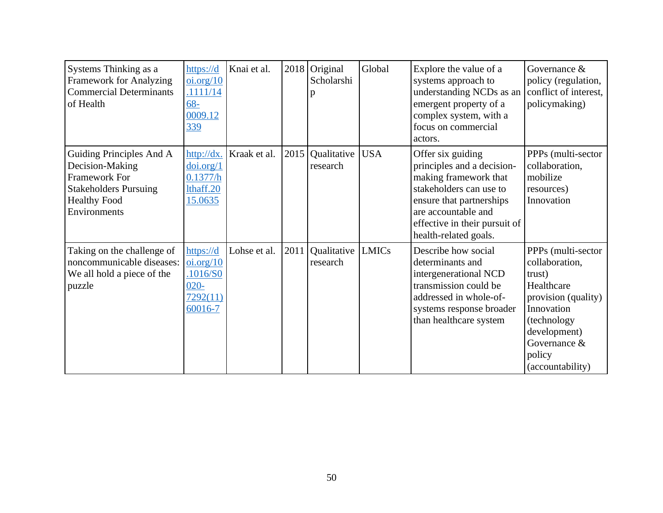| Systems Thinking as a<br>Framework for Analyzing<br><b>Commercial Determinants</b><br>of Health                                     | $\frac{https://d}{$<br>0i.org/10<br>.1111/14<br>$68 -$<br>0009.12<br>339            | Knai et al.  | 2018 | Original<br>Scholarshi<br>p  | Global       | Explore the value of a<br>systems approach to<br>understanding NCDs as an<br>emergent property of a<br>complex system, with a<br>focus on commercial<br>actors.                                                  | Governance &<br>policy (regulation,<br>conflict of interest,<br>policymaking)                                                                                                   |
|-------------------------------------------------------------------------------------------------------------------------------------|-------------------------------------------------------------------------------------|--------------|------|------------------------------|--------------|------------------------------------------------------------------------------------------------------------------------------------------------------------------------------------------------------------------|---------------------------------------------------------------------------------------------------------------------------------------------------------------------------------|
| Guiding Principles And A<br>Decision-Making<br>Framework For<br><b>Stakeholders Pursuing</b><br><b>Healthy Food</b><br>Environments | http://dx.<br>$\frac{\text{doi.org}}{1}$<br>0.1377/h<br>lthaff.20<br>15.0635        | Kraak et al. |      | 2015 Qualitative<br>research | <b>USA</b>   | Offer six guiding<br>principles and a decision-<br>making framework that<br>stakeholders can use to<br>ensure that partnerships<br>are accountable and<br>effective in their pursuit of<br>health-related goals. | PPPs (multi-sector<br>collaboration,<br>mobilize<br>resources)<br>Innovation                                                                                                    |
| Taking on the challenge of<br>noncommunicable diseases:<br>We all hold a piece of the<br>puzzle                                     | $\frac{https://d}{$<br>$0$ .org/ $10$<br>.1016/S0<br>$020 -$<br>7292(11)<br>60016-7 | Lohse et al. | 2011 | Qualitative<br>research      | <b>LMICs</b> | Describe how social<br>determinants and<br>intergenerational NCD<br>transmission could be<br>addressed in whole-of-<br>systems response broader<br>than healthcare system                                        | PPPs (multi-sector<br>collaboration,<br>trust)<br>Healthcare<br>provision (quality)<br>Innovation<br>(technology)<br>development)<br>Governance &<br>policy<br>(accountability) |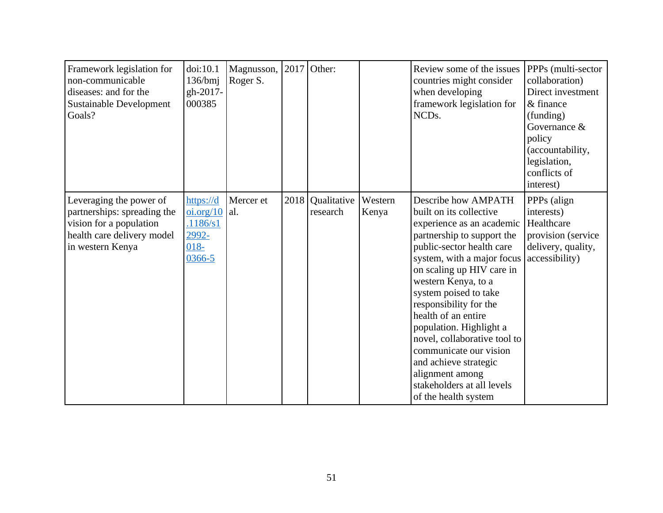| Framework legislation for<br>non-communicable<br>diseases: and for the<br><b>Sustainable Development</b><br>Goals?                  | doi:10.1<br>$136/b$ mj<br>gh-2017-<br>000385                                                                     | Magnusson,<br>Roger S. | 2017 | Other:                  |                  | Review some of the issues<br>countries might consider<br>when developing<br>framework legislation for<br>NCD <sub>s</sub> .                                                                                                                                                                                                                                                                                                                                                               | PPPs (multi-sector)<br>collaboration)<br>Direct investment<br>& finance<br>(funding)<br>Governance &<br>policy<br>(accountability,<br>legislation,<br>conflicts of<br>interest) |
|-------------------------------------------------------------------------------------------------------------------------------------|------------------------------------------------------------------------------------------------------------------|------------------------|------|-------------------------|------------------|-------------------------------------------------------------------------------------------------------------------------------------------------------------------------------------------------------------------------------------------------------------------------------------------------------------------------------------------------------------------------------------------------------------------------------------------------------------------------------------------|---------------------------------------------------------------------------------------------------------------------------------------------------------------------------------|
| Leveraging the power of<br>partnerships: spreading the<br>vision for a population<br>health care delivery model<br>in western Kenya | $\frac{https://d}{$<br>$0$ $\frac{\text{o}i \cdot \text{org}}{10}$ al.<br>.1186/s1<br>2992-<br>$018 -$<br>0366-5 | Mercer et              | 2018 | Qualitative<br>research | Western<br>Kenya | Describe how AMPATH<br>built on its collective<br>experience as an academic<br>partnership to support the<br>public-sector health care<br>system, with a major focus<br>on scaling up HIV care in<br>western Kenya, to a<br>system poised to take<br>responsibility for the<br>health of an entire<br>population. Highlight a<br>novel, collaborative tool to<br>communicate our vision<br>and achieve strategic<br>alignment among<br>stakeholders at all levels<br>of the health system | PPPs (align<br>interests)<br>Healthcare<br>provision (service<br>delivery, quality,<br>accessibility)                                                                           |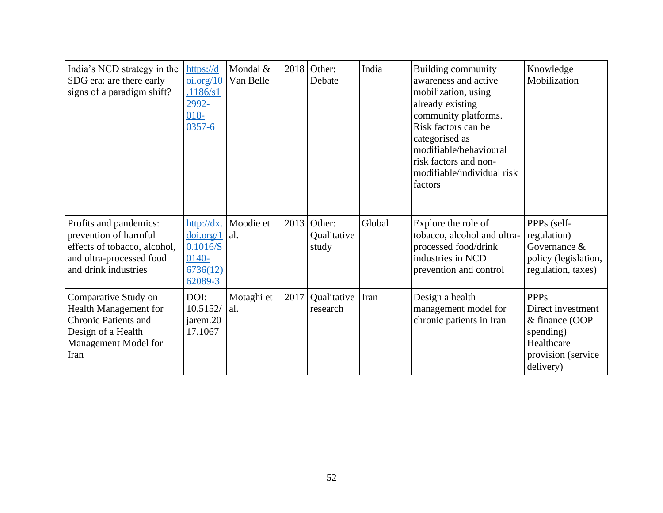| India's NCD strategy in the<br>SDG era: are there early<br>signs of a paradigm shift?                                               | $\frac{https://d}{$<br>oi.org/10<br>.1186/s1<br>2992-<br>$018 -$<br>$0357 - 6$ | Mondal &<br>Van Belle       |      | $2018$ Other:<br>Debate        | India  | Building community<br>awareness and active<br>mobilization, using<br>already existing<br>community platforms.<br>Risk factors can be<br>categorised as<br>modifiable/behavioural<br>risk factors and non-<br>modifiable/individual risk<br>factors | Knowledge<br>Mobilization                                                                                         |
|-------------------------------------------------------------------------------------------------------------------------------------|--------------------------------------------------------------------------------|-----------------------------|------|--------------------------------|--------|----------------------------------------------------------------------------------------------------------------------------------------------------------------------------------------------------------------------------------------------------|-------------------------------------------------------------------------------------------------------------------|
| Profits and pandemics:<br>prevention of harmful<br>effects of tobacco, alcohol,<br>and ultra-processed food<br>and drink industries | $\frac{\text{doi.org}}{1}$<br>0.1016/S<br>$0140 -$<br>6736(12)<br>62089-3      | http://dx. Moodie et<br>al. | 2013 | Other:<br>Qualitative<br>study | Global | Explore the role of<br>tobacco, alcohol and ultra-<br>processed food/drink<br>industries in NCD<br>prevention and control                                                                                                                          | PPPs (self-<br>regulation)<br>Governance &<br>policy (legislation,<br>regulation, taxes)                          |
| Comparative Study on<br>Health Management for<br><b>Chronic Patients and</b><br>Design of a Health<br>Management Model for<br>Iran  | DOI:<br>10.5152/<br>jarem.20<br>17.1067                                        | Motaghi et<br>al.           | 2017 | Qualitative<br>research        | Iran   | Design a health<br>management model for<br>chronic patients in Iran                                                                                                                                                                                | <b>PPPs</b><br>Direct investment<br>& finance (OOP<br>spending)<br>Healthcare<br>provision (service)<br>delivery) |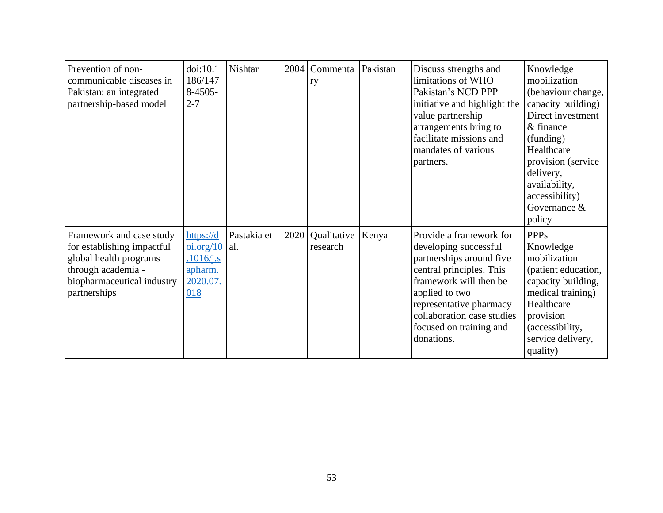| Prevention of non-<br>communicable diseases in<br>Pakistan: an integrated<br>partnership-based model                                                 | doi:10.1<br>186/147<br>$8-4505-$<br>$2 - 7$                                               | Nishtar            | 2004 | Commenta<br>ry               | Pakistan | Discuss strengths and<br>limitations of WHO<br>Pakistan's NCD PPP<br>initiative and highlight the<br>value partnership<br>arrangements bring to<br>facilitate missions and<br>mandates of various<br>partners.                                         | Knowledge<br>mobilization<br>(behaviour change,<br>capacity building)<br>Direct investment<br>& finance<br>(funding)<br>Healthcare<br>provision (service<br>delivery,<br>availability,<br>accessibility)<br>Governance &<br>policy |
|------------------------------------------------------------------------------------------------------------------------------------------------------|-------------------------------------------------------------------------------------------|--------------------|------|------------------------------|----------|--------------------------------------------------------------------------------------------------------------------------------------------------------------------------------------------------------------------------------------------------------|------------------------------------------------------------------------------------------------------------------------------------------------------------------------------------------------------------------------------------|
| Framework and case study<br>for establishing impactful<br>global health programs<br>through academia -<br>biopharmaceutical industry<br>partnerships | $\frac{https://d}{$<br>$0$ <sub>i.org/10</sub><br>.1016/j.s<br>apharm.<br>2020.07.<br>018 | Pastakia et<br>al. |      | 2020 Qualitative<br>research | Kenya    | Provide a framework for<br>developing successful<br>partnerships around five<br>central principles. This<br>framework will then be<br>applied to two<br>representative pharmacy<br>collaboration case studies<br>focused on training and<br>donations. | <b>PPPs</b><br>Knowledge<br>mobilization<br>(patient education,<br>capacity building,<br>medical training)<br>Healthcare<br>provision<br>(accessibility,<br>service delivery,<br>quality)                                          |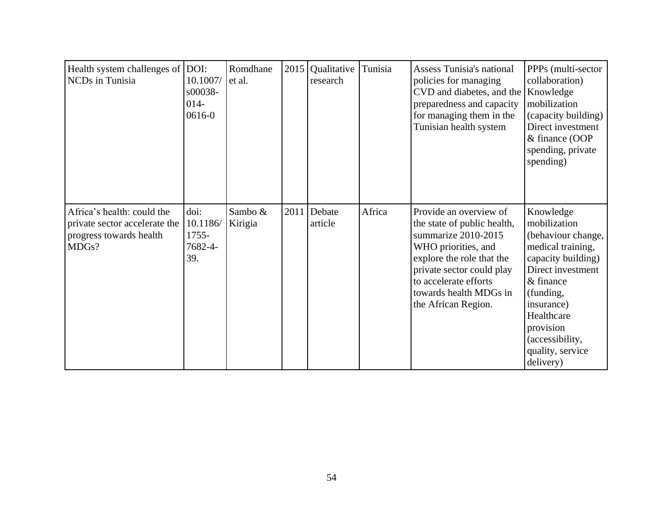| Health system challenges of DOI:<br>NCDs in Tunisia                                             | 10.1007/<br>s00038-<br>$014 -$<br>0616-0       | Romdhane<br>et al. | 2015 Qualitative<br>research | Tunisia | <b>Assess Tunisia's national</b><br>policies for managing<br>CVD and diabetes, and the<br>preparedness and capacity<br>for managing them in the<br>Tunisian health system                                                               | PPPs (multi-sector<br>collaboration)<br>Knowledge<br>mobilization<br>(capacity building)<br>Direct investment<br>& finance (OOP<br>spending, private<br>spending)                                                                      |
|-------------------------------------------------------------------------------------------------|------------------------------------------------|--------------------|------------------------------|---------|-----------------------------------------------------------------------------------------------------------------------------------------------------------------------------------------------------------------------------------------|----------------------------------------------------------------------------------------------------------------------------------------------------------------------------------------------------------------------------------------|
| Africa's health: could the<br>private sector accelerate the<br>progress towards health<br>MDGs? | doi:<br>10.1186/<br>$1755 -$<br>7682-4-<br>39. | Sambo &<br>Kirigia | 2011 Debate<br>article       | Africa  | Provide an overview of<br>the state of public health,<br>summarize 2010-2015<br>WHO priorities, and<br>explore the role that the<br>private sector could play<br>to accelerate efforts<br>towards health MDGs in<br>the African Region. | Knowledge<br>mobilization<br>(behaviour change,<br>medical training,<br>capacity building)<br>Direct investment<br>& finance<br>(funding,<br>insurance)<br>Healthcare<br>provision<br>(accessibility,<br>quality, service<br>delivery) |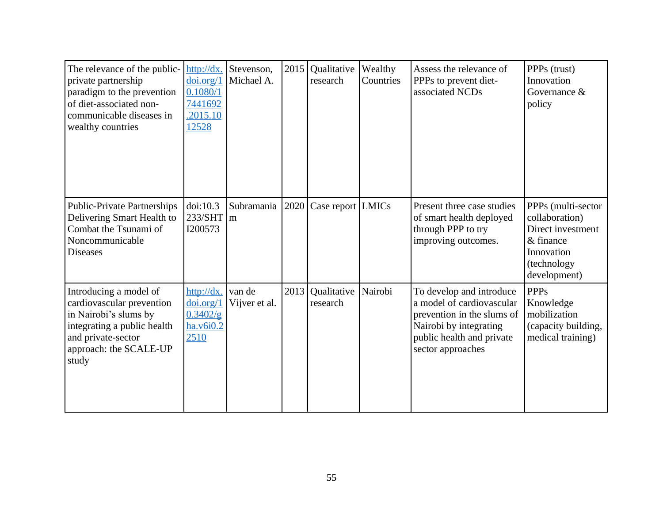| The relevance of the public-<br>private partnership<br>paradigm to the prevention<br>of diet-associated non-<br>communicable diseases in<br>wealthy countries        | http://dx.<br>$\frac{\text{doi.org}}{1}$<br>0.1080/1<br>7441692<br>.2015.10<br>12528 | Stevenson,<br>Michael A. | 2015 | Qualitative<br>research      | Wealthy<br>Countries | Assess the relevance of<br>PPPs to prevent diet-<br>associated NCDs                                                                                             | PPPs (trust)<br>Innovation<br>Governance $&$<br>policy                                                              |
|----------------------------------------------------------------------------------------------------------------------------------------------------------------------|--------------------------------------------------------------------------------------|--------------------------|------|------------------------------|----------------------|-----------------------------------------------------------------------------------------------------------------------------------------------------------------|---------------------------------------------------------------------------------------------------------------------|
| <b>Public-Private Partnerships</b><br>Delivering Smart Health to<br>Combat the Tsunami of<br>Noncommunicable<br><b>Diseases</b>                                      | doi:10.3<br>$233/SHT$ m<br>I200573                                                   | Subramania               | 2020 | Case report LMICs            |                      | Present three case studies<br>of smart health deployed<br>through PPP to try<br>improving outcomes.                                                             | PPPs (multi-sector<br>collaboration)<br>Direct investment<br>& finance<br>Innovation<br>(technology<br>development) |
| Introducing a model of<br>cardiovascular prevention<br>in Nairobi's slums by<br>integrating a public health<br>and private-sector<br>approach: the SCALE-UP<br>study | http://dx.<br>$\frac{\text{doi.org}}{1}$<br>0.3402/g<br>ha.v6i0.2<br>2510            | van de<br>Vijver et al.  |      | 2013 Qualitative<br>research | Nairobi              | To develop and introduce<br>a model of cardiovascular<br>prevention in the slums of<br>Nairobi by integrating<br>public health and private<br>sector approaches | <b>PPPs</b><br>Knowledge<br>mobilization<br>(capacity building,<br>medical training)                                |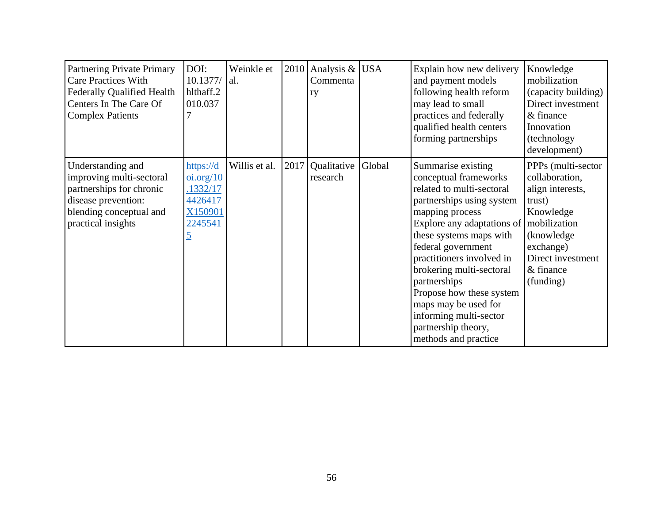| Partnering Private Primary<br><b>Care Practices With</b><br><b>Federally Qualified Health</b><br>Centers In The Care Of<br><b>Complex Patients</b> | DOI:<br>10.1377/<br>hlthaff.2<br>010.037                                                  | Weinkle et<br>al. |      | 2010 Analysis $\&$<br>Commenta<br>ry | <b>USA</b> | Explain how new delivery<br>and payment models<br>following health reform<br>may lead to small<br>practices and federally<br>qualified health centers<br>forming partnerships                                                                                                                                                                                                                                 | Knowledge<br>mobilization<br>(capacity building)<br>Direct investment<br>& finance<br>Innovation<br>(technology<br>development)                                            |
|----------------------------------------------------------------------------------------------------------------------------------------------------|-------------------------------------------------------------------------------------------|-------------------|------|--------------------------------------|------------|---------------------------------------------------------------------------------------------------------------------------------------------------------------------------------------------------------------------------------------------------------------------------------------------------------------------------------------------------------------------------------------------------------------|----------------------------------------------------------------------------------------------------------------------------------------------------------------------------|
| Understanding and<br>improving multi-sectoral<br>partnerships for chronic<br>disease prevention:<br>blending conceptual and<br>practical insights  | $\frac{https://d}{$<br>oi.org/10<br>.1332/17<br>4426417<br>X150901<br>2245541<br><u>5</u> | Willis et al.     | 2017 | Qualitative<br>research              | Global     | Summarise existing<br>conceptual frameworks<br>related to multi-sectoral<br>partnerships using system<br>mapping process<br>Explore any adaptations of<br>these systems maps with<br>federal government<br>practitioners involved in<br>brokering multi-sectoral<br>partnerships<br>Propose how these system<br>maps may be used for<br>informing multi-sector<br>partnership theory,<br>methods and practice | PPPs (multi-sector<br>collaboration,<br>align interests,<br>trust)<br>Knowledge<br>mobilization<br>(knowledge)<br>exchange)<br>Direct investment<br>& finance<br>(funding) |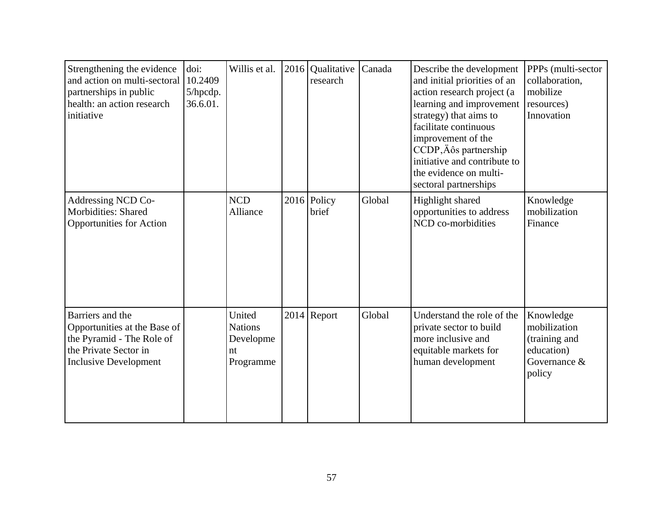| Strengthening the evidence<br>and action on multi-sectoral<br>partnerships in public<br>health: an action research<br>initiative       | doi:<br>10.2409<br>5/hpcdp.<br>36.6.01. | Willis et al.                                            | 2016 Qualitative<br>research | Canada | Describe the development<br>and initial priorities of an<br>action research project (a<br>learning and improvement<br>strategy) that aims to<br>facilitate continuous<br>improvement of the<br>CCDP, Äôs partnership<br>initiative and contribute to<br>the evidence on multi-<br>sectoral partnerships | PPPs (multi-sector<br>collaboration,<br>mobilize<br>resources)<br>Innovation       |
|----------------------------------------------------------------------------------------------------------------------------------------|-----------------------------------------|----------------------------------------------------------|------------------------------|--------|---------------------------------------------------------------------------------------------------------------------------------------------------------------------------------------------------------------------------------------------------------------------------------------------------------|------------------------------------------------------------------------------------|
| Addressing NCD Co-<br><b>Morbidities: Shared</b><br><b>Opportunities for Action</b>                                                    |                                         | <b>NCD</b><br>Alliance                                   | 2016 Policy<br>brief         | Global | Highlight shared<br>opportunities to address<br>NCD co-morbidities                                                                                                                                                                                                                                      | Knowledge<br>mobilization<br>Finance                                               |
| Barriers and the<br>Opportunities at the Base of<br>the Pyramid - The Role of<br>the Private Sector in<br><b>Inclusive Development</b> |                                         | United<br><b>Nations</b><br>Developme<br>nt<br>Programme | $2014$ Report                | Global | Understand the role of the<br>private sector to build<br>more inclusive and<br>equitable markets for<br>human development                                                                                                                                                                               | Knowledge<br>mobilization<br>(training and<br>education)<br>Governance &<br>policy |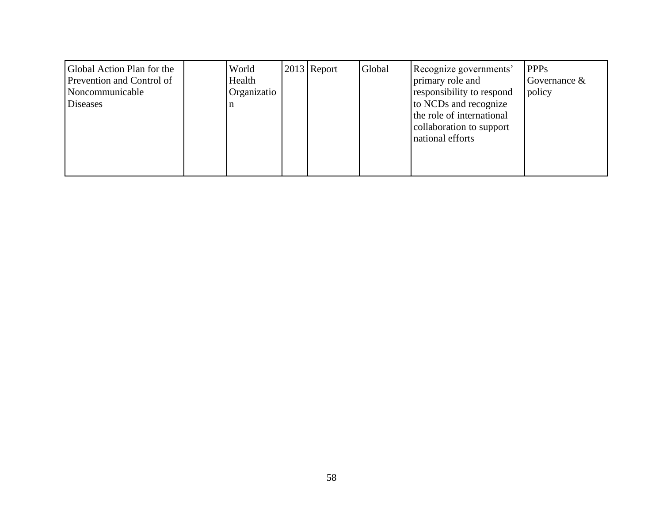| Global Action Plan for the<br>Prevention and Control of<br>Noncommunicable<br><b>Diseases</b> | World<br>Health<br>ın | Organizatio | $2013$ Report | Global | Recognize governments'<br>primary role and<br>responsibility to respond<br>to NCDs and recognize<br>the role of international<br>collaboration to support<br>national efforts | <b>PPPs</b><br>Governance $\&$<br>policy |
|-----------------------------------------------------------------------------------------------|-----------------------|-------------|---------------|--------|-------------------------------------------------------------------------------------------------------------------------------------------------------------------------------|------------------------------------------|
|-----------------------------------------------------------------------------------------------|-----------------------|-------------|---------------|--------|-------------------------------------------------------------------------------------------------------------------------------------------------------------------------------|------------------------------------------|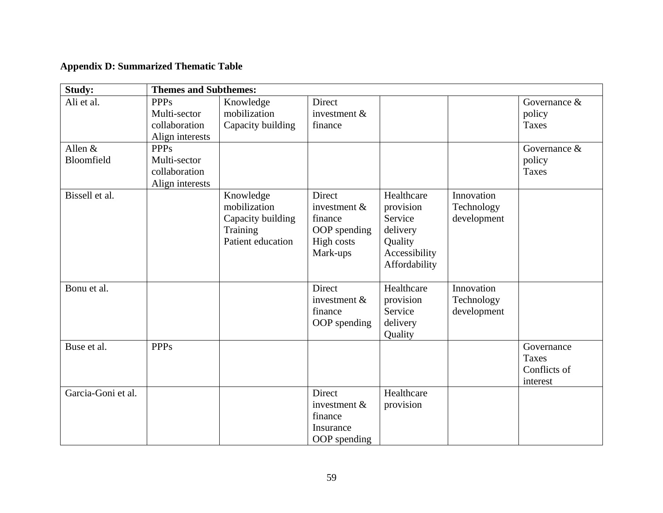## **Appendix D: Summarized Thematic Table**

| <b>Study:</b>         | <b>Themes and Subthemes:</b>                                    |                                                                                 |                                                                             |                                                                                             |                                         |                                                 |  |  |
|-----------------------|-----------------------------------------------------------------|---------------------------------------------------------------------------------|-----------------------------------------------------------------------------|---------------------------------------------------------------------------------------------|-----------------------------------------|-------------------------------------------------|--|--|
| Ali et al.            | <b>PPPs</b><br>Multi-sector<br>collaboration<br>Align interests | Knowledge<br>mobilization<br>Capacity building                                  | Direct<br>investment &<br>finance                                           |                                                                                             |                                         | Governance &<br>policy<br>Taxes                 |  |  |
| Allen &<br>Bloomfield | <b>PPPs</b><br>Multi-sector<br>collaboration<br>Align interests |                                                                                 |                                                                             |                                                                                             |                                         | Governance &<br>policy<br>Taxes                 |  |  |
| Bissell et al.        |                                                                 | Knowledge<br>mobilization<br>Capacity building<br>Training<br>Patient education | Direct<br>investment &<br>finance<br>OOP spending<br>High costs<br>Mark-ups | Healthcare<br>provision<br>Service<br>delivery<br>Quality<br>Accessibility<br>Affordability | Innovation<br>Technology<br>development |                                                 |  |  |
| Bonu et al.           |                                                                 |                                                                                 | Direct<br>investment &<br>finance<br>OOP spending                           | Healthcare<br>provision<br>Service<br>delivery<br>Quality                                   | Innovation<br>Technology<br>development |                                                 |  |  |
| Buse et al.           | <b>PPPs</b>                                                     |                                                                                 |                                                                             |                                                                                             |                                         | Governance<br>Taxes<br>Conflicts of<br>interest |  |  |
| Garcia-Goni et al.    |                                                                 |                                                                                 | Direct<br>investment &<br>finance<br>Insurance<br>OOP spending              | Healthcare<br>provision                                                                     |                                         |                                                 |  |  |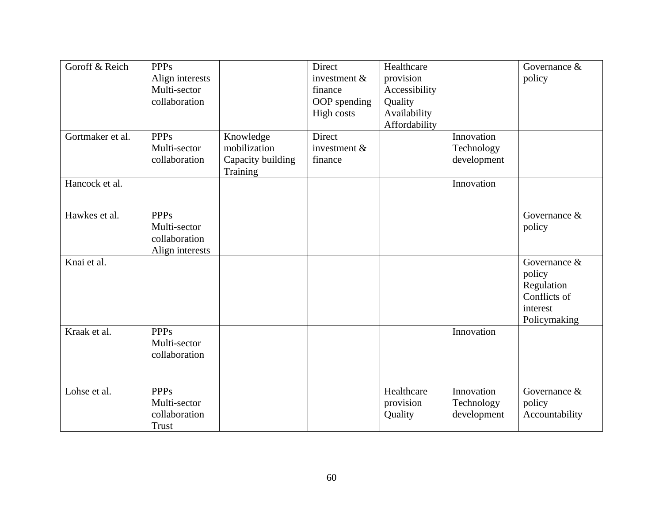| Goroff & Reich   | <b>PPPs</b><br>Align interests<br>Multi-sector<br>collaboration |                                                            | Direct<br>investment &<br>finance<br>OOP spending<br>High costs | Healthcare<br>provision<br>Accessibility<br>Quality<br>Availability<br>Affordability |                                         | Governance &<br>policy                                                           |
|------------------|-----------------------------------------------------------------|------------------------------------------------------------|-----------------------------------------------------------------|--------------------------------------------------------------------------------------|-----------------------------------------|----------------------------------------------------------------------------------|
| Gortmaker et al. | <b>PPPs</b><br>Multi-sector<br>collaboration                    | Knowledge<br>mobilization<br>Capacity building<br>Training | Direct<br>investment &<br>finance                               |                                                                                      | Innovation<br>Technology<br>development |                                                                                  |
| Hancock et al.   |                                                                 |                                                            |                                                                 |                                                                                      | Innovation                              |                                                                                  |
| Hawkes et al.    | <b>PPPs</b><br>Multi-sector<br>collaboration<br>Align interests |                                                            |                                                                 |                                                                                      |                                         | Governance &<br>policy                                                           |
| Knai et al.      |                                                                 |                                                            |                                                                 |                                                                                      |                                         | Governance &<br>policy<br>Regulation<br>Conflicts of<br>interest<br>Policymaking |
| Kraak et al.     | <b>PPPs</b><br>Multi-sector<br>collaboration                    |                                                            |                                                                 |                                                                                      | Innovation                              |                                                                                  |
| Lohse et al.     | <b>PPPs</b><br>Multi-sector<br>collaboration<br><b>Trust</b>    |                                                            |                                                                 | Healthcare<br>provision<br>Quality                                                   | Innovation<br>Technology<br>development | Governance &<br>policy<br>Accountability                                         |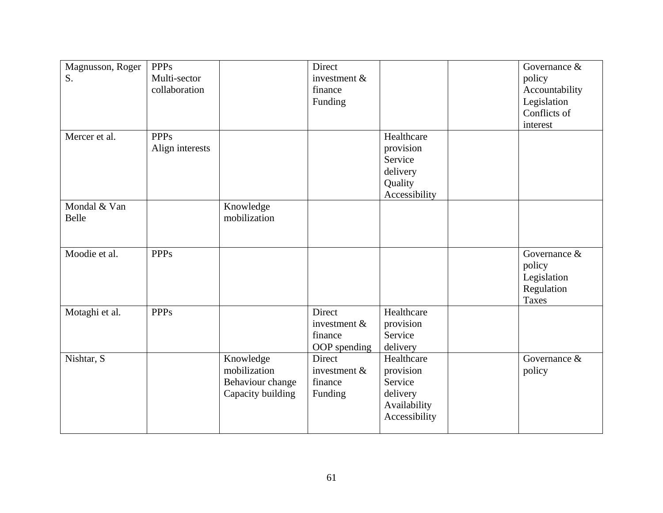| Magnusson, Roger<br>S. | <b>PPPs</b><br>Multi-sector<br>collaboration |                                                                    | Direct<br>investment $&$<br>finance<br>Funding      |                                                                                 | Governance &<br>policy<br>Accountability<br>Legislation<br>Conflicts of<br>interest |
|------------------------|----------------------------------------------|--------------------------------------------------------------------|-----------------------------------------------------|---------------------------------------------------------------------------------|-------------------------------------------------------------------------------------|
| Mercer et al.          | <b>PPPs</b><br>Align interests               |                                                                    |                                                     | Healthcare<br>provision<br>Service<br>delivery<br>Quality<br>Accessibility      |                                                                                     |
| Mondal & Van<br>Belle  |                                              | Knowledge<br>mobilization                                          |                                                     |                                                                                 |                                                                                     |
| Moodie et al.          | <b>PPPs</b>                                  |                                                                    |                                                     |                                                                                 | Governance &<br>policy<br>Legislation<br>Regulation<br>Taxes                        |
| Motaghi et al.         | <b>PPPs</b>                                  |                                                                    | Direct<br>investment $&$<br>finance<br>OOP spending | Healthcare<br>provision<br>Service<br>delivery                                  |                                                                                     |
| Nishtar, S             |                                              | Knowledge<br>mobilization<br>Behaviour change<br>Capacity building | Direct<br>investment $&$<br>finance<br>Funding      | Healthcare<br>provision<br>Service<br>delivery<br>Availability<br>Accessibility | Governance &<br>policy                                                              |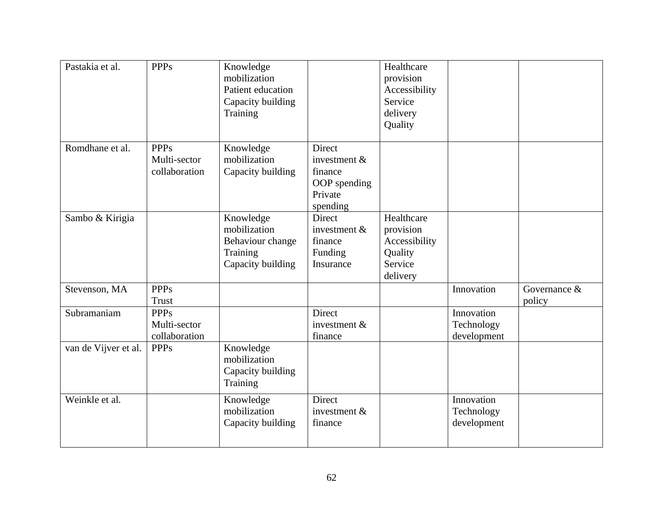| Pastakia et al.      | <b>PPPs</b>                                  | Knowledge<br>mobilization<br>Patient education<br>Capacity building<br>Training |                                                                            | Healthcare<br>provision<br>Accessibility<br>Service<br>delivery<br>Quality |                                         |                        |
|----------------------|----------------------------------------------|---------------------------------------------------------------------------------|----------------------------------------------------------------------------|----------------------------------------------------------------------------|-----------------------------------------|------------------------|
| Romdhane et al.      | <b>PPPs</b><br>Multi-sector<br>collaboration | Knowledge<br>mobilization<br>Capacity building                                  | Direct<br>investment $&$<br>finance<br>OOP spending<br>Private<br>spending |                                                                            |                                         |                        |
| Sambo & Kirigia      |                                              | Knowledge<br>mobilization<br>Behaviour change<br>Training<br>Capacity building  | Direct<br>investment $&$<br>finance<br>Funding<br>Insurance                | Healthcare<br>provision<br>Accessibility<br>Quality<br>Service<br>delivery |                                         |                        |
| Stevenson, MA        | <b>PPPs</b><br><b>Trust</b>                  |                                                                                 |                                                                            |                                                                            | Innovation                              | Governance &<br>policy |
| Subramaniam          | <b>PPPs</b><br>Multi-sector<br>collaboration |                                                                                 | Direct<br>investment $&$<br>finance                                        |                                                                            | Innovation<br>Technology<br>development |                        |
| van de Vijver et al. | <b>PPPs</b>                                  | Knowledge<br>mobilization<br>Capacity building<br>Training                      |                                                                            |                                                                            |                                         |                        |
| Weinkle et al.       |                                              | Knowledge<br>mobilization<br>Capacity building                                  | Direct<br>investment $&$<br>finance                                        |                                                                            | Innovation<br>Technology<br>development |                        |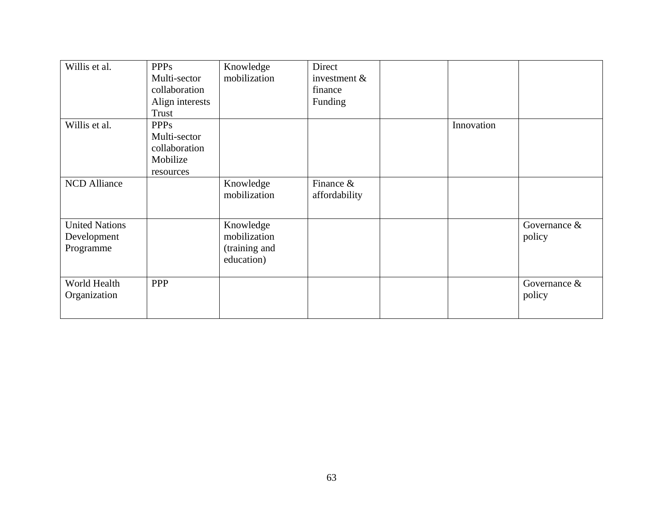| Willis et al.         | <b>PPPs</b>     | Knowledge     | Direct         |            |                |
|-----------------------|-----------------|---------------|----------------|------------|----------------|
|                       | Multi-sector    | mobilization  | investment $&$ |            |                |
|                       | collaboration   |               | finance        |            |                |
|                       | Align interests |               | Funding        |            |                |
|                       | Trust           |               |                |            |                |
| Willis et al.         | <b>PPPs</b>     |               |                | Innovation |                |
|                       | Multi-sector    |               |                |            |                |
|                       | collaboration   |               |                |            |                |
|                       | Mobilize        |               |                |            |                |
|                       | resources       |               |                |            |                |
| <b>NCD</b> Alliance   |                 | Knowledge     | Finance $\&$   |            |                |
|                       |                 | mobilization  | affordability  |            |                |
|                       |                 |               |                |            |                |
| <b>United Nations</b> |                 | Knowledge     |                |            | Governance $&$ |
| Development           |                 | mobilization  |                |            | policy         |
| Programme             |                 | (training and |                |            |                |
|                       |                 | education)    |                |            |                |
|                       |                 |               |                |            |                |
| World Health          | <b>PPP</b>      |               |                |            | Governance $&$ |
| Organization          |                 |               |                |            | policy         |
|                       |                 |               |                |            |                |
|                       |                 |               |                |            |                |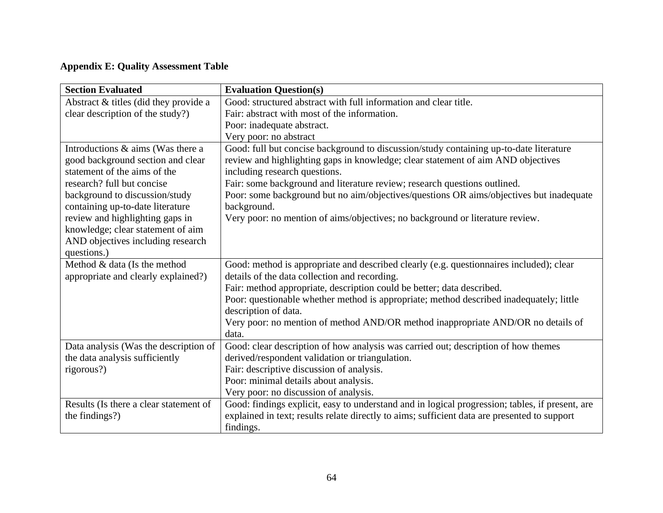## **Appendix E: Quality Assessment Table**

| <b>Section Evaluated</b>               | <b>Evaluation Question(s)</b>                                                                   |
|----------------------------------------|-------------------------------------------------------------------------------------------------|
| Abstract & titles (did they provide a  | Good: structured abstract with full information and clear title.                                |
| clear description of the study?)       | Fair: abstract with most of the information.                                                    |
|                                        | Poor: inadequate abstract.                                                                      |
|                                        | Very poor: no abstract                                                                          |
| Introductions & aims (Was there a      | Good: full but concise background to discussion/study containing up-to-date literature          |
| good background section and clear      | review and highlighting gaps in knowledge; clear statement of aim AND objectives                |
| statement of the aims of the           | including research questions.                                                                   |
| research? full but concise             | Fair: some background and literature review; research questions outlined.                       |
| background to discussion/study         | Poor: some background but no aim/objectives/questions OR aims/objectives but inadequate         |
| containing up-to-date literature       | background.                                                                                     |
| review and highlighting gaps in        | Very poor: no mention of aims/objectives; no background or literature review.                   |
| knowledge; clear statement of aim      |                                                                                                 |
| AND objectives including research      |                                                                                                 |
| questions.)                            |                                                                                                 |
| Method & data (Is the method           | Good: method is appropriate and described clearly (e.g. questionnaires included); clear         |
| appropriate and clearly explained?)    | details of the data collection and recording.                                                   |
|                                        | Fair: method appropriate, description could be better; data described.                          |
|                                        | Poor: questionable whether method is appropriate; method described inadequately; little         |
|                                        | description of data.                                                                            |
|                                        | Very poor: no mention of method AND/OR method inappropriate AND/OR no details of                |
|                                        | data.                                                                                           |
| Data analysis (Was the description of  | Good: clear description of how analysis was carried out; description of how themes              |
| the data analysis sufficiently         | derived/respondent validation or triangulation.                                                 |
| rigorous?)                             | Fair: descriptive discussion of analysis.                                                       |
|                                        | Poor: minimal details about analysis.                                                           |
|                                        | Very poor: no discussion of analysis.                                                           |
| Results (Is there a clear statement of | Good: findings explicit, easy to understand and in logical progression; tables, if present, are |
| the findings?)                         | explained in text; results relate directly to aims; sufficient data are presented to support    |
|                                        | findings.                                                                                       |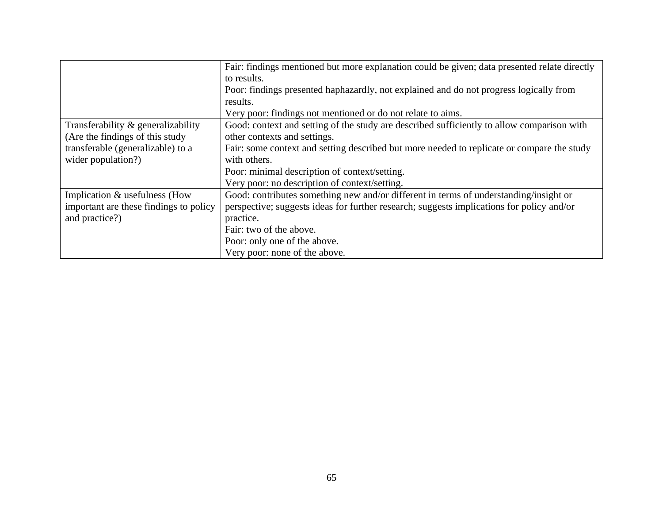|                                        | Fair: findings mentioned but more explanation could be given; data presented relate directly |  |  |  |  |
|----------------------------------------|----------------------------------------------------------------------------------------------|--|--|--|--|
|                                        | to results.                                                                                  |  |  |  |  |
|                                        | Poor: findings presented haphazardly, not explained and do not progress logically from       |  |  |  |  |
|                                        | results.                                                                                     |  |  |  |  |
|                                        | Very poor: findings not mentioned or do not relate to aims.                                  |  |  |  |  |
| Transferability & generalizability     | Good: context and setting of the study are described sufficiently to allow comparison with   |  |  |  |  |
| (Are the findings of this study)       | other contexts and settings.                                                                 |  |  |  |  |
| transferable (generalizable) to a      | Fair: some context and setting described but more needed to replicate or compare the study   |  |  |  |  |
| wider population?)                     | with others.                                                                                 |  |  |  |  |
|                                        | Poor: minimal description of context/setting.                                                |  |  |  |  |
|                                        | Very poor: no description of context/setting.                                                |  |  |  |  |
| Implication & usefulness (How          | Good: contributes something new and/or different in terms of understanding/insight or        |  |  |  |  |
| important are these findings to policy | perspective; suggests ideas for further research; suggests implications for policy and/or    |  |  |  |  |
| and practice?)                         | practice.                                                                                    |  |  |  |  |
|                                        | Fair: two of the above.                                                                      |  |  |  |  |
|                                        | Poor: only one of the above.                                                                 |  |  |  |  |
|                                        | Very poor: none of the above.                                                                |  |  |  |  |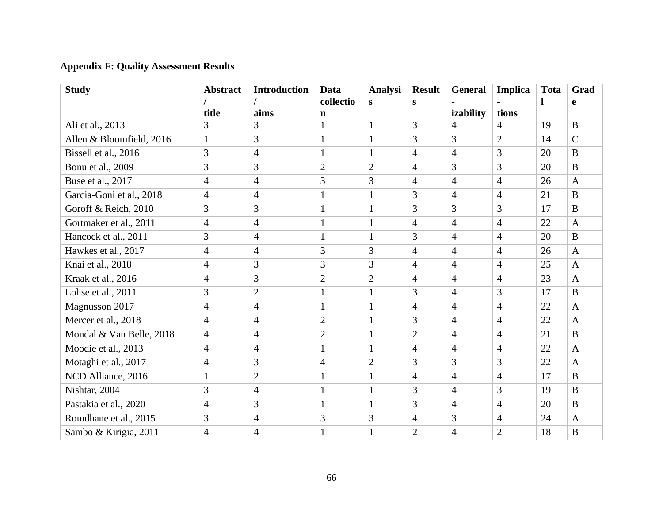## **Appendix F: Quality Assessment Results**

| <b>Study</b>             | <b>Abstract</b> | <b>Introduction</b> | Data           | Analysi        | <b>Result</b>  | <b>General</b> | <b>Implica</b> | <b>Tota</b> | Grad         |
|--------------------------|-----------------|---------------------|----------------|----------------|----------------|----------------|----------------|-------------|--------------|
|                          |                 |                     | collectio      | S              | S              |                |                | 1           | e            |
|                          | title           | aims                | $\mathbf n$    |                |                | izability      | tions          |             |              |
| Ali et al., 2013         | 3               | 3                   | $\mathbf{1}$   | $\mathbf{1}$   | 3              | $\overline{4}$ | $\overline{4}$ | 19          | $\mathbf{B}$ |
| Allen & Bloomfield, 2016 | $\mathbf{1}$    | 3                   | $\mathbf{1}$   | $\mathbf{1}$   | 3              | 3              | $\overline{2}$ | 14          | $\mathsf{C}$ |
| Bissell et al., 2016     | 3               | $\overline{4}$      | $\mathbf{1}$   | $\mathbf{1}$   | $\overline{4}$ | $\overline{4}$ | 3              | 20          | $\mathbf{B}$ |
| Bonu et al., 2009        | 3               | 3                   | $\overline{2}$ | $\overline{2}$ | $\overline{4}$ | 3              | 3              | 20          | $\mathbf{B}$ |
| Buse et al., 2017        | $\overline{4}$  | $\overline{4}$      | 3              | 3              | $\overline{4}$ | $\overline{4}$ | $\overline{4}$ | 26          | $\mathbf{A}$ |
| Garcia-Goni et al., 2018 | $\overline{4}$  | $\overline{4}$      | $\mathbf{1}$   | $\mathbf{1}$   | 3              | $\overline{4}$ | $\overline{4}$ | 21          | $\bf{B}$     |
| Goroff & Reich, 2010     | 3               | 3                   | $\mathbf{1}$   | $\mathbf{1}$   | 3              | 3              | 3              | 17          | B            |
| Gortmaker et al., 2011   | $\overline{4}$  | $\overline{4}$      | $\mathbf{1}$   | $\mathbf{1}$   | $\overline{4}$ | $\overline{4}$ | $\overline{4}$ | 22          | $\mathbf{A}$ |
| Hancock et al., 2011     | 3               | $\overline{4}$      | $\mathbf{1}$   | $\mathbf{1}$   | 3              | $\overline{4}$ | $\overline{4}$ | 20          | $\mathbf{B}$ |
| Hawkes et al., 2017      | $\overline{4}$  | 4                   | 3              | $\overline{3}$ | $\overline{4}$ | $\overline{4}$ | $\overline{4}$ | 26          | $\mathbf{A}$ |
| Knai et al., 2018        | $\overline{4}$  | 3                   | 3              | $\overline{3}$ | $\overline{4}$ | $\overline{4}$ | $\overline{4}$ | 25          | $\mathbf{A}$ |
| Kraak et al., 2016       | $\overline{4}$  | 3                   | $\overline{2}$ | $\overline{2}$ | $\overline{4}$ | $\overline{4}$ | $\overline{4}$ | 23          | $\mathbf{A}$ |
| Lohse et al., 2011       | 3               | $\overline{2}$      | $\mathbf{1}$   | $\mathbf{1}$   | 3              | $\overline{4}$ | 3              | 17          | $\mathbf{B}$ |
| Magnusson 2017           | 4               | $\overline{4}$      | $\mathbf{1}$   | $\mathbf{1}$   | $\overline{4}$ | $\overline{4}$ | $\overline{4}$ | 22          | $\mathbf{A}$ |
| Mercer et al., 2018      | 4               | $\overline{4}$      | $\overline{2}$ | $\mathbf{1}$   | 3              | $\overline{4}$ | $\overline{4}$ | 22          | $\mathbf{A}$ |
| Mondal & Van Belle, 2018 | $\overline{4}$  | $\overline{4}$      | $\overline{2}$ | $\mathbf{1}$   | $\overline{2}$ | $\overline{4}$ | $\overline{4}$ | 21          | $\mathbf{B}$ |
| Moodie et al., 2013      | 4               | $\overline{4}$      | $\mathbf{1}$   | $\mathbf{1}$   | $\overline{4}$ | $\overline{4}$ | $\overline{4}$ | 22          | $\mathbf{A}$ |
| Motaghi et al., 2017     | $\overline{4}$  | 3                   | $\overline{4}$ | $\overline{2}$ | 3              | 3              | 3              | 22          | $\mathbf{A}$ |
| NCD Alliance, 2016       | $\mathbf{1}$    | $\overline{2}$      | $\mathbf{1}$   | $\mathbf{1}$   | 4              | $\overline{4}$ | $\overline{4}$ | 17          | B            |
| Nishtar, 2004            | 3               | $\overline{4}$      | $\mathbf{1}$   | $\mathbf{1}$   | 3              | $\overline{4}$ | 3              | 19          | $\mathbf{B}$ |
| Pastakia et al., 2020    | $\overline{4}$  | 3                   | $\mathbf{1}$   | $\mathbf{1}$   | 3              | $\overline{4}$ | $\overline{4}$ | 20          | $\bf{B}$     |
| Romdhane et al., 2015    | 3               | $\overline{4}$      | 3              | 3              | $\overline{4}$ | 3              | $\overline{4}$ | 24          | $\mathbf{A}$ |
| Sambo & Kirigia, 2011    | 4               | $\overline{4}$      | $\mathbf{1}$   | $\mathbf{1}$   | $\overline{2}$ | $\overline{4}$ | $\overline{2}$ | 18          | $\bf{B}$     |